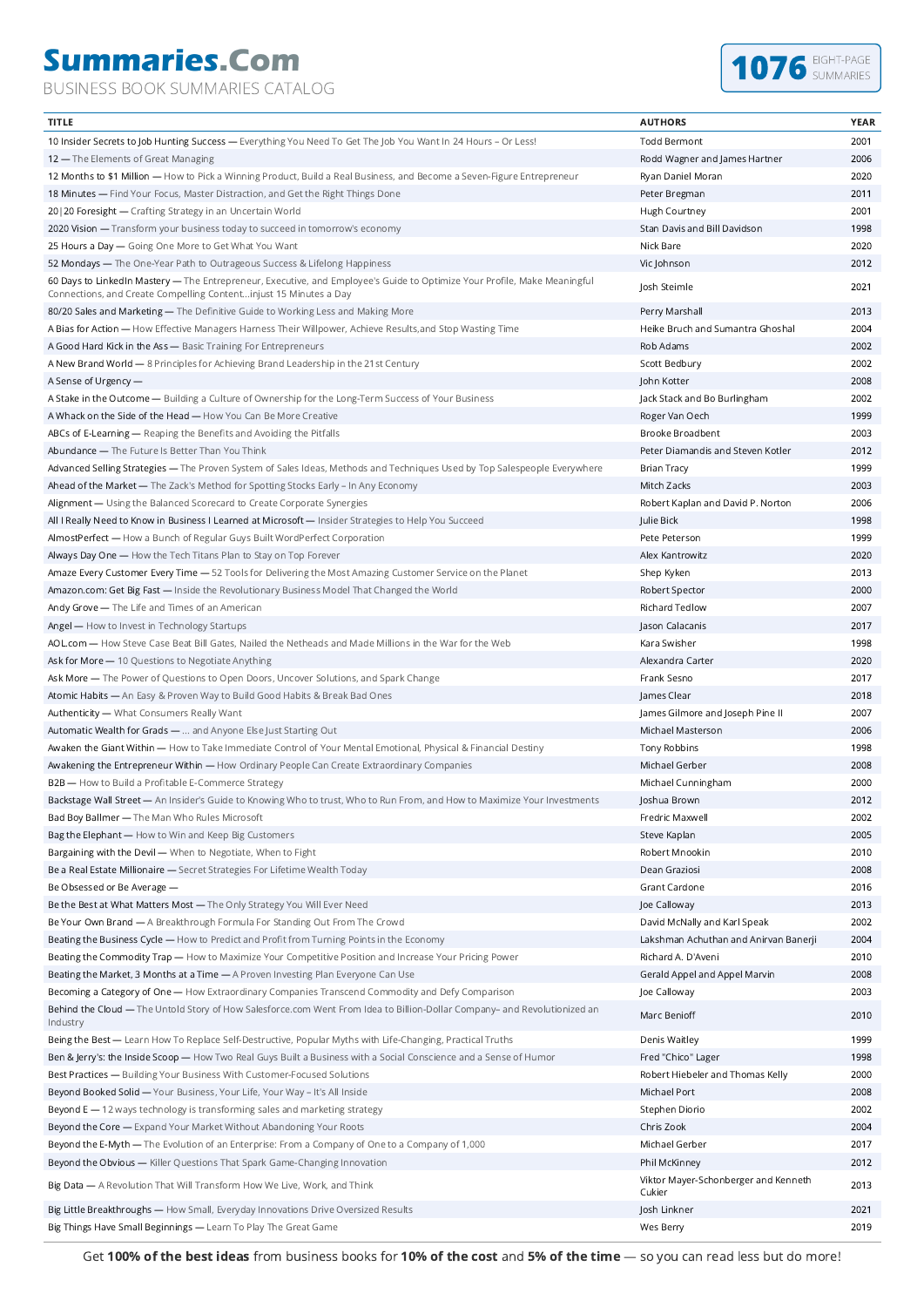## **Summaries.Com**

BUSINESS BOOK SUMMARIES CATALOG



| <b>TITLE</b>                                                                                                                                                                                   | <b>AUTHORS</b>                                 | <b>YEAR</b> |
|------------------------------------------------------------------------------------------------------------------------------------------------------------------------------------------------|------------------------------------------------|-------------|
| 10 Insider Secrets to Job Hunting Success - Everything You Need To Get The Job You Want In 24 Hours - Or Less!                                                                                 | <b>Todd Bermont</b>                            | 2001        |
| 12 – The Elements of Great Managing                                                                                                                                                            | Rodd Wagner and James Hartner                  | 2006        |
| 12 Months to \$1 Million — How to Pick a Winning Product, Build a Real Business, and Become a Seven-Figure Entrepreneur                                                                        | Ryan Daniel Moran                              | 2020        |
| 18 Minutes - Find Your Focus, Master Distraction, and Get the Right Things Done                                                                                                                | Peter Bregman                                  | 2011        |
| 20   20 Foresight - Crafting Strategy in an Uncertain World                                                                                                                                    | Hugh Courtney                                  | 2001        |
| 2020 Vision - Transform your business today to succeed in tomorrow's economy                                                                                                                   | Stan Davis and Bill Davidson                   | 1998        |
| 25 Hours a Day - Going One More to Get What You Want                                                                                                                                           | Nick Bare                                      | 2020        |
| 52 Mondays - The One-Year Path to Outrageous Success & Lifelong Happiness                                                                                                                      | Vic Johnson                                    | 2012        |
| 60 Days to LinkedIn Mastery - The Entrepreneur, Executive, and Employee's Guide to Optimize Your Profile, Make Meaningful<br>Connections, and Create Compelling Contentinjust 15 Minutes a Day | Josh Steimle                                   | 2021        |
| 80/20 Sales and Marketing - The Definitive Guide to Working Less and Making More                                                                                                               | Perry Marshall                                 | 2013        |
| A Bias for Action - How Effective Managers Harness Their Willpower, Achieve Results, and Stop Wasting Time                                                                                     | Heike Bruch and Sumantra Ghoshal               | 2004        |
| A Good Hard Kick in the Ass - Basic Training For Entrepreneurs                                                                                                                                 | Rob Adams                                      | 2002        |
| A New Brand World - 8 Principles for Achieving Brand Leadership in the 21st Century                                                                                                            | Scott Bedbury                                  | 2002        |
| A Sense of Urgency -                                                                                                                                                                           | John Kotter                                    | 2008        |
| A Stake in the Outcome - Building a Culture of Ownership for the Long-Term Success of Your Business                                                                                            | Jack Stack and Bo Burlingham                   | 2002        |
| A Whack on the Side of the Head - How You Can Be More Creative                                                                                                                                 | Roger Van Oech                                 | 1999        |
| ABCs of E-Learning - Reaping the Benefits and Avoiding the Pitfalls                                                                                                                            | Brooke Broadbent                               | 2003        |
| Abundance - The Future Is Better Than You Think                                                                                                                                                | Peter Diamandis and Steven Kotler              | 2012        |
| Advanced Selling Strategies - The Proven System of Sales Ideas, Methods and Techniques Used by Top Salespeople Everywhere                                                                      | <b>Brian Tracy</b>                             | 1999        |
| Ahead of the Market — The Zack's Method for Spotting Stocks Early - In Any Economy                                                                                                             | Mitch Zacks                                    | 2003        |
| Alignment - Using the Balanced Scorecard to Create Corporate Synergies                                                                                                                         | Robert Kaplan and David P. Norton              | 2006        |
| All I Really Need to Know in Business I Learned at Microsoft - Insider Strategies to Help You Succeed                                                                                          | Julie Bick                                     | 1998        |
| AlmostPerfect - How a Bunch of Regular Guys Built WordPerfect Corporation                                                                                                                      | Pete Peterson                                  | 1999        |
| Always Day One - How the Tech Titans Plan to Stay on Top Forever                                                                                                                               | Alex Kantrowitz                                | 2020        |
| Amaze Every Customer Every Time - 52 Tools for Delivering the Most Amazing Customer Service on the Planet                                                                                      | Shep Kyken                                     | 2013        |
| Amazon.com: Get Big Fast - Inside the Revolutionary Business Model That Changed the World                                                                                                      | Robert Spector                                 | 2000        |
| Andy Grove - The Life and Times of an American                                                                                                                                                 | Richard Tedlow                                 | 2007        |
| Angel — How to Invest in Technology Startups                                                                                                                                                   | Jason Calacanis                                | 2017        |
| AOL.com - How Steve Case Beat Bill Gates, Nailed the Netheads and Made Millions in the War for the Web                                                                                         | Kara Swisher                                   | 1998        |
| Ask for More - 10 Questions to Negotiate Anything                                                                                                                                              | Alexandra Carter                               | 2020        |
| Ask More — The Power of Questions to Open Doors, Uncover Solutions, and Spark Change                                                                                                           | Frank Sesno                                    | 2017        |
| Atomic Habits - An Easy & Proven Way to Build Good Habits & Break Bad Ones                                                                                                                     | James Clear                                    | 2018        |
| Authenticity - What Consumers Really Want                                                                                                                                                      | James Gilmore and Joseph Pine II               | 2007        |
| Automatic Wealth for Grads -  and Anyone Else Just Starting Out                                                                                                                                | Michael Masterson                              | 2006        |
| Awaken the Giant Within - How to Take Immediate Control of Your Mental Emotional, Physical & Financial Destiny                                                                                 | Tony Robbins                                   | 1998        |
| Awakening the Entrepreneur Within - How Ordinary People Can Create Extraordinary Companies                                                                                                     | Michael Gerber                                 | 2008        |
| B2B - How to Build a Profitable E-Commerce Strategy                                                                                                                                            | Michael Cunningham                             | 2000        |
| <b>Backstage Wall Street —</b> An Insider's Guide to Knowing Who to trust, Who to Run From, and How to Maximize Your Investments                                                               | Joshua Brown                                   | 2012        |
| Bad Boy Ballmer - The Man Who Rules Microsoft                                                                                                                                                  | Fredric Maxwell                                | 2002        |
| Bag the Elephant - How to Win and Keep Big Customers                                                                                                                                           | Steve Kaplan                                   | 2005        |
| Bargaining with the Devil - When to Negotiate, When to Fight                                                                                                                                   | Robert Mnookin                                 | 2010        |
| Be a Real Estate Millionaire - Secret Strategies For Lifetime Wealth Today                                                                                                                     | Dean Graziosi                                  | 2008        |
| Be Obsessed or Be Average -                                                                                                                                                                    | Grant Cardone                                  | 2016        |
| Be the Best at What Matters Most - The Only Strategy You Will Ever Need                                                                                                                        | Joe Calloway                                   | 2013        |
| Be Your Own Brand - A Breakthrough Formula For Standing Out From The Crowd                                                                                                                     | David McNally and Karl Speak                   | 2002        |
| Beating the Business Cycle - How to Predict and Profit from Turning Points in the Economy                                                                                                      | Lakshman Achuthan and Anirvan Banerji          | 2004        |
| Beating the Commodity Trap - How to Maximize Your Competitive Position and Increase Your Pricing Power                                                                                         | Richard A. D'Aveni                             | 2010        |
| Beating the Market, 3 Months at a Time - A Proven Investing Plan Everyone Can Use                                                                                                              | Gerald Appel and Appel Marvin                  | 2008        |
| Becoming a Category of One - How Extraordinary Companies Transcend Commodity and Defy Comparison                                                                                               | Joe Calloway                                   | 2003        |
|                                                                                                                                                                                                |                                                |             |
| Behind the Cloud - The Untold Story of How Salesforce.com Went From Idea to Billion-Dollar Company- and Revolutionized an<br>Industry                                                          | Marc Benioff                                   | 2010        |
| Being the Best - Learn How To Replace Self-Destructive, Popular Myths with Life-Changing, Practical Truths                                                                                     | Denis Waitley                                  | 1999        |
| Ben & Jerry's: the Inside Scoop - How Two Real Guys Built a Business with a Social Conscience and a Sense of Humor                                                                             | Fred "Chico" Lager                             | 1998        |
| Best Practices - Building Your Business With Customer-Focused Solutions                                                                                                                        | Robert Hiebeler and Thomas Kelly               | 2000        |
| Beyond Booked Solid - Your Business, Your Life, Your Way - It's All Inside                                                                                                                     | Michael Port                                   | 2008        |
| Beyond E - 12 ways technology is transforming sales and marketing strategy                                                                                                                     | Stephen Diorio                                 | 2002        |
| Beyond the Core - Expand Your Market Without Abandoning Your Roots                                                                                                                             | Chris Zook                                     | 2004        |
| Beyond the E-Myth — The Evolution of an Enterprise: From a Company of One to a Company of 1,000                                                                                                | Michael Gerber                                 | 2017        |
| Beyond the Obvious - Killer Questions That Spark Game-Changing Innovation                                                                                                                      | Phil McKinney                                  | 2012        |
| Big Data - A Revolution That Will Transform How We Live, Work, and Think                                                                                                                       | Viktor Mayer-Schonberger and Kenneth<br>Cukier | 2013        |
| Big Little Breakthroughs - How Small, Everyday Innovations Drive Oversized Results                                                                                                             | Josh Linkner                                   | 2021        |
| Big Things Have Small Beginnings - Learn To Play The Great Game                                                                                                                                | Wes Berry                                      | 2019        |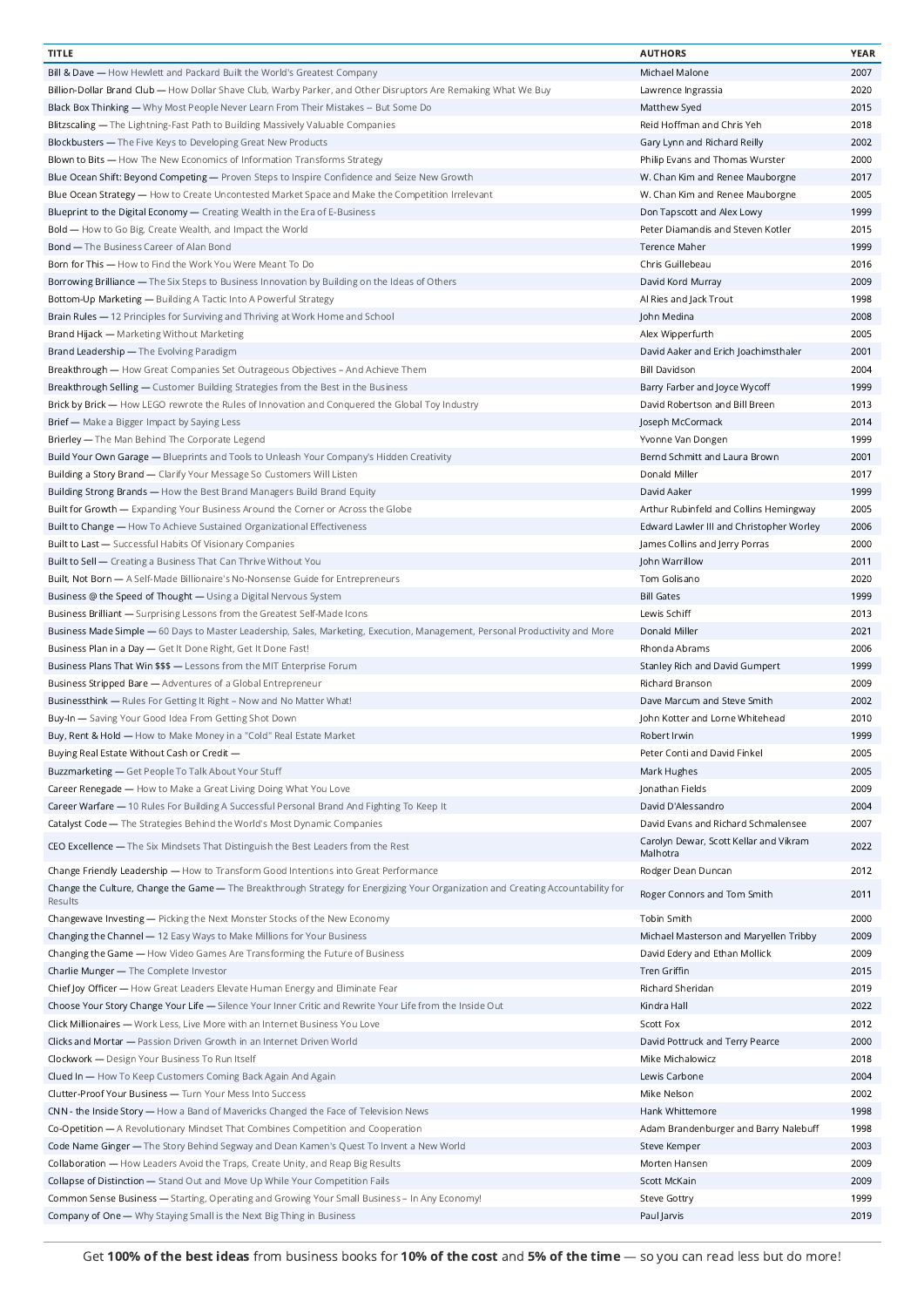| <b>TITLE</b>                                                                                                                                | <b>AUTHORS</b>                           | YEAR |
|---------------------------------------------------------------------------------------------------------------------------------------------|------------------------------------------|------|
| Bill & Dave - How Hewlett and Packard Built the World's Greatest Company                                                                    | Michael Malone                           | 2007 |
| Billion-Dollar Brand Club — How Dollar Shave Club, Warby Parker, and Other Disruptors Are Remaking What We Buy                              | Lawrence Ingrassia                       | 2020 |
| Black Box Thinking — Why Most People Never Learn From Their Mistakes -- But Some Do                                                         | Matthew Syed                             | 2015 |
| Blitzscaling - The Lightning-Fast Path to Building Massively Valuable Companies                                                             | Reid Hoffman and Chris Yeh               | 2018 |
| Blockbusters - The Five Keys to Developing Great New Products                                                                               | Gary Lynn and Richard Reilly             | 2002 |
|                                                                                                                                             |                                          | 2000 |
| Blown to Bits — How The New Economics of Information Transforms Strategy                                                                    | Philip Evans and Thomas Wurster          |      |
| Blue Ocean Shift: Beyond Competing — Proven Steps to Inspire Confidence and Seize New Growth                                                | W. Chan Kim and Renee Mauborgne          | 2017 |
| Blue Ocean Strategy - How to Create Uncontested Market Space and Make the Competition Irrelevant                                            | W. Chan Kim and Renee Mauborgne          | 2005 |
| Blueprint to the Digital Economy - Creating Wealth in the Era of E-Business                                                                 | Don Tapscott and Alex Lowy               | 1999 |
| Bold - How to Go Big, Create Wealth, and Impact the World                                                                                   | Peter Diamandis and Steven Kotler        | 2015 |
| <b>Bond — The Business Career of Alan Bond</b>                                                                                              | Terence Maher                            | 1999 |
| Born for This - How to Find the Work You Were Meant To Do                                                                                   | Chris Guillebeau                         | 2016 |
| Borrowing Brilliance - The Six Steps to Business Innovation by Building on the Ideas of Others                                              | David Kord Murray                        | 2009 |
| Bottom-Up Marketing - Building A Tactic Into A Powerful Strategy                                                                            | Al Ries and Jack Trout                   | 1998 |
| Brain Rules - 12 Principles for Surviving and Thriving at Work Home and School                                                              | John Medina                              | 2008 |
| Brand Hijack - Marketing Without Marketing                                                                                                  | Alex Wipperfurth                         | 2005 |
| Brand Leadership - The Evolving Paradigm                                                                                                    | David Aaker and Erich Joachimsthaler     | 2001 |
| Breakthrough - How Great Companies Set Outrageous Objectives - And Achieve Them                                                             | <b>Bill Davidson</b>                     | 2004 |
| Breakthrough Selling - Customer Building Strategies from the Best in the Business                                                           | Barry Farber and Joyce Wycoff            | 1999 |
| Brick by Brick - How LEGO rewrote the Rules of Innovation and Conquered the Global Toy Industry                                             | David Robertson and Bill Breen           | 2013 |
|                                                                                                                                             |                                          | 2014 |
| Brief - Make a Bigger Impact by Saying Less                                                                                                 | Joseph McCormack                         |      |
| Brierley - The Man Behind The Corporate Legend                                                                                              | Yvonne Van Dongen                        | 1999 |
| Build Your Own Garage - Blueprints and Tools to Unleash Your Company's Hidden Creativity                                                    | Bernd Schmitt and Laura Brown            | 2001 |
| Building a Story Brand - Clarify Your Message So Customers Will Listen                                                                      | Donald Miller                            | 2017 |
| Building Strong Brands - How the Best Brand Managers Build Brand Equity                                                                     | David Aaker                              | 1999 |
| Built for Growth - Expanding Your Business Around the Corner or Across the Globe                                                            | Arthur Rubinfeld and Collins Hemingway   | 2005 |
| Built to Change - How To Achieve Sustained Organizational Effectiveness                                                                     | Edward Lawler III and Christopher Worley | 2006 |
| Built to Last - Successful Habits Of Visionary Companies                                                                                    | James Collins and Jerry Porras           | 2000 |
| Built to Sell - Creating a Business That Can Thrive Without You                                                                             | John Warrillow                           | 2011 |
| Built, Not Born - A Self-Made Billionaire's No-Nonsense Guide for Entrepreneurs                                                             | Tom Golisano                             | 2020 |
| Business @ the Speed of Thought - Using a Digital Nervous System                                                                            | <b>Bill Gates</b>                        | 1999 |
| Business Brilliant - Surprising Lessons from the Greatest Self-Made Icons                                                                   | Lewis Schiff                             | 2013 |
| Business Made Simple - 60 Days to Master Leadership, Sales, Marketing, Execution, Management, Personal Productivity and More                | Donald Miller                            | 2021 |
|                                                                                                                                             | Rhonda Abrams                            | 2006 |
| Business Plan in a Day - Get It Done Right, Get It Done Fast!                                                                               |                                          |      |
| Business Plans That Win \$\$\$ - Lessons from the MIT Enterprise Forum                                                                      | Stanley Rich and David Gumpert           | 1999 |
| Business Stripped Bare - Adventures of a Global Entrepreneur                                                                                | Richard Branson                          | 2009 |
| Businessthink - Rules For Getting It Right - Now and No Matter What!                                                                        | Dave Marcum and Steve Smith              | 2002 |
| Buy-In - Saving Your Good Idea From Getting Shot Down                                                                                       | John Kotter and Lorne Whitehead          | 2010 |
| Buy, Rent & Hold - How to Make Money in a "Cold" Real Estate Market                                                                         | Robert Irwin                             | 1999 |
| Buying Real Estate Without Cash or Credit -                                                                                                 | Peter Conti and David Finkel             | 2005 |
| Buzzmarketing - Get People To Talk About Your Stuff                                                                                         | Mark Hughes                              | 2005 |
| Career Renegade - How to Make a Great Living Doing What You Love                                                                            | Jonathan Fields                          | 2009 |
| Career Warfare - 10 Rules For Building A Successful Personal Brand And Fighting To Keep It                                                  | David D'Alessandro                       | 2004 |
| Catalyst Code - The Strategies Behind the World's Most Dynamic Companies                                                                    | David Evans and Richard Schmalensee      | 2007 |
|                                                                                                                                             | Carolyn Dewar, Scott Kellar and Vikram   |      |
| CEO Excellence - The Six Mindsets That Distinguish the Best Leaders from the Rest                                                           | Malhotra                                 | 2022 |
| Change Friendly Leadership - How to Transform Good Intentions into Great Performance                                                        | Rodger Dean Duncan                       | 2012 |
| Change the Culture, Change the Game - The Breakthrough Strategy for Energizing Your Organization and Creating Accountability for<br>Results | Roger Connors and Tom Smith              | 2011 |
| Changewave Investing - Picking the Next Monster Stocks of the New Economy                                                                   | Tobin Smith                              | 2000 |
| Changing the Channel - 12 Easy Ways to Make Millions for Your Business                                                                      | Michael Masterson and Maryellen Tribby   | 2009 |
| Changing the Game - How Video Games Are Transforming the Future of Business                                                                 | David Edery and Ethan Mollick            | 2009 |
| Charlie Munger - The Complete Investor                                                                                                      | Tren Griffin                             | 2015 |
| Chief Joy Officer - How Great Leaders Elevate Human Energy and Eliminate Fear                                                               | Richard Sheridan                         | 2019 |
|                                                                                                                                             | Kindra Hall                              | 2022 |
| Choose Your Story Change Your Life - Silence Your Inner Critic and Rewrite Your Life from the Inside Out                                    |                                          |      |
| Click Millionaires - Work Less, Live More with an Internet Business You Love                                                                | Scott Fox                                | 2012 |
| Clicks and Mortar - Passion Driven Growth in an Internet Driven World                                                                       | David Pottruck and Terry Pearce          | 2000 |
| Clockwork - Design Your Business To Run Itself                                                                                              | Mike Michalowicz                         | 2018 |
| Clued In - How To Keep Customers Coming Back Again And Again                                                                                | Lewis Carbone                            | 2004 |
| Clutter-Proof Your Business - Turn Your Mess Into Success                                                                                   | Mike Nelson                              | 2002 |
| CNN - the Inside Story - How a Band of Mavericks Changed the Face of Television News                                                        | Hank Whittemore                          | 1998 |
| Co-Opetition - A Revolutionary Mindset That Combines Competition and Cooperation                                                            | Adam Brandenburger and Barry Nalebuff    | 1998 |
| Code Name Ginger — The Story Behind Segway and Dean Kamen's Quest To Invent a New World                                                     | Steve Kemper                             | 2003 |
| Collaboration - How Leaders Avoid the Traps, Create Unity, and Reap Big Results                                                             | Morten Hansen                            | 2009 |
| Collapse of Distinction - Stand Out and Move Up While Your Competition Fails                                                                | Scott McKain                             | 2009 |
| Common Sense Business - Starting, Operating and Growing Your Small Business - In Any Economy!                                               | <b>Steve Gottry</b>                      | 1999 |
| Company of One - Why Staying Small is the Next Big Thing in Business                                                                        | Paul Jarvis                              | 2019 |
|                                                                                                                                             |                                          |      |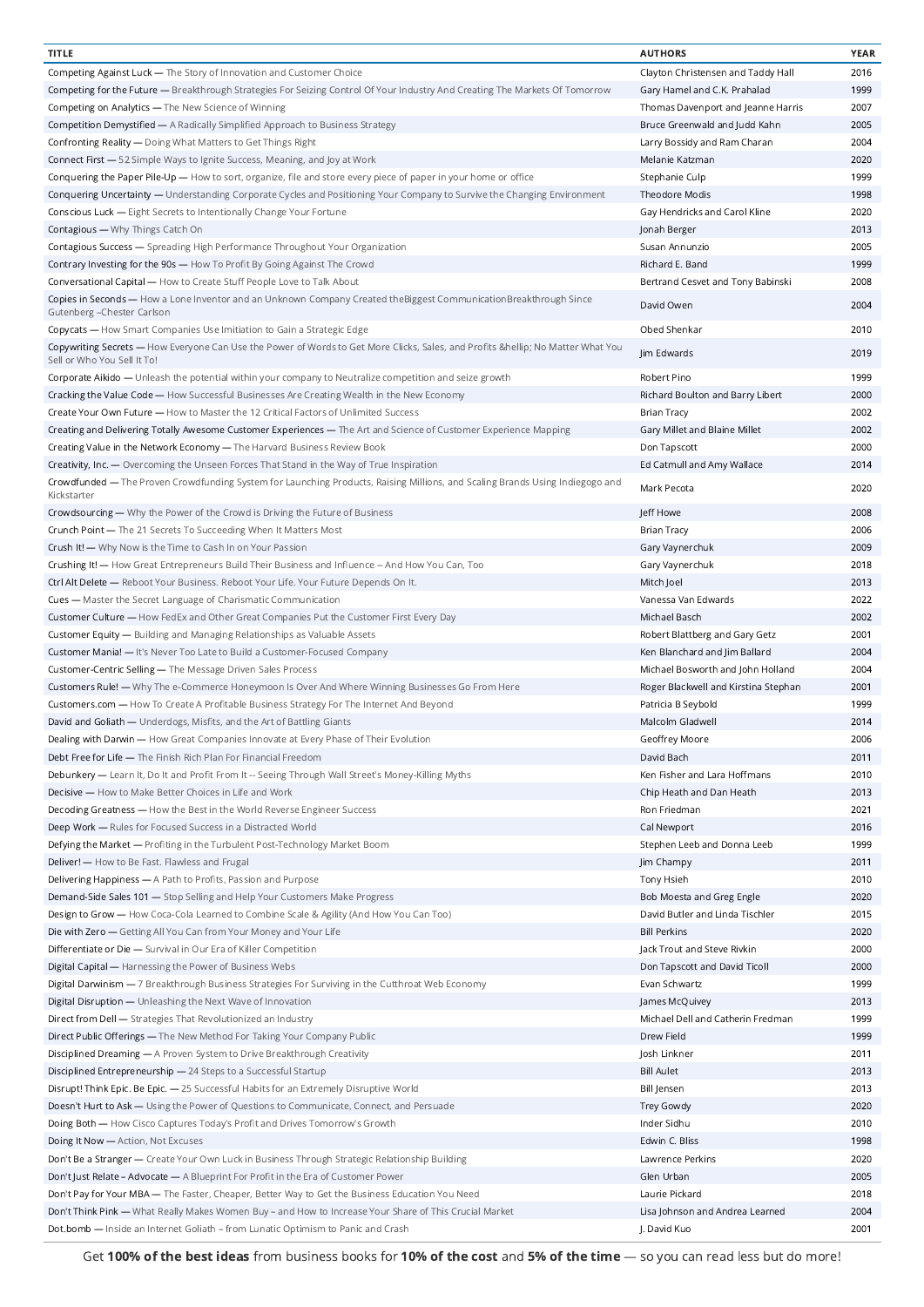| <b>TITLE</b>                                                                                                                                             | <b>AUTHORS</b>                       | <b>YEAR</b> |
|----------------------------------------------------------------------------------------------------------------------------------------------------------|--------------------------------------|-------------|
| Competing Against Luck - The Story of Innovation and Customer Choice                                                                                     | Clayton Christensen and Taddy Hall   | 2016        |
| Competing for the Future — Breakthrough Strategies For Seizing Control Of Your Industry And Creating The Markets Of Tomorrow                             | Gary Hamel and C.K. Prahalad         | 1999        |
| Competing on Analytics - The New Science of Winning                                                                                                      | Thomas Davenport and Jeanne Harris   | 2007        |
| Competition Demystified - A Radically Simplified Approach to Business Strategy                                                                           | Bruce Greenwald and Judd Kahn        | 2005        |
| Confronting Reality - Doing What Matters to Get Things Right                                                                                             | Larry Bossidy and Ram Charan         | 2004        |
| Connect First - 52 Simple Ways to Ignite Success, Meaning, and Joy at Work                                                                               | Melanie Katzman                      | 2020        |
| Conquering the Paper Pile-Up — How to sort, organize, file and store every piece of paper in your home or office                                         | Stephanie Culp                       | 1999        |
|                                                                                                                                                          |                                      |             |
| Conquering Uncertainty — Understanding Corporate Cycles and Positioning Your Company to Survive the Changing Environment                                 | Theodore Modis                       | 1998        |
| Conscious Luck - Eight Secrets to Intentionally Change Your Fortune                                                                                      | Gay Hendricks and Carol Kline        | 2020        |
| Contagious - Why Things Catch On                                                                                                                         | Jonah Berger                         | 2013        |
| Contagious Success - Spreading High Performance Throughout Your Organization                                                                             | Susan Annunzio                       | 2005        |
| Contrary Investing for the 90s - How To Profit By Going Against The Crowd                                                                                | Richard E. Band                      | 1999        |
| Conversational Capital - How to Create Stuff People Love to Talk About                                                                                   | Bertrand Cesvet and Tony Babinski    | 2008        |
| Copies in Seconds - How a Lone Inventor and an Unknown Company Created theBiggest CommunicationBreakthrough Since<br>Gutenberg - Chester Carlson         | David Owen                           | 2004        |
| Copycats - How Smart Companies Use Imitiation to Gain a Strategic Edge                                                                                   | Obed Shenkar                         | 2010        |
| Copywriting Secrets — How Everyone Can Use the Power of Words to Get More Clicks, Sales, and Profits … No Matter What You<br>Sell or Who You Sell It To! | Jim Edwards                          | 2019        |
| Corporate Aikido - Unleash the potential within your company to Neutralize competition and seize growth                                                  | Robert Pino                          | 1999        |
| Cracking the Value Code - How Successful Businesses Are Creating Wealth in the New Economy                                                               | Richard Boulton and Barry Libert     | 2000        |
| Create Your Own Future - How to Master the 12 Critical Factors of Unlimited Success                                                                      | <b>Brian Tracy</b>                   | 2002        |
| Creating and Delivering Totally Awesome Customer Experiences - The Art and Science of Customer Experience Mapping                                        | Gary Millet and Blaine Millet        | 2002        |
| Creating Value in the Network Economy - The Harvard Business Review Book                                                                                 | Don Tapscott                         | 2000        |
| Creativity, Inc. — Overcoming the Unseen Forces That Stand in the Way of True Inspiration                                                                | Ed Catmull and Amy Wallace           | 2014        |
| Crowdfunded — The Proven Crowdfunding System for Launching Products, Raising Millions, and Scaling Brands Using Indiegogo and                            | Mark Pecota                          | 2020        |
| Kickstarter                                                                                                                                              |                                      |             |
| Crowdsourcing — Why the Power of the Crowd is Driving the Future of Business                                                                             | Jeff Howe                            | 2008        |
| Crunch Point - The 21 Secrets To Succeeding When It Matters Most                                                                                         | <b>Brian Tracy</b>                   | 2006        |
| Crush It! - Why Now is the Time to Cash In on Your Passion                                                                                               | Gary Vaynerchuk                      | 2009        |
| Crushing It! - How Great Entrepreneurs Build Their Business and Influence -- And How You Can, Too                                                        | Gary Vaynerchuk                      | 2018        |
| Ctrl Alt Delete - Reboot Your Business. Reboot Your Life. Your Future Depends On It.                                                                     | Mitch Joel                           | 2013        |
| Cues - Master the Secret Language of Charismatic Communication                                                                                           | Vanessa Van Edwards                  | 2022        |
| Customer Culture — How FedEx and Other Great Companies Put the Customer First Every Day                                                                  | Michael Basch                        | 2002        |
| Customer Equity - Building and Managing Relationships as Valuable Assets                                                                                 | Robert Blattberg and Gary Getz       | 2001        |
| Customer Mania! — It's Never Too Late to Build a Customer-Focused Company                                                                                | Ken Blanchard and Jim Ballard        | 2004        |
| Customer-Centric Selling - The Message Driven Sales Process                                                                                              | Michael Bosworth and John Holland    | 2004        |
| Customers Rule! — Why The e-Commerce Honeymoon Is Over And Where Winning Businesses Go From Here                                                         | Roger Blackwell and Kirstina Stephan | 2001        |
| Customers.com - How To Create A Profitable Business Strategy For The Internet And Beyond                                                                 | Patricia B Seybold                   | 1999        |
| David and Goliath - Underdogs, Misfits, and the Art of Battling Giants                                                                                   | Malcolm Gladwell                     | 2014        |
| Dealing with Darwin - How Great Companies Innovate at Every Phase of Their Evolution                                                                     | Geoffrey Moore                       | 2006        |
| Debt Free for Life - The Finish Rich Plan For Financial Freedom                                                                                          | David Bach                           | 2011        |
| Debunkery - Learn It, Do It and Profit From It -- Seeing Through Wall Street's Money-Killing Myths                                                       | Ken Fisher and Lara Hoffmans         | 2010        |
|                                                                                                                                                          |                                      |             |
| Decisive - How to Make Better Choices in Life and Work                                                                                                   | Chip Heath and Dan Heath             | 2013        |
| Decoding Greatness - How the Best in the World Reverse Engineer Success                                                                                  | Ron Friedman                         | 2021        |
| Deep Work - Rules for Focused Success in a Distracted World                                                                                              | Cal Newport                          | 2016        |
| Defying the Market - Profiting in the Turbulent Post-Technology Market Boom                                                                              | Stephen Leeb and Donna Leeb          | 1999        |
| Deliver! - How to Be Fast. Flawless and Frugal                                                                                                           | Jim Champy                           | 2011        |
| Delivering Happiness - A Path to Profits, Passion and Purpose                                                                                            | Tony Hsieh                           | 2010        |
| Demand-Side Sales 101 - Stop Selling and Help Your Customers Make Progress                                                                               | Bob Moesta and Greg Engle            | 2020        |
| Design to Grow - How Coca-Cola Learned to Combine Scale & Agility (And How You Can Too)                                                                  | David Butler and Linda Tischler      | 2015        |
| Die with Zero — Getting All You Can from Your Money and Your Life                                                                                        | <b>Bill Perkins</b>                  | 2020        |
| Differentiate or Die - Survival in Our Era of Killer Competition                                                                                         | Jack Trout and Steve Rivkin          | 2000        |
| Digital Capital - Harnessing the Power of Business Webs                                                                                                  | Don Tapscott and David Ticoll        | 2000        |
| Digital Darwinism - 7 Breakthrough Business Strategies For Surviving in the Cutthroat Web Economy                                                        | Evan Schwartz                        | 1999        |
| Digital Disruption - Unleashing the Next Wave of Innovation                                                                                              | James McQuivey                       | 2013        |
| Direct from Dell - Strategies That Revolutionized an Industry                                                                                            | Michael Dell and Catherin Fredman    | 1999        |
|                                                                                                                                                          |                                      |             |
| Direct Public Offerings — The New Method For Taking Your Company Public                                                                                  | Drew Field                           | 1999        |
| Disciplined Dreaming - A Proven System to Drive Breakthrough Creativity                                                                                  | Josh Linkner                         | 2011        |
| Disciplined Entrepreneurship - 24 Steps to a Successful Startup                                                                                          | <b>Bill Aulet</b>                    | 2013        |
| Disrupt! Think Epic. Be Epic. - 25 Successful Habits for an Extremely Disruptive World                                                                   | <b>Bill Jensen</b>                   | 2013        |
| Doesn't Hurt to Ask - Using the Power of Questions to Communicate, Connect, and Persuade                                                                 | <b>Trey Gowdy</b>                    | 2020        |
| Doing Both - How Cisco Captures Today's Profit and Drives Tomorrow's Growth                                                                              | Inder Sidhu                          | 2010        |
| Doing It Now - Action, Not Excuses                                                                                                                       | Edwin C. Bliss                       | 1998        |
| Don't Be a Stranger - Create Your Own Luck in Business Through Strategic Relationship Building                                                           | Lawrence Perkins                     | 2020        |
| Don't Just Relate - Advocate - A Blueprint For Profit in the Era of Customer Power                                                                       | Glen Urban                           | 2005        |
| Don't Pay for Your MBA - The Faster, Cheaper, Better Way to Get the Business Education You Need                                                          | Laurie Pickard                       | 2018        |
| Don't Think Pink - What Really Makes Women Buy - and How to Increase Your Share of This Crucial Market                                                   | Lisa Johnson and Andrea Learned      | 2004        |
| Dot.bomb - Inside an Internet Goliath - from Lunatic Optimism to Panic and Crash                                                                         | J. David Kuo                         | 2001        |
|                                                                                                                                                          |                                      |             |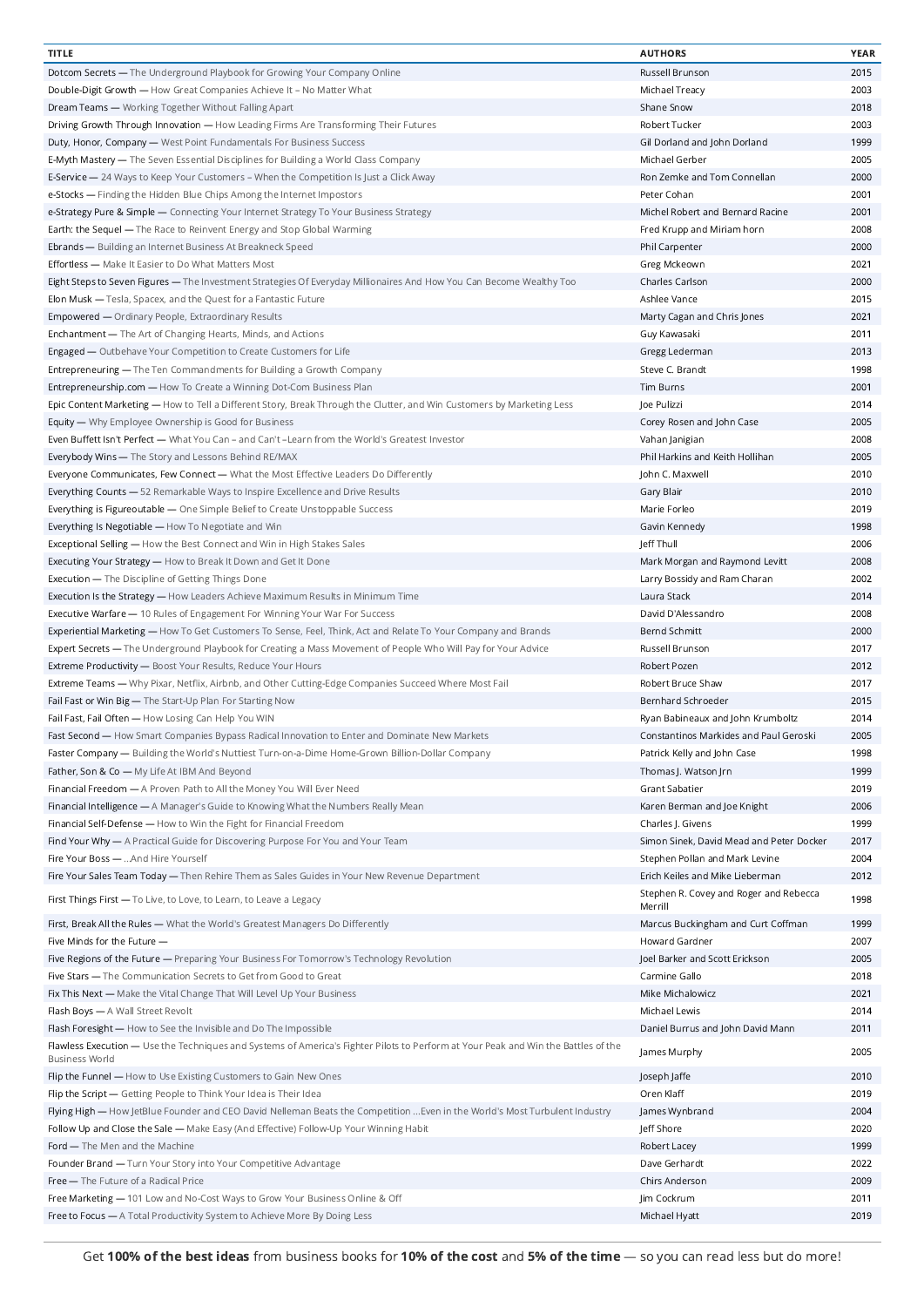| <b>TITLE</b>                                                                                                                                                | <b>AUTHORS</b>                                    | YEAR |
|-------------------------------------------------------------------------------------------------------------------------------------------------------------|---------------------------------------------------|------|
| Dotcom Secrets - The Underground Playbook for Growing Your Company Online                                                                                   | Russell Brunson                                   | 2015 |
| Double-Digit Growth - How Great Companies Achieve It - No Matter What                                                                                       | Michael Treacy                                    | 2003 |
| Dream Teams - Working Together Without Falling Apart                                                                                                        | Shane Snow                                        | 2018 |
|                                                                                                                                                             | Robert Tucker                                     | 2003 |
| Driving Growth Through Innovation - How Leading Firms Are Transforming Their Futures                                                                        |                                                   |      |
| Duty, Honor, Company - West Point Fundamentals For Business Success                                                                                         | Gil Dorland and John Dorland                      | 1999 |
| <b>E-Myth Mastery</b> — The Seven Essential Disciplines for Building a World Class Company                                                                  | Michael Gerber                                    | 2005 |
| E-Service - 24 Ways to Keep Your Customers - When the Competition Is Just a Click Away                                                                      | Ron Zemke and Tom Connellan                       | 2000 |
| e-Stocks - Finding the Hidden Blue Chips Among the Internet Impostors                                                                                       | Peter Cohan                                       | 2001 |
| e-Strategy Pure & Simple - Connecting Your Internet Strategy To Your Business Strategy                                                                      | Michel Robert and Bernard Racine                  | 2001 |
| Earth: the Sequel - The Race to Reinvent Energy and Stop Global Warming                                                                                     | Fred Krupp and Miriam horn                        | 2008 |
| Ebrands - Building an Internet Business At Breakneck Speed                                                                                                  | Phil Carpenter                                    | 2000 |
| Effortless - Make It Easier to Do What Matters Most                                                                                                         | Greg Mckeown                                      | 2021 |
|                                                                                                                                                             | Charles Carlson                                   | 2000 |
| Eight Steps to Seven Figures - The Investment Strategies Of Everyday Millionaires And How You Can Become Wealthy Too                                        |                                                   |      |
| Elon Musk - Tesla, Spacex, and the Quest for a Fantastic Future                                                                                             | Ashlee Vance                                      | 2015 |
| <b>Empowered - Ordinary People, Extraordinary Results</b>                                                                                                   | Marty Cagan and Chris Jones                       | 2021 |
| Enchantment - The Art of Changing Hearts, Minds, and Actions                                                                                                | Guy Kawasaki                                      | 2011 |
| Engaged - Outbehave Your Competition to Create Customers for Life                                                                                           | Gregg Lederman                                    | 2013 |
| Entrepreneuring - The Ten Commandments for Building a Growth Company                                                                                        | Steve C. Brandt                                   | 1998 |
| Entrepreneurship.com - How To Create a Winning Dot-Com Business Plan                                                                                        | <b>Tim Burns</b>                                  | 2001 |
| Epic Content Marketing - How to Tell a Different Story, Break Through the Clutter, and Win Customers by Marketing Less                                      | Joe Pulizzi                                       | 2014 |
| Equity - Why Employee Ownership is Good for Business                                                                                                        | Corey Rosen and John Case                         | 2005 |
|                                                                                                                                                             | Vahan Janigian                                    | 2008 |
| Even Buffett Isn't Perfect - What You Can - and Can't -Learn from the World's Greatest Investor                                                             |                                                   |      |
| Everybody Wins - The Story and Lessons Behind RE/MAX                                                                                                        | Phil Harkins and Keith Hollihan                   | 2005 |
| Everyone Communicates, Few Connect - What the Most Effective Leaders Do Differently                                                                         | John C. Maxwell                                   | 2010 |
| Everything Counts - 52 Remarkable Ways to Inspire Excellence and Drive Results                                                                              | Gary Blair                                        | 2010 |
| Everything is Figureoutable - One Simple Belief to Create Unstoppable Success                                                                               | Marie Forleo                                      | 2019 |
| Everything Is Negotiable - How To Negotiate and Win                                                                                                         | Gavin Kennedy                                     | 1998 |
| Exceptional Selling - How the Best Connect and Win in High Stakes Sales                                                                                     | Jeff Thull                                        | 2006 |
| Executing Your Strategy - How to Break It Down and Get It Done                                                                                              | Mark Morgan and Raymond Levitt                    | 2008 |
| <b>Execution - The Discipline of Getting Things Done</b>                                                                                                    | Larry Bossidy and Ram Charan                      | 2002 |
|                                                                                                                                                             |                                                   |      |
| Execution Is the Strategy - How Leaders Achieve Maximum Results in Minimum Time                                                                             | Laura Stack                                       | 2014 |
| Executive Warfare - 10 Rules of Engagement For Winning Your War For Success                                                                                 | David D'Alessandro                                | 2008 |
| Experiential Marketing - How To Get Customers To Sense, Feel, Think, Act and Relate To Your Company and Brands                                              | Bernd Schmitt                                     | 2000 |
| Expert Secrets - The Underground Playbook for Creating a Mass Movement of People Who Will Pay for Your Advice                                               | Russell Brunson                                   | 2017 |
| Extreme Productivity - Boost Your Results, Reduce Your Hours                                                                                                | Robert Pozen                                      | 2012 |
| Extreme Teams - Why Pixar, Netflix, Airbnb, and Other Cutting-Edge Companies Succeed Where Most Fail                                                        | Robert Bruce Shaw                                 | 2017 |
| Fail Fast or Win Big - The Start-Up Plan For Starting Now                                                                                                   | Bernhard Schroeder                                | 2015 |
| Fail Fast, Fail Often - How Losing Can Help You WIN                                                                                                         | Ryan Babineaux and John Krumboltz                 | 2014 |
| Fast Second - How Smart Companies Bypass Radical Innovation to Enter and Dominate New Markets                                                               | Constantinos Markides and Paul Geroski            | 2005 |
|                                                                                                                                                             |                                                   |      |
| Faster Company - Building the World's Nuttiest Turn-on-a-Dime Home-Grown Billion-Dollar Company                                                             | Patrick Kelly and John Case                       | 1998 |
| Father, Son & Co - My Life At IBM And Beyond                                                                                                                | Thomas J. Watson Jrn                              | 1999 |
| Financial Freedom - A Proven Path to All the Money You Will Ever Need                                                                                       | Grant Sabatier                                    | 2019 |
| Financial Intelligence - A Manager's Guide to Knowing What the Numbers Really Mean                                                                          | Karen Berman and Joe Knight                       | 2006 |
| Financial Self-Defense - How to Win the Fight for Financial Freedom                                                                                         | Charles J. Givens                                 | 1999 |
| Find Your Why - A Practical Guide for Discovering Purpose For You and Your Team                                                                             | Simon Sinek, David Mead and Peter Docker          | 2017 |
| Fire Your Boss -  And Hire Yourself                                                                                                                         | Stephen Pollan and Mark Levine                    | 2004 |
| Fire Your Sales Team Today - Then Rehire Them as Sales Guides in Your New Revenue Department                                                                | Erich Keiles and Mike Lieberman                   | 2012 |
|                                                                                                                                                             |                                                   |      |
| First Things First - To Live, to Love, to Learn, to Leave a Legacy                                                                                          | Stephen R. Covey and Roger and Rebecca<br>Merrill | 1998 |
| First, Break All the Rules - What the World's Greatest Managers Do Differently                                                                              | Marcus Buckingham and Curt Coffman                | 1999 |
| Five Minds for the Future -                                                                                                                                 | <b>Howard Gardner</b>                             | 2007 |
| Five Regions of the Future - Preparing Your Business For Tomorrow's Technology Revolution                                                                   | Joel Barker and Scott Erickson                    | 2005 |
| Five Stars - The Communication Secrets to Get from Good to Great                                                                                            | Carmine Gallo                                     | 2018 |
| Fix This Next - Make the Vital Change That Will Level Up Your Business                                                                                      | Mike Michalowicz                                  | 2021 |
| Flash Boys - A Wall Street Revolt                                                                                                                           | Michael Lewis                                     | 2014 |
|                                                                                                                                                             |                                                   |      |
| Flash Foresight - How to See the Invisible and Do The Impossible                                                                                            | Daniel Burrus and John David Mann                 | 2011 |
| Flawless Execution - Use the Techniques and Systems of America's Fighter Pilots to Perform at Your Peak and Win the Battles of the<br><b>Business World</b> | James Murphy                                      | 2005 |
| Flip the Funnel - How to Use Existing Customers to Gain New Ones                                                                                            | Joseph Jaffe                                      | 2010 |
| Flip the Script - Getting People to Think Your Idea is Their Idea                                                                                           | Oren Klaff                                        | 2019 |
| Flying High - How JetBlue Founder and CEO David Nelleman Beats the Competition  Even in the World's Most Turbulent Industry                                 | James Wynbrand                                    | 2004 |
| Follow Up and Close the Sale - Make Easy (And Effective) Follow-Up Your Winning Habit                                                                       | Jeff Shore                                        | 2020 |
|                                                                                                                                                             |                                                   |      |
| Ford - The Men and the Machine                                                                                                                              | Robert Lacey                                      | 1999 |
| Founder Brand - Turn Your Story into Your Competitive Advantage                                                                                             | Dave Gerhardt                                     | 2022 |
| Free - The Future of a Radical Price                                                                                                                        | Chirs Anderson                                    | 2009 |
| Free Marketing - 101 Low and No-Cost Ways to Grow Your Business Online & Off                                                                                | Jim Cockrum                                       | 2011 |
| Free to Focus - A Total Productivity System to Achieve More By Doing Less                                                                                   | Michael Hyatt                                     | 2019 |
|                                                                                                                                                             |                                                   |      |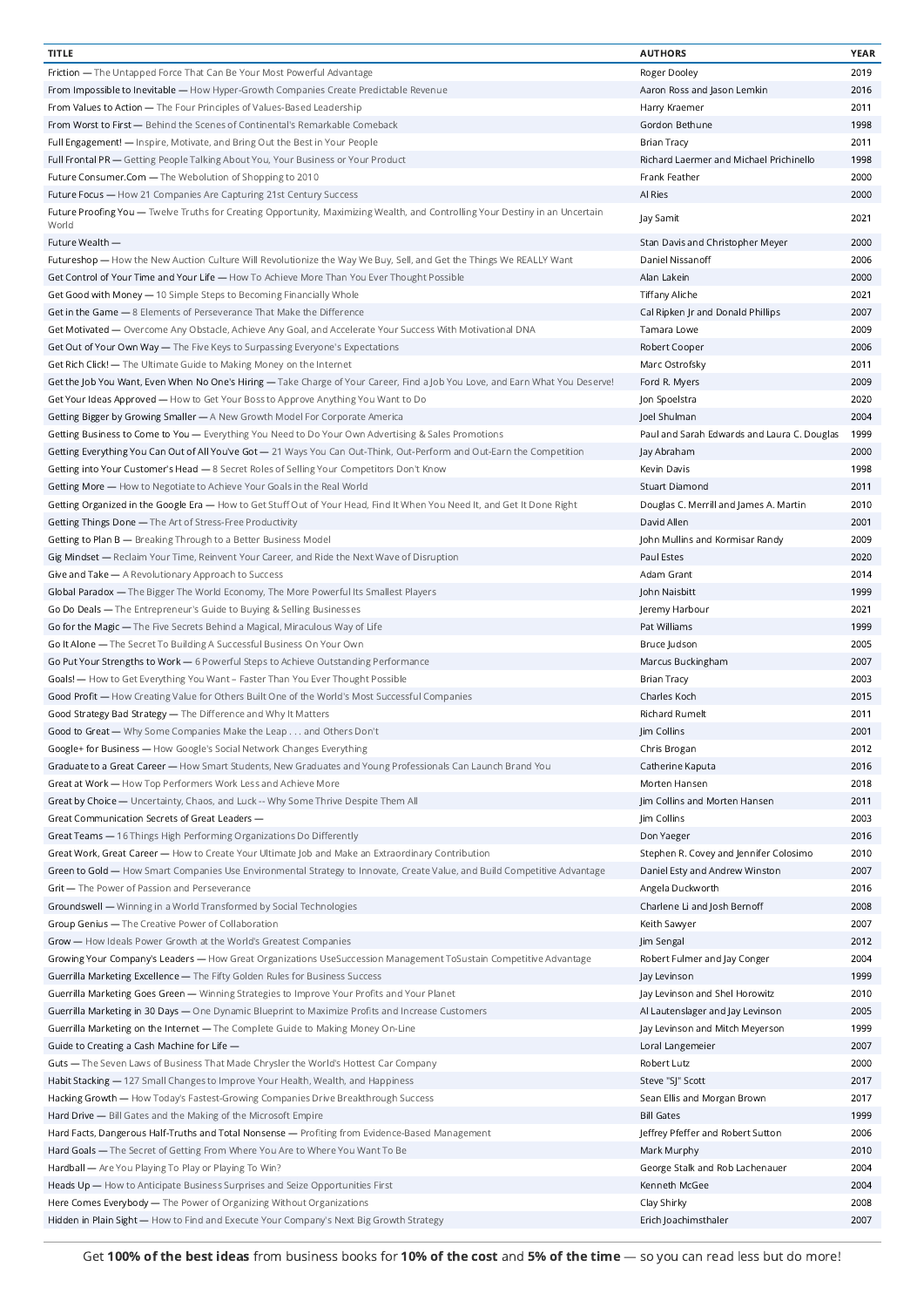| <b>TITLE</b>                                                                                                                  | <b>AUTHORS</b>                              | YEAR |
|-------------------------------------------------------------------------------------------------------------------------------|---------------------------------------------|------|
| Friction - The Untapped Force That Can Be Your Most Powerful Advantage                                                        | Roger Dooley                                | 2019 |
| From Impossible to Inevitable - How Hyper-Growth Companies Create Predictable Revenue                                         | Aaron Ross and Jason Lemkin                 | 2016 |
| From Values to Action - The Four Principles of Values-Based Leadership                                                        | Harry Kraemer                               | 2011 |
| From Worst to First - Behind the Scenes of Continental's Remarkable Comeback                                                  | Gordon Bethune                              | 1998 |
|                                                                                                                               |                                             |      |
| Full Engagement! — Inspire, Motivate, and Bring Out the Best in Your People                                                   | <b>Brian Tracy</b>                          | 2011 |
| Full Frontal PR - Getting People Talking About You, Your Business or Your Product                                             | Richard Laermer and Michael Prichinello     | 1998 |
| Future Consumer.Com - The Webolution of Shopping to 2010                                                                      | Frank Feather                               | 2000 |
| Future Focus - How 21 Companies Are Capturing 21st Century Success                                                            | Al Ries                                     | 2000 |
| Future Proofing You - Twelve Truths for Creating Opportunity, Maximizing Wealth, and Controlling Your Destiny in an Uncertain | Jay Samit                                   | 2021 |
| World                                                                                                                         |                                             |      |
| Future Wealth -                                                                                                               | Stan Davis and Christopher Meyer            | 2000 |
| Futureshop — How the New Auction Culture Will Revolutionize the Way We Buy, Sell, and Get the Things We REALLY Want           | Daniel Nissanoff                            | 2006 |
| Get Control of Your Time and Your Life — How To Achieve More Than You Ever Thought Possible                                   | Alan Lakein                                 | 2000 |
| Get Good with Money - 10 Simple Steps to Becoming Financially Whole                                                           | Tiffany Aliche                              | 2021 |
| Get in the Game - 8 Elements of Perseverance That Make the Difference                                                         | Cal Ripken Jr and Donald Phillips           | 2007 |
|                                                                                                                               |                                             |      |
| Get Motivated - Overcome Any Obstacle, Achieve Any Goal, and Accelerate Your Success With Motivational DNA                    | Tamara Lowe                                 | 2009 |
| Get Out of Your Own Way - The Five Keys to Surpassing Everyone's Expectations                                                 | Robert Cooper                               | 2006 |
| Get Rich Click! - The Ultimate Guide to Making Money on the Internet                                                          | Marc Ostrofsky                              | 2011 |
| Get the Job You Want, Even When No One's Hiring - Take Charge of Your Career, Find a Job You Love, and Earn What You Deserve! | Ford R. Myers                               | 2009 |
| Get Your Ideas Approved - How to Get Your Boss to Approve Anything You Want to Do                                             | Jon Spoelstra                               | 2020 |
| Getting Bigger by Growing Smaller - A New Growth Model For Corporate America                                                  | Joel Shulman                                | 2004 |
| Getting Business to Come to You - Everything You Need to Do Your Own Advertising & Sales Promotions                           | Paul and Sarah Edwards and Laura C. Douglas | 1999 |
| Getting Everything You Can Out of All You've Got - 21 Ways You Can Out-Think, Out-Perform and Out-Earn the Competition        | Jay Abraham                                 | 2000 |
|                                                                                                                               |                                             |      |
| Getting into Your Customer's Head - 8 Secret Roles of Selling Your Competitors Don't Know                                     | Kevin Davis                                 | 1998 |
| Getting More - How to Negotiate to Achieve Your Goals in the Real World                                                       | <b>Stuart Diamond</b>                       | 2011 |
| Getting Organized in the Google Era - How to Get Stuff Out of Your Head, Find It When You Need It, and Get It Done Right      | Douglas C. Merrill and James A. Martin      | 2010 |
| Getting Things Done - The Art of Stress-Free Productivity                                                                     | David Allen                                 | 2001 |
| Getting to Plan B - Breaking Through to a Better Business Model                                                               | John Mullins and Kormisar Randy             | 2009 |
| Gig Mindset — Reclaim Your Time, Reinvent Your Career, and Ride the Next Wave of Disruption                                   | Paul Estes                                  | 2020 |
| Give and Take - A Revolutionary Approach to Success                                                                           | Adam Grant                                  | 2014 |
| Global Paradox - The Bigger The World Economy, The More Powerful Its Smallest Players                                         | John Naisbitt                               | 1999 |
|                                                                                                                               |                                             | 2021 |
| Go Do Deals - The Entrepreneur's Guide to Buying & Selling Businesses                                                         | Jeremy Harbour                              |      |
| Go for the Magic - The Five Secrets Behind a Magical, Miraculous Way of Life                                                  | Pat Williams                                | 1999 |
| Go It Alone - The Secret To Building A Successful Business On Your Own                                                        | Bruce Judson                                | 2005 |
| Go Put Your Strengths to Work - 6 Powerful Steps to Achieve Outstanding Performance                                           | Marcus Buckingham                           | 2007 |
| Goals! - How to Get Everything You Want - Faster Than You Ever Thought Possible                                               | <b>Brian Tracy</b>                          | 2003 |
| Good Profit — How Creating Value for Others Built One of the World's Most Successful Companies                                | Charles Koch                                | 2015 |
| Good Strategy Bad Strategy - The Difference and Why It Matters                                                                | Richard Rumelt                              | 2011 |
| Good to Great - Why Some Companies Make the Leap and Others Don't                                                             | Jim Collins                                 | 2001 |
| Google+ for Business — How Google's Social Network Changes Everything                                                         | Chris Brogan                                | 2012 |
| Graduate to a Great Career - How Smart Students, New Graduates and Young Professionals Can Launch Brand You                   |                                             |      |
|                                                                                                                               | Catherine Kaputa                            | 2016 |
| Great at Work - How Top Performers Work Less and Achieve More                                                                 | Morten Hansen                               | 2018 |
| Great by Choice - Uncertainty, Chaos, and Luck -- Why Some Thrive Despite Them All                                            | Jim Collins and Morten Hansen               | 2011 |
| Great Communication Secrets of Great Leaders -                                                                                | Jim Collins                                 | 2003 |
| Great Teams - 16 Things High Performing Organizations Do Differently                                                          | Don Yaeger                                  | 2016 |
| Great Work, Great Career - How to Create Your Ultimate Job and Make an Extraordinary Contribution                             | Stephen R. Covey and Jennifer Colosimo      | 2010 |
| Green to Gold - How Smart Companies Use Environmental Strategy to Innovate, Create Value, and Build Competitive Advantage     | Daniel Esty and Andrew Winston              | 2007 |
| Grit - The Power of Passion and Perseverance                                                                                  | Angela Duckworth                            | 2016 |
| Groundswell - Winning in a World Transformed by Social Technologies                                                           | Charlene Li and Josh Bernoff                | 2008 |
|                                                                                                                               |                                             |      |
| Group Genius - The Creative Power of Collaboration                                                                            | Keith Sawyer                                | 2007 |
| Grow - How Ideals Power Growth at the World's Greatest Companies                                                              | Jim Sengal                                  | 2012 |
| Growing Your Company's Leaders - How Great Organizations UseSuccession Management ToSustain Competitive Advantage             | Robert Fulmer and Jay Conger                | 2004 |
| Guerrilla Marketing Excellence - The Fifty Golden Rules for Business Success                                                  | Jay Levinson                                | 1999 |
| Guerrilla Marketing Goes Green - Winning Strategies to Improve Your Profits and Your Planet                                   | Jay Levinson and Shel Horowitz              | 2010 |
| Guerrilla Marketing in 30 Days - One Dynamic Blueprint to Maximize Profits and Increase Customers                             | Al Lautenslager and Jay Levinson            | 2005 |
| Guerrilla Marketing on the Internet - The Complete Guide to Making Money On-Line                                              | Jay Levinson and Mitch Meyerson             | 1999 |
| Guide to Creating a Cash Machine for Life -                                                                                   | Loral Langemeier                            | 2007 |
| Guts — The Seven Laws of Business That Made Chrysler the World's Hottest Car Company                                          | Robert Lutz                                 | 2000 |
|                                                                                                                               |                                             |      |
| Habit Stacking - 127 Small Changes to Improve Your Health, Wealth, and Happiness                                              | Steve "SJ" Scott                            | 2017 |
| Hacking Growth - How Today's Fastest-Growing Companies Drive Breakthrough Success                                             | Sean Ellis and Morgan Brown                 | 2017 |
| Hard Drive - Bill Gates and the Making of the Microsoft Empire                                                                | <b>Bill Gates</b>                           | 1999 |
| Hard Facts, Dangerous Half-Truths and Total Nonsense - Profiting from Evidence-Based Management                               | Jeffrey Pfeffer and Robert Sutton           | 2006 |
| Hard Goals - The Secret of Getting From Where You Are to Where You Want To Be                                                 | Mark Murphy                                 | 2010 |
| Hardball - Are You Playing To Play or Playing To Win?                                                                         | George Stalk and Rob Lachenauer             | 2004 |
| Heads Up - How to Anticipate Business Surprises and Seize Opportunities First                                                 | Kenneth McGee                               | 2004 |
| Here Comes Everybody - The Power of Organizing Without Organizations                                                          | Clay Shirky                                 | 2008 |
|                                                                                                                               |                                             | 2007 |
| Hidden in Plain Sight - How to Find and Execute Your Company's Next Big Growth Strategy                                       | Erich Joachimsthaler                        |      |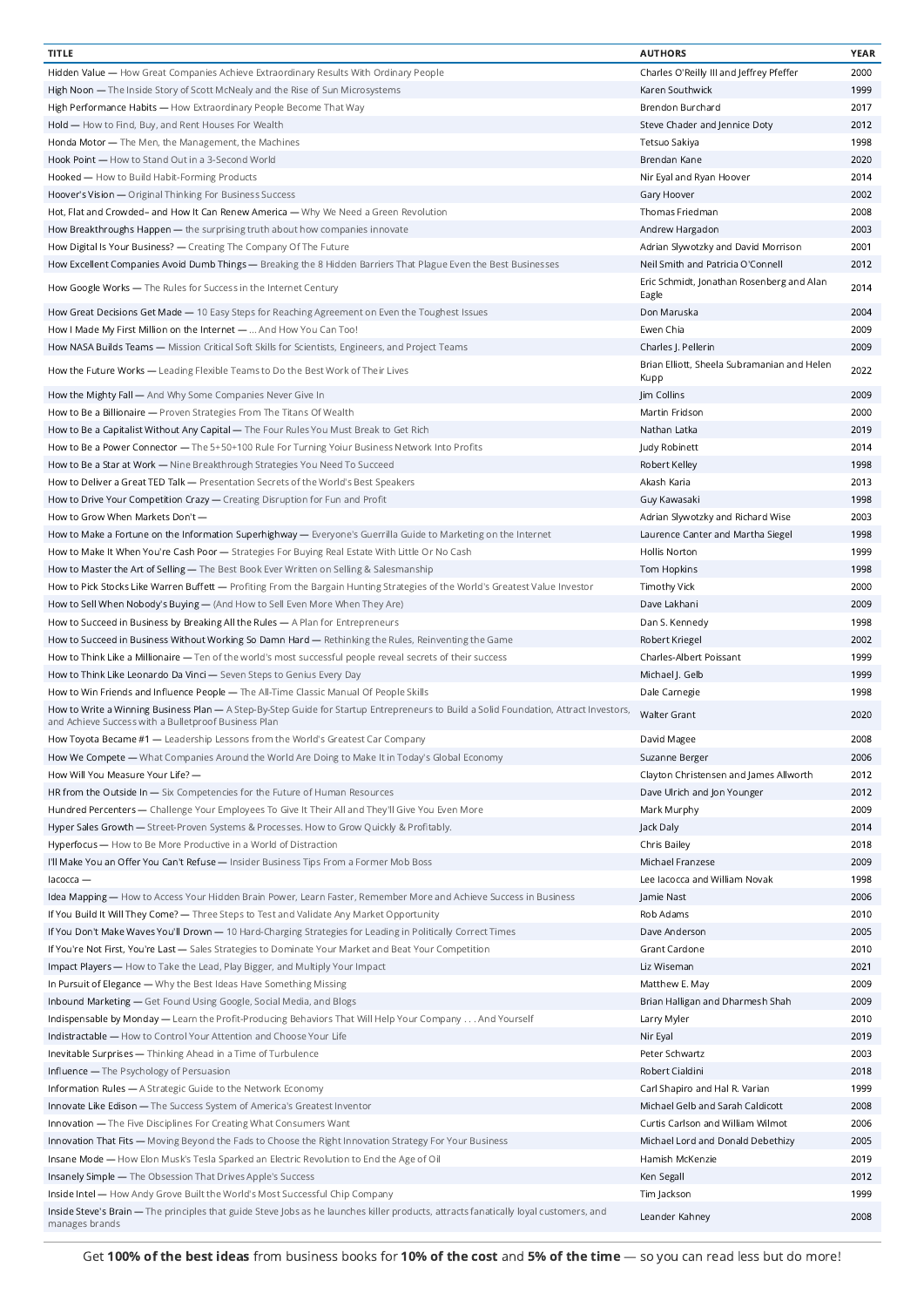| <b>TITLE</b>                                                                                                                                                                                  | <b>AUTHORS</b>                                      | <b>YEAR</b> |
|-----------------------------------------------------------------------------------------------------------------------------------------------------------------------------------------------|-----------------------------------------------------|-------------|
| Hidden Value — How Great Companies Achieve Extraordinary Results With Ordinary People                                                                                                         | Charles O'Reilly III and Jeffrey Pfeffer            | 2000        |
| High Noon — The Inside Story of Scott McNealy and the Rise of Sun Microsystems                                                                                                                | Karen Southwick                                     | 1999        |
| High Performance Habits — How Extraordinary People Become That Way                                                                                                                            | Brendon Burchard                                    | 2017        |
|                                                                                                                                                                                               |                                                     | 2012        |
| Hold - How to Find, Buy, and Rent Houses For Wealth                                                                                                                                           | Steve Chader and Jennice Doty                       |             |
| Honda Motor - The Men, the Management, the Machines                                                                                                                                           | Tetsuo Sakiya                                       | 1998        |
| Hook Point - How to Stand Out in a 3-Second World                                                                                                                                             | Brendan Kane                                        | 2020        |
| Hooked - How to Build Habit-Forming Products                                                                                                                                                  | Nir Eyal and Ryan Hoover                            | 2014        |
| Hoover's Vision - Original Thinking For Business Success                                                                                                                                      | Gary Hoover                                         | 2002        |
| Hot, Flat and Crowded- and How It Can Renew America - Why We Need a Green Revolution                                                                                                          | Thomas Friedman                                     | 2008        |
| How Breakthroughs Happen - the surprising truth about how companies innovate                                                                                                                  | Andrew Hargadon                                     | 2003        |
| How Digital Is Your Business? - Creating The Company Of The Future                                                                                                                            | Adrian Slywotzky and David Morrison                 | 2001        |
| How Excellent Companies Avoid Dumb Things - Breaking the 8 Hidden Barriers That Plague Even the Best Businesses                                                                               | Neil Smith and Patricia O'Connell                   | 2012        |
|                                                                                                                                                                                               |                                                     |             |
| How Google Works - The Rules for Success in the Internet Century                                                                                                                              | Eric Schmidt, Jonathan Rosenberg and Alan<br>Eagle  | 2014        |
| How Great Decisions Get Made - 10 Easy Steps for Reaching Agreement on Even the Toughest Issues                                                                                               | Don Maruska                                         | 2004        |
| How I Made My First Million on the Internet -  And How You Can Too!                                                                                                                           | Ewen Chia                                           | 2009        |
| How NASA Builds Teams - Mission Critical Soft Skills for Scientists, Engineers, and Project Teams                                                                                             | Charles J. Pellerin                                 | 2009        |
| How the Future Works - Leading Flexible Teams to Do the Best Work of Their Lives                                                                                                              | Brian Elliott, Sheela Subramanian and Helen<br>Kupp | 2022        |
|                                                                                                                                                                                               |                                                     |             |
| How the Mighty Fall - And Why Some Companies Never Give In                                                                                                                                    | Jim Collins                                         | 2009        |
| How to Be a Billionaire — Proven Strategies From The Titans Of Wealth                                                                                                                         | Martin Fridson                                      | 2000        |
| How to Be a Capitalist Without Any Capital — The Four Rules You Must Break to Get Rich                                                                                                        | Nathan Latka                                        | 2019        |
| How to Be a Power Connector - The 5+50+100 Rule For Turning Yoiur Business Network Into Profits                                                                                               | Judy Robinett                                       | 2014        |
| How to Be a Star at Work - Nine Breakthrough Strategies You Need To Succeed                                                                                                                   | Robert Kelley                                       | 1998        |
| How to Deliver a Great TED Talk — Presentation Secrets of the World's Best Speakers                                                                                                           | Akash Karia                                         | 2013        |
| How to Drive Your Competition Crazy - Creating Disruption for Fun and Profit                                                                                                                  | Guy Kawasaki                                        | 1998        |
|                                                                                                                                                                                               |                                                     |             |
| How to Grow When Markets Don't -                                                                                                                                                              | Adrian Slywotzky and Richard Wise                   | 2003        |
| How to Make a Fortune on the Information Superhighway — Everyone's Guerrilla Guide to Marketing on the Internet                                                                               | Laurence Canter and Martha Siegel                   | 1998        |
| How to Make It When You're Cash Poor - Strategies For Buying Real Estate With Little Or No Cash                                                                                               | Hollis Norton                                       | 1999        |
| How to Master the Art of Selling - The Best Book Ever Written on Selling & Salesmanship                                                                                                       | Tom Hopkins                                         | 1998        |
| How to Pick Stocks Like Warren Buffett - Profiting From the Bargain Hunting Strategies of the World's Greatest Value Investor                                                                 | <b>Timothy Vick</b>                                 | 2000        |
| How to Sell When Nobody's Buying — (And How to Sell Even More When They Are)                                                                                                                  | Dave Lakhani                                        | 2009        |
| How to Succeed in Business by Breaking All the Rules - A Plan for Entrepreneurs                                                                                                               | Dan S. Kennedy                                      | 1998        |
| How to Succeed in Business Without Working So Damn Hard - Rethinking the Rules, Reinventing the Game                                                                                          | Robert Kriegel                                      | 2002        |
|                                                                                                                                                                                               |                                                     |             |
| How to Think Like a Millionaire - Ten of the world's most successful people reveal secrets of their success                                                                                   | Charles-Albert Poissant                             | 1999        |
| How to Think Like Leonardo Da Vinci - Seven Steps to Genius Every Day                                                                                                                         | Michael J. Gelb                                     | 1999        |
| How to Win Friends and Influence People - The All-Time Classic Manual Of People Skills                                                                                                        | Dale Carnegie                                       | 1998        |
| How to Write a Winning Business Plan - A Step-By-Step Guide for Startup Entrepreneurs to Build a Solid Foundation, Attract Investors,<br>and Achieve Success with a Bulletproof Business Plan | Walter Grant                                        | 2020        |
| How Toyota Became #1 - Leadership Lessons from the World's Greatest Car Company                                                                                                               | David Magee                                         | 2008        |
| How We Compete - What Companies Around the World Are Doing to Make It in Today's Global Economy                                                                                               | Suzanne Berger                                      | 2006        |
| How Will You Measure Your Life? -                                                                                                                                                             | Clayton Christensen and James Allworth              | 2012        |
|                                                                                                                                                                                               |                                                     |             |
| HR from the Outside $In - Six$ Competencies for the Future of Human Resources                                                                                                                 | Dave Ulrich and Jon Younger                         | 2012        |
| Hundred Percenters - Challenge Your Employees To Give It Their All and They'll Give You Even More                                                                                             | Mark Murphy                                         | 2009        |
| Hyper Sales Growth - Street-Proven Systems & Processes. How to Grow Quickly & Profitably.                                                                                                     | Jack Daly                                           | 2014        |
| Hyperfocus - How to Be More Productive in a World of Distraction                                                                                                                              | Chris Bailey                                        | 2018        |
| I'll Make You an Offer You Can't Refuse - Insider Business Tips From a Former Mob Boss                                                                                                        | Michael Franzese                                    | 2009        |
| $Iacocca$ —                                                                                                                                                                                   | Lee lacocca and William Novak                       | 1998        |
| Idea Mapping — How to Access Your Hidden Brain Power, Learn Faster, Remember More and Achieve Success in Business                                                                             | Jamie Nast                                          | 2006        |
| If You Build It Will They Come? — Three Steps to Test and Validate Any Market Opportunity                                                                                                     | Rob Adams                                           | 2010        |
| If You Don't Make Waves You'll Drown - 10 Hard-Charging Strategies for Leading in Politically Correct Times                                                                                   | Dave Anderson                                       | 2005        |
|                                                                                                                                                                                               |                                                     |             |
| If You're Not First, You're Last - Sales Strategies to Dominate Your Market and Beat Your Competition                                                                                         | Grant Cardone                                       | 2010        |
| Impact Players - How to Take the Lead, Play Bigger, and Multiply Your Impact                                                                                                                  | Liz Wiseman                                         | 2021        |
| In Pursuit of Elegance - Why the Best Ideas Have Something Missing                                                                                                                            | Matthew E. May                                      | 2009        |
| Inbound Marketing - Get Found Using Google, Social Media, and Blogs                                                                                                                           | Brian Halligan and Dharmesh Shah                    | 2009        |
| Indispensable by Monday — Learn the Profit-Producing Behaviors That Will Help Your Company And Yourself                                                                                       | Larry Myler                                         | 2010        |
| Indistractable - How to Control Your Attention and Choose Your Life                                                                                                                           | Nir Eyal                                            | 2019        |
| Inevitable Surprises - Thinking Ahead in a Time of Turbulence                                                                                                                                 | Peter Schwartz                                      | 2003        |
|                                                                                                                                                                                               |                                                     |             |
| Influence - The Psychology of Persuasion                                                                                                                                                      | Robert Cialdini                                     | 2018        |
| Information Rules - A Strategic Guide to the Network Economy                                                                                                                                  | Carl Shapiro and Hal R. Varian                      | 1999        |
| Innovate Like Edison - The Success System of America's Greatest Inventor                                                                                                                      | Michael Gelb and Sarah Caldicott                    | 2008        |
| Innovation - The Five Disciplines For Creating What Consumers Want                                                                                                                            | Curtis Carlson and William Wilmot                   | 2006        |
| Innovation That Fits - Moving Beyond the Fads to Choose the Right Innovation Strategy For Your Business                                                                                       | Michael Lord and Donald Debethizy                   | 2005        |
| Insane Mode - How Elon Musk's Tesla Sparked an Electric Revolution to End the Age of Oil                                                                                                      | Hamish McKenzie                                     | 2019        |
| Insanely Simple - The Obsession That Drives Apple's Success                                                                                                                                   | Ken Segall                                          | 2012        |
| Inside Intel - How Andy Grove Built the World's Most Successful Chip Company                                                                                                                  | Tim Jackson                                         | 1999        |
| Inside Steve's Brain — The principles that guide Steve Jobs as he launches killer products, attracts fanatically loyal customers, and                                                         |                                                     |             |
| manages brands                                                                                                                                                                                | Leander Kahney                                      | 2008        |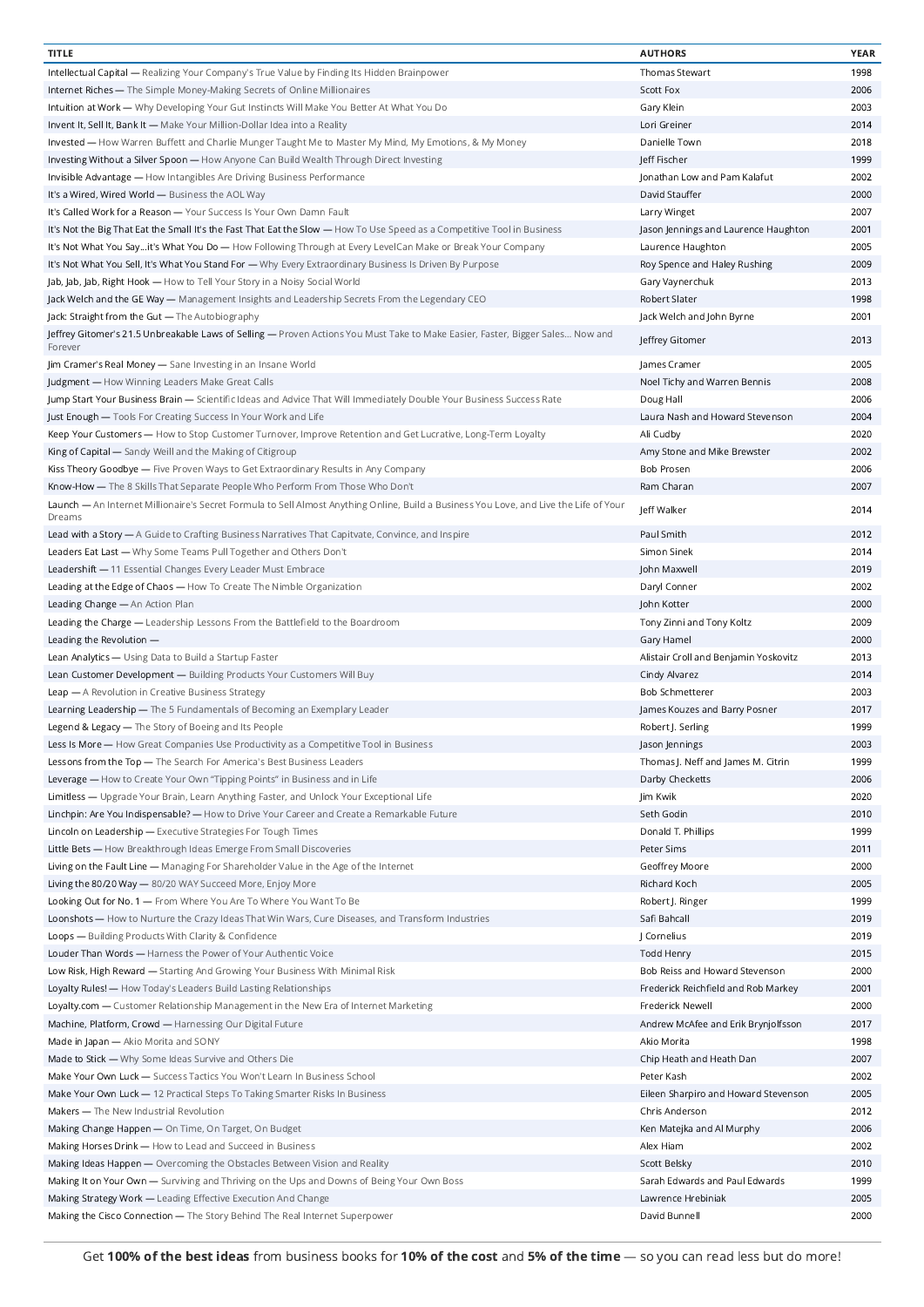| <b>TITLE</b>                                                                                                                               | <b>AUTHORS</b>                        | YEAR |
|--------------------------------------------------------------------------------------------------------------------------------------------|---------------------------------------|------|
| Intellectual Capital - Realizing Your Company's True Value by Finding Its Hidden Brainpower                                                | <b>Thomas Stewart</b>                 | 1998 |
| Internet Riches - The Simple Money-Making Secrets of Online Millionaires                                                                   | <b>Scott Fox</b>                      | 2006 |
| Intuition at Work — Why Developing Your Gut Instincts Will Make You Better At What You Do                                                  | Gary Klein                            | 2003 |
|                                                                                                                                            |                                       |      |
| Invent It, Sell It, Bank It - Make Your Million-Dollar Idea into a Reality                                                                 | Lori Greiner                          | 2014 |
| Invested — How Warren Buffett and Charlie Munger Taught Me to Master My Mind, My Emotions, & My Money                                      | Danielle Town                         | 2018 |
| Investing Without a Silver Spoon - How Anyone Can Build Wealth Through Direct Investing                                                    | Jeff Fischer                          | 1999 |
| Invisible Advantage - How Intangibles Are Driving Business Performance                                                                     | Jonathan Low and Pam Kalafut          | 2002 |
| It's a Wired, Wired World - Business the AOL Way                                                                                           | David Stauffer                        | 2000 |
| It's Called Work for a Reason - Your Success Is Your Own Damn Fault                                                                        | Larry Winget                          | 2007 |
| It's Not the Big That Eat the Small It's the Fast That Eat the Slow - How To Use Speed as a Competitive Tool in Business                   | Jason Jennings and Laurence Haughton  | 2001 |
|                                                                                                                                            |                                       | 2005 |
| It's Not What You Sayit's What You Do — How Following Through at Every LevelCan Make or Break Your Company                                 | Laurence Haughton                     |      |
| It's Not What You Sell, It's What You Stand For - Why Every Extraordinary Business Is Driven By Purpose                                    | Roy Spence and Haley Rushing          | 2009 |
| Jab, Jab, Jab, Right Hook - How to Tell Your Story in a Noisy Social World                                                                 | Gary Vaynerchuk                       | 2013 |
| Jack Welch and the GE Way - Management Insights and Leadership Secrets From the Legendary CEO                                              | Robert Slater                         | 1998 |
| Jack: Straight from the Gut - The Autobiography                                                                                            | Jack Welch and John Byrne             | 2001 |
| Jeffrey Gitomer's 21.5 Unbreakable Laws of Selling — Proven Actions You Must Take to Make Easier, Faster, Bigger Sales… Now and<br>Forever | Jeffrey Gitomer                       | 2013 |
| Jim Cramer's Real Money - Sane Investing in an Insane World                                                                                | James Cramer                          | 2005 |
| Judgment - How Winning Leaders Make Great Calls                                                                                            | Noel Tichy and Warren Bennis          | 2008 |
|                                                                                                                                            |                                       |      |
| Jump Start Your Business Brain — Scientific Ideas and Advice That Will Immediately Double Your Business Success Rate                       | Doug Hall                             | 2006 |
| Just Enough - Tools For Creating Success In Your Work and Life                                                                             | Laura Nash and Howard Stevenson       | 2004 |
| Keep Your Customers - How to Stop Customer Turnover, Improve Retention and Get Lucrative, Long-Term Loyalty                                | Ali Cudby                             | 2020 |
| King of Capital - Sandy Weill and the Making of Citigroup                                                                                  | Amy Stone and Mike Brewster           | 2002 |
| Kiss Theory Goodbye - Five Proven Ways to Get Extraordinary Results in Any Company                                                         | <b>Bob Prosen</b>                     | 2006 |
| Know-How - The 8 Skills That Separate People Who Perform From Those Who Don't                                                              | Ram Charan                            | 2007 |
| Launch — An Internet Millionaire's Secret Formula to Sell Almost Anything Online, Build a Business You Love, and Live the Life of Your     | Jeff Walker                           | 2014 |
| Dreams<br>Lead with a Story - A Guide to Crafting Business Narratives That Capitvate, Convince, and Inspire                                | Paul Smith                            | 2012 |
| Leaders Eat Last - Why Some Teams Pull Together and Others Don't                                                                           | Simon Sinek                           | 2014 |
| Leadershift - 11 Essential Changes Every Leader Must Embrace                                                                               | John Maxwell                          | 2019 |
| Leading at the Edge of Chaos - How To Create The Nimble Organization                                                                       | Daryl Conner                          | 2002 |
|                                                                                                                                            |                                       |      |
| Leading Change - An Action Plan                                                                                                            | John Kotter                           | 2000 |
| Leading the Charge - Leadership Lessons From the Battlefield to the Boardroom                                                              | Tony Zinni and Tony Koltz             | 2009 |
| Leading the Revolution -                                                                                                                   | Gary Hamel                            | 2000 |
| Lean Analytics - Using Data to Build a Startup Faster                                                                                      | Alistair Croll and Benjamin Yoskovitz | 2013 |
| Lean Customer Development - Building Products Your Customers Will Buy                                                                      | Cindy Alvarez                         | 2014 |
| Leap - A Revolution in Creative Business Strategy                                                                                          | <b>Bob Schmetterer</b>                | 2003 |
| Learning Leadership - The 5 Fundamentals of Becoming an Exemplary Leader                                                                   | James Kouzes and Barry Posner         | 2017 |
|                                                                                                                                            |                                       |      |
| Legend & Legacy - The Story of Boeing and Its People                                                                                       | Robert J. Serling                     | 1999 |
| Less Is More - How Great Companies Use Productivity as a Competitive Tool in Business                                                      | Jason Jennings                        | 2003 |
| Lessons from the Top - The Search For America's Best Business Leaders                                                                      | Thomas J. Neff and James M. Citrin    | 1999 |
| Leverage - How to Create Your Own "Tipping Points" in Business and in Life                                                                 | Darby Checketts                       | 2006 |
| Limitless — Upgrade Your Brain, Learn Anything Faster, and Unlock Your Exceptional Life                                                    | Jim Kwik                              | 2020 |
| Linchpin: Are You Indispensable? - How to Drive Your Career and Create a Remarkable Future                                                 | Seth Godin                            | 2010 |
| Lincoln on Leadership - Executive Strategies For Tough Times                                                                               | Donald T. Phillips                    | 1999 |
|                                                                                                                                            |                                       |      |
| Little Bets - How Breakthrough Ideas Emerge From Small Discoveries                                                                         | Peter Sims                            | 2011 |
| Living on the Fault Line - Managing For Shareholder Value in the Age of the Internet                                                       | Geoffrey Moore                        | 2000 |
| Living the 80/20 Way - 80/20 WAY Succeed More, Enjoy More                                                                                  | Richard Koch                          | 2005 |
| Looking Out for No. 1 - From Where You Are To Where You Want To Be                                                                         | Robert J. Ringer                      | 1999 |
| Loonshots - How to Nurture the Crazy Ideas That Win Wars, Cure Diseases, and Transform Industries                                          | Safi Bahcall                          | 2019 |
| Loops - Building Products With Clarity & Confidence                                                                                        | J Cornelius                           | 2019 |
| Louder Than Words - Harness the Power of Your Authentic Voice                                                                              | Todd Henry                            | 2015 |
|                                                                                                                                            |                                       |      |
| Low Risk, High Reward - Starting And Growing Your Business With Minimal Risk                                                               | Bob Reiss and Howard Stevenson        | 2000 |
| Loyalty Rules! - How Today's Leaders Build Lasting Relationships                                                                           | Frederick Reichfield and Rob Markey   | 2001 |
| Loyalty.com — Customer Relationship Management in the New Era of Internet Marketing                                                        | Frederick Newell                      | 2000 |
| Machine, Platform, Crowd - Harnessing Our Digital Future                                                                                   | Andrew McAfee and Erik Brynjolfsson   | 2017 |
| Made in Japan - Akio Morita and SONY                                                                                                       | Akio Morita                           | 1998 |
| Made to Stick - Why Some Ideas Survive and Others Die                                                                                      | Chip Heath and Heath Dan              | 2007 |
| Make Your Own Luck - Success Tactics You Won't Learn In Business School                                                                    | Peter Kash                            | 2002 |
|                                                                                                                                            |                                       |      |
| Make Your Own Luck - 12 Practical Steps To Taking Smarter Risks In Business                                                                | Eileen Sharpiro and Howard Stevenson  | 2005 |
| Makers - The New Industrial Revolution                                                                                                     | Chris Anderson                        | 2012 |
| Making Change Happen - On Time, On Target, On Budget                                                                                       | Ken Matejka and Al Murphy             | 2006 |
| Making Horses Drink - How to Lead and Succeed in Business                                                                                  | Alex Hiam                             | 2002 |
| Making Ideas Happen - Overcoming the Obstacles Between Vision and Reality                                                                  | Scott Belsky                          | 2010 |
| Making It on Your Own - Surviving and Thriving on the Ups and Downs of Being Your Own Boss                                                 | Sarah Edwards and Paul Edwards        | 1999 |
| Making Strategy Work - Leading Effective Execution And Change                                                                              | Lawrence Hrebiniak                    | 2005 |
| Making the Cisco Connection - The Story Behind The Real Internet Superpower                                                                | David Bunnell                         | 2000 |
|                                                                                                                                            |                                       |      |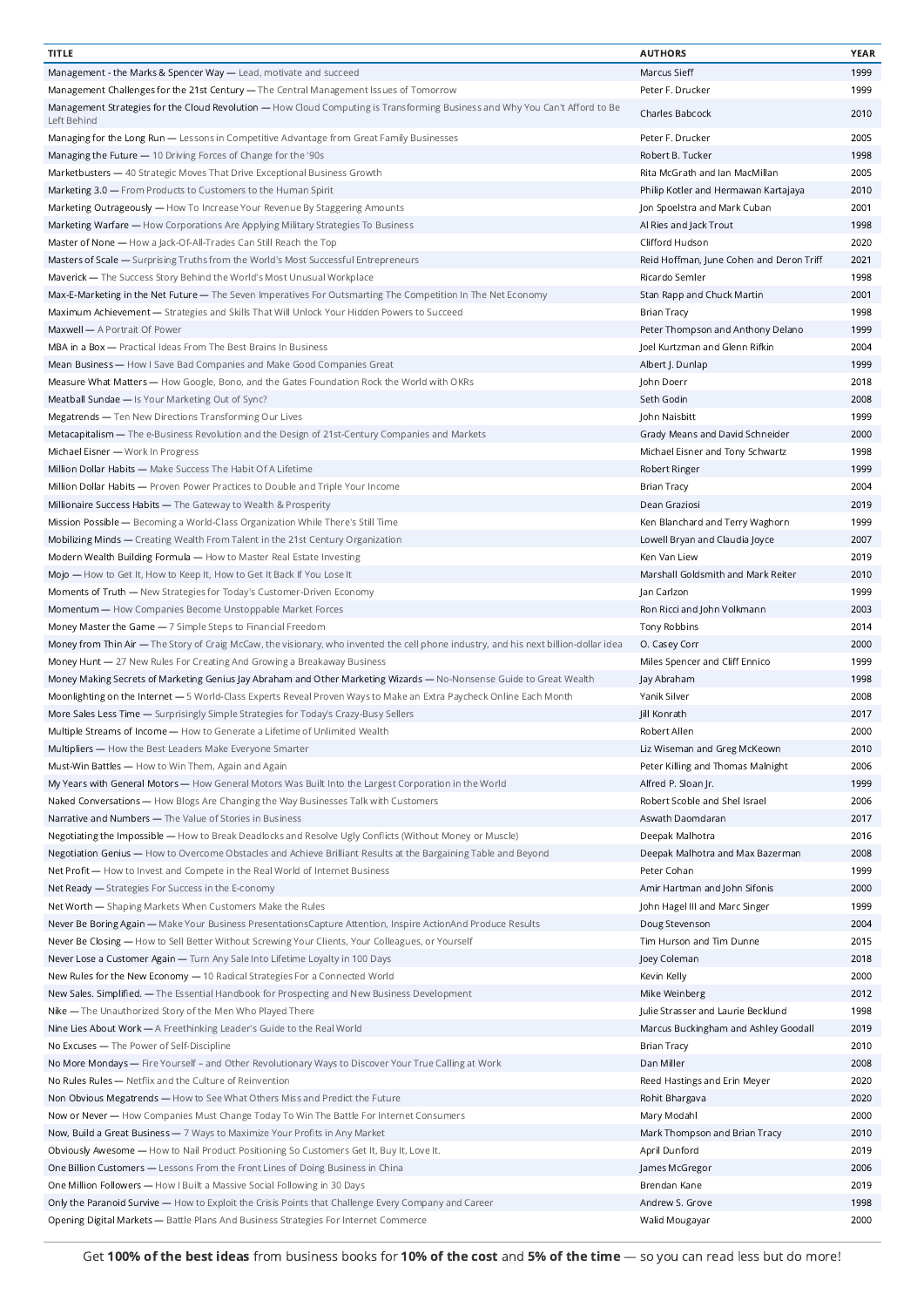| <b>TITLE</b>                                                                                                                                | <b>AUTHORS</b>                           | <b>YEAR</b> |
|---------------------------------------------------------------------------------------------------------------------------------------------|------------------------------------------|-------------|
| Management - the Marks & Spencer Way - Lead, motivate and succeed                                                                           | Marcus Sieff                             | 1999        |
| Management Challenges for the 21st Century - The Central Management Issues of Tomorrow                                                      | Peter F. Drucker                         | 1999        |
| Management Strategies for the Cloud Revolution - How Cloud Computing is Transforming Business and Why You Can't Afford to Be<br>Left Behind | Charles Babcock                          | 2010        |
| Managing for the Long Run - Lessons in Competitive Advantage from Great Family Businesses                                                   | Peter F. Drucker                         | 2005        |
| Managing the Future - 10 Driving Forces of Change for the '90s                                                                              | Robert B. Tucker                         | 1998        |
| Marketbusters - 40 Strategic Moves That Drive Exceptional Business Growth                                                                   | Rita McGrath and Ian MacMillan           | 2005        |
| Marketing 3.0 - From Products to Customers to the Human Spirit                                                                              | Philip Kotler and Hermawan Kartajaya     | 2010        |
|                                                                                                                                             |                                          |             |
| Marketing Outrageously - How To Increase Your Revenue By Staggering Amounts                                                                 | Jon Spoelstra and Mark Cuban             | 2001        |
| Marketing Warfare — How Corporations Are Applying Military Strategies To Business                                                           | Al Ries and Jack Trout                   | 1998        |
| Master of None — How a Jack-Of-All-Trades Can Still Reach the Top                                                                           | Clifford Hudson                          | 2020        |
| Masters of Scale - Surprising Truths from the World's Most Successful Entrepreneurs                                                         | Reid Hoffman, June Cohen and Deron Triff | 2021        |
| Maverick - The Success Story Behind the World's Most Unusual Workplace                                                                      | Ricardo Semler                           | 1998        |
| Max-E-Marketing in the Net Future - The Seven Imperatives For Outsmarting The Competition In The Net Economy                                | Stan Rapp and Chuck Martin               | 2001        |
| Maximum Achievement - Strategies and Skills That Will Unlock Your Hidden Powers to Succeed                                                  | <b>Brian Tracy</b>                       | 1998        |
| Maxwell - A Portrait Of Power                                                                                                               | Peter Thompson and Anthony Delano        | 1999        |
| MBA in a Box - Practical Ideas From The Best Brains In Business                                                                             | Joel Kurtzman and Glenn Rifkin           | 2004        |
| Mean Business - How I Save Bad Companies and Make Good Companies Great                                                                      | Albert J. Dunlap                         | 1999        |
| Measure What Matters — How Google, Bono, and the Gates Foundation Rock the World with OKRs                                                  | John Doerr                               | 2018        |
| Meatball Sundae - Is Your Marketing Out of Sync?                                                                                            | Seth Godin                               | 2008        |
| Megatrends - Ten New Directions Transforming Our Lives                                                                                      | John Naisbitt                            | 1999        |
| Metacapitalism - The e-Business Revolution and the Design of 21st-Century Companies and Markets                                             | Grady Means and David Schneider          | 2000        |
| Michael Eisner - Work In Progress                                                                                                           | Michael Eisner and Tony Schwartz         | 1998        |
| Million Dollar Habits - Make Success The Habit Of A Lifetime                                                                                | Robert Ringer                            | 1999        |
|                                                                                                                                             |                                          |             |
| Million Dollar Habits - Proven Power Practices to Double and Triple Your Income                                                             | Brian Tracy                              | 2004        |
| Millionaire Success Habits - The Gateway to Wealth & Prosperity                                                                             | Dean Graziosi                            | 2019        |
| Mission Possible - Becoming a World-Class Organization While There's Still Time                                                             | Ken Blanchard and Terry Waghorn          | 1999        |
| Mobilizing Minds - Creating Wealth From Talent in the 21st Century Organization                                                             | Lowell Bryan and Claudia Joyce           | 2007        |
| Modern Wealth Building Formula - How to Master Real Estate Investing                                                                        | Ken Van Liew                             | 2019        |
| Mojo - How to Get It, How to Keep It, How to Get It Back If You Lose It                                                                     | Marshall Goldsmith and Mark Reiter       | 2010        |
| Moments of Truth - New Strategies for Today's Customer-Driven Economy                                                                       | Jan Carlzon                              | 1999        |
| Momentum - How Companies Become Unstoppable Market Forces                                                                                   | Ron Ricci and John Volkmann              | 2003        |
| Money Master the Game - 7 Simple Steps to Financial Freedom                                                                                 | Tony Robbins                             | 2014        |
| Money from Thin Air — The Story of Craig McCaw, the visionary, who invented the cell phone industry, and his next billion-dollar idea       | O. Casey Corr                            | 2000        |
| Money Hunt - 27 New Rules For Creating And Growing a Breakaway Business                                                                     | Miles Spencer and Cliff Ennico           | 1999        |
| Money Making Secrets of Marketing Genius Jay Abraham and Other Marketing Wizards - No-Nonsense Guide to Great Wealth                        | Jay Abraham                              | 1998        |
| Moonlighting on the Internet - 5 World-Class Experts Reveal Proven Ways to Make an Extra Paycheck Online Each Month                         | Yanik Silver                             | 2008        |
|                                                                                                                                             |                                          |             |
| More Sales Less Time - Surprisingly Simple Strategies for Today's Crazy-Busy Sellers                                                        | Jill Konrath                             | 2017        |
| Multiple Streams of Income - How to Generate a Lifetime of Unlimited Wealth                                                                 | Robert Allen                             | 2000        |
| Multipliers — How the Best Leaders Make Everyone Smarter                                                                                    | Liz Wiseman and Greg McKeown             | 2010        |
| Must-Win Battles - How to Win Them, Again and Again                                                                                         | Peter Killing and Thomas Malnight        | 2006        |
| My Years with General Motors - How General Motors Was Built Into the Largest Corporation in the World                                       | Alfred P. Sloan Jr.                      | 1999        |
| Naked Conversations - How Blogs Are Changing the Way Businesses Talk with Customers                                                         | Robert Scoble and Shel Israel            | 2006        |
| Narrative and Numbers - The Value of Stories in Business                                                                                    | Aswath Daomdaran                         | 2017        |
| Negotiating the Impossible - How to Break Deadlocks and Resolve Ugly Conflicts (Without Money or Muscle)                                    | Deepak Malhotra                          | 2016        |
| Negotiation Genius - How to Overcome Obstacles and Achieve Brilliant Results at the Bargaining Table and Beyond                             | Deepak Malhotra and Max Bazerman         | 2008        |
| Net Profit - How to Invest and Compete in the Real World of Internet Business                                                               | Peter Cohan                              | 1999        |
| Net Ready - Strategies For Success in the E-conomy                                                                                          | Amir Hartman and John Sifonis            | 2000        |
| Net Worth - Shaping Markets When Customers Make the Rules                                                                                   | John Hagel III and Marc Singer           | 1999        |
| Never Be Boring Again - Make Your Business PresentationsCapture Attention, Inspire ActionAnd Produce Results                                | Doug Stevenson                           | 2004        |
| Never Be Closing - How to Sell Better Without Screwing Your Clients, Your Colleagues, or Yourself                                           | Tim Hurson and Tim Dunne                 | 2015        |
|                                                                                                                                             |                                          |             |
| Never Lose a Customer Again - Turn Any Sale Into Lifetime Loyalty in 100 Days                                                               | Joey Coleman                             | 2018        |
| New Rules for the New Economy - 10 Radical Strategies For a Connected World                                                                 | Kevin Kelly                              | 2000        |
| New Sales. Simplified. - The Essential Handbook for Prospecting and New Business Development                                                | Mike Weinberg                            | 2012        |
| Nike - The Unauthorized Story of the Men Who Played There                                                                                   | Julie Strasser and Laurie Becklund       | 1998        |
| Nine Lies About Work - A Freethinking Leader's Guide to the Real World                                                                      | Marcus Buckingham and Ashley Goodall     | 2019        |
| No Excuses - The Power of Self-Discipline                                                                                                   | <b>Brian Tracy</b>                       | 2010        |
| No More Mondays - Fire Yourself - and Other Revolutionary Ways to Discover Your True Calling at Work                                        | Dan Miller                               | 2008        |
| No Rules Rules - Netflix and the Culture of Reinvention                                                                                     | Reed Hastings and Erin Meyer             | 2020        |
| Non Obvious Megatrends - How to See What Others Miss and Predict the Future                                                                 | Rohit Bhargava                           | 2020        |
| Now or Never - How Companies Must Change Today To Win The Battle For Internet Consumers                                                     | Mary Modahl                              | 2000        |
| Now, Build a Great Business - 7 Ways to Maximize Your Profits in Any Market                                                                 | Mark Thompson and Brian Tracy            | 2010        |
| Obviously Awesome - How to Nail Product Positioning So Customers Get It, Buy It, Love It.                                                   | April Dunford                            | 2019        |
|                                                                                                                                             |                                          | 2006        |
| One Billion Customers — Lessons From the Front Lines of Doing Business in China                                                             | James McGregor                           |             |
| One Million Followers - How I Built a Massive Social Following in 30 Days                                                                   | Brendan Kane                             | 2019        |
| Only the Paranoid Survive - How to Exploit the Crisis Points that Challenge Every Company and Career                                        | Andrew S. Grove                          | 1998        |
| Opening Digital Markets - Battle Plans And Business Strategies For Internet Commerce                                                        | Walid Mougayar                           | 2000        |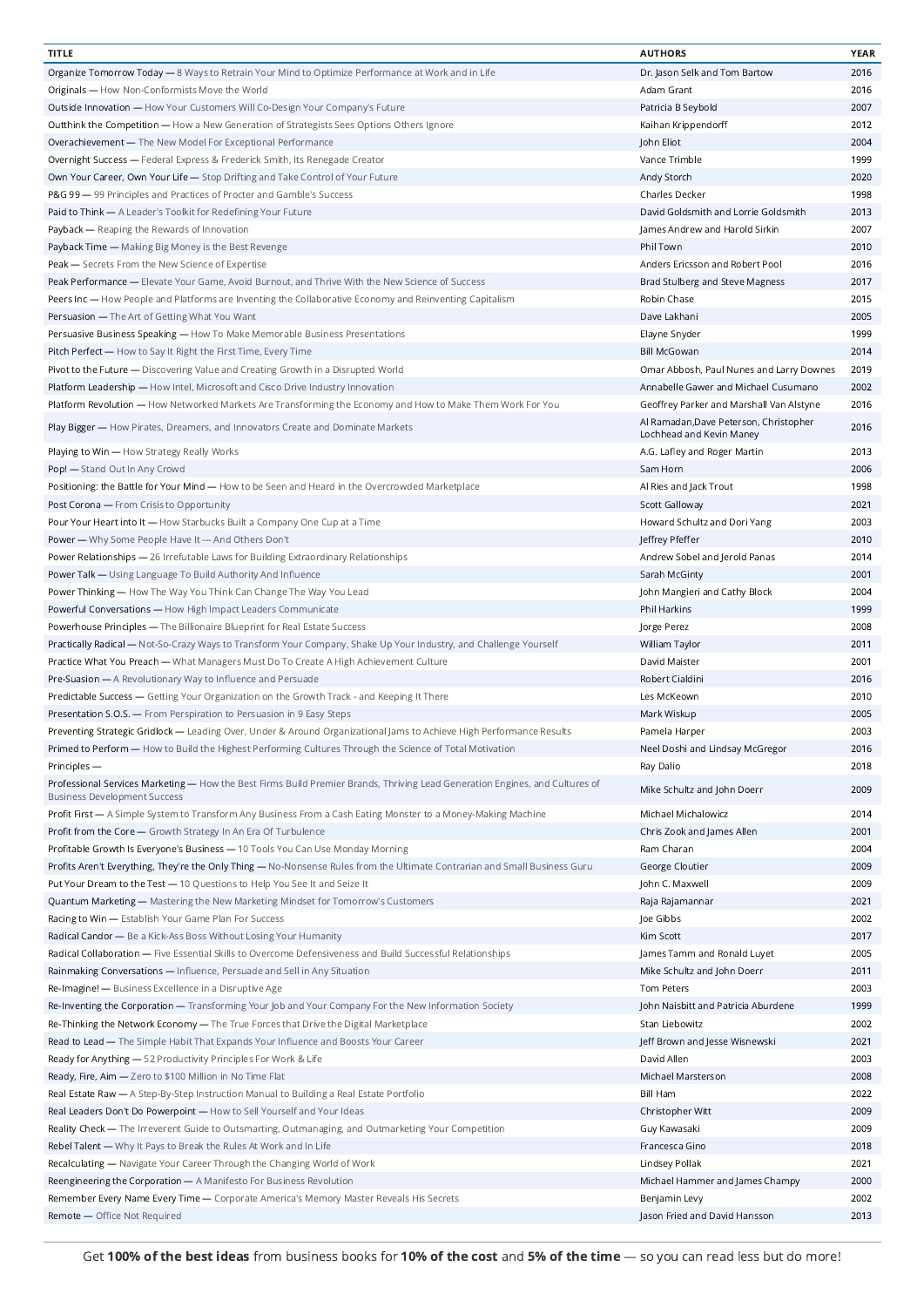| <b>TITLE</b>                                                                                                                 | <b>AUTHORS</b>                           | <b>YEAR</b> |
|------------------------------------------------------------------------------------------------------------------------------|------------------------------------------|-------------|
| Organize Tomorrow Today - 8 Ways to Retrain Your Mind to Optimize Performance at Work and in Life                            | Dr. Jason Selk and Tom Bartow            | 2016        |
| Originals - How Non-Conformists Move the World                                                                               | Adam Grant                               | 2016        |
| Outside Innovation - How Your Customers Will Co-Design Your Company's Future                                                 | Patricia B Seybold                       | 2007        |
|                                                                                                                              |                                          | 2012        |
| <b>Outthink the Competition — How a New Generation of Strategists Sees Options Others Ignore</b>                             | Kaihan Krippendorff                      |             |
| Overachievement - The New Model For Exceptional Performance                                                                  | John Eliot                               | 2004        |
| Overnight Success - Federal Express & Frederick Smith, Its Renegade Creator                                                  | Vance Trimble                            | 1999        |
| Own Your Career, Own Your Life - Stop Drifting and Take Control of Your Future                                               | Andy Storch                              | 2020        |
| P&G 99 - 99 Principles and Practices of Procter and Gamble's Success                                                         | Charles Decker                           | 1998        |
| Paid to Think - A Leader's Toolkit for Redefining Your Future                                                                | David Goldsmith and Lorrie Goldsmith     | 2013        |
| Payback - Reaping the Rewards of Innovation                                                                                  | James Andrew and Harold Sirkin           | 2007        |
| Payback Time - Making Big Money is the Best Revenge                                                                          | Phil Town                                | 2010        |
|                                                                                                                              |                                          | 2016        |
| Peak - Secrets From the New Science of Expertise                                                                             | Anders Ericsson and Robert Pool          |             |
| Peak Performance — Elevate Your Game, Avoid Burnout, and Thrive With the New Science of Success                              | Brad Stulberg and Steve Magness          | 2017        |
| Peers Inc - How People and Platforms are Inventing the Collaborative Economy and Reinventing Capitalism                      | Robin Chase                              | 2015        |
| Persuasion - The Art of Getting What You Want                                                                                | Dave Lakhani                             | 2005        |
| Persuasive Business Speaking - How To Make Memorable Business Presentations                                                  | Elayne Snyder                            | 1999        |
| Pitch Perfect - How to Say It Right the First Time, Every Time                                                               | <b>Bill McGowan</b>                      | 2014        |
| Pivot to the Future - Discovering Value and Creating Growth in a Disrupted World                                             | Omar Abbosh, Paul Nunes and Larry Downes | 2019        |
| Platform Leadership - How Intel, Microsoft and Cisco Drive Industry Innovation                                               | Annabelle Gawer and Michael Cusumano     | 2002        |
| Platform Revolution - How Networked Markets Are Transforming the Economy and How to Make Them Work For You                   | Geoffrey Parker and Marshall Van Alstyne | 2016        |
|                                                                                                                              | Al Ramadan, Dave Peterson, Christopher   |             |
| Play Bigger - How Pirates, Dreamers, and Innovators Create and Dominate Markets                                              | Lochhead and Kevin Maney                 | 2016        |
| Playing to Win - How Strategy Really Works                                                                                   | A.G. Lafley and Roger Martin             | 2013        |
| Pop! - Stand Out In Any Crowd                                                                                                | Sam Horn                                 | 2006        |
| Positioning: the Battle for Your Mind - How to be Seen and Heard in the Overcrowded Marketplace                              | Al Ries and Jack Trout                   | 1998        |
| Post Corona - From Crisis to Opportunity                                                                                     | Scott Galloway                           | 2021        |
| Pour Your Heart into It - How Starbucks Built a Company One Cup at a Time                                                    | Howard Schultz and Dori Yang             | 2003        |
|                                                                                                                              |                                          | 2010        |
| Power - Why Some People Have It --- And Others Don't                                                                         | Jeffrey Pfeffer                          |             |
| Power Relationships - 26 Irrefutable Laws for Building Extraordinary Relationships                                           | Andrew Sobel and Jerold Panas            | 2014        |
| Power Talk - Using Language To Build Authority And Influence                                                                 | Sarah McGinty                            | 2001        |
| Power Thinking - How The Way You Think Can Change The Way You Lead                                                           | John Mangieri and Cathy Block            | 2004        |
| Powerful Conversations - How High Impact Leaders Communicate                                                                 | Phil Harkins                             | 1999        |
| Powerhouse Principles - The Billionaire Blueprint for Real Estate Success                                                    | Jorge Perez                              | 2008        |
| Practically Radical - Not-So-Crazy Ways to Transform Your Company, Shake Up Your Industry, and Challenge Yourself            | William Taylor                           | 2011        |
| Practice What You Preach - What Managers Must Do To Create A High Achievement Culture                                        | David Maister                            | 2001        |
|                                                                                                                              |                                          |             |
| Pre-Suasion - A Revolutionary Way to Influence and Persuade                                                                  | Robert Cialdini                          | 2016        |
| Predictable Success — Getting Your Organization on the Growth Track - and Keeping It There                                   | Les McKeown                              | 2010        |
| Presentation S.O.S. - From Perspiration to Persuasion in 9 Easy Steps                                                        | Mark Wiskup                              | 2005        |
| Preventing Strategic Gridlock - Leading Over, Under & Around Organizational Jams to Achieve High Performance Results         | Pamela Harper                            | 2003        |
| Primed to Perform - How to Build the Highest Performing Cultures Through the Science of Total Motivation                     | Neel Doshi and Lindsay McGregor          | 2016        |
| Principles -                                                                                                                 | Ray Dalio                                | 2018        |
| Professional Services Marketing - How the Best Firms Build Premier Brands, Thriving Lead Generation Engines, and Cultures of | Mike Schultz and John Doerr              | 2009        |
| <b>Business Development Success</b>                                                                                          |                                          |             |
| Profit First - A Simple System to Transform Any Business From a Cash Eating Monster to a Money-Making Machine                | Michael Michalowicz                      | 2014        |
| Profit from the Core - Growth Strategy In An Era Of Turbulence                                                               | Chris Zook and James Allen               | 2001        |
| Profitable Growth Is Everyone's Business - 10 Tools You Can Use Monday Morning                                               | Ram Charan                               | 2004        |
| Profits Aren't Everything, They're the Only Thing - No-Nonsense Rules from the Ultimate Contrarian and Small Business Guru   | George Cloutier                          | 2009        |
| Put Your Dream to the Test - 10 Questions to Help You See It and Seize It                                                    | John C. Maxwell                          | 2009        |
| Quantum Marketing - Mastering the New Marketing Mindset for Tomorrow's Customers                                             | Raja Rajamannar                          | 2021        |
| Racing to Win - Establish Your Game Plan For Success                                                                         | Joe Gibbs                                | 2002        |
| Radical Candor - Be a Kick-Ass Boss Without Losing Your Humanity                                                             | Kim Scott                                | 2017        |
|                                                                                                                              |                                          |             |
| Radical Collaboration - Five Essential Skills to Overcome Defensiveness and Build Successful Relationships                   | James Tamm and Ronald Luyet              | 2005        |
| Rainmaking Conversations - Influence, Persuade and Sell in Any Situation                                                     | Mike Schultz and John Doerr              | 2011        |
| Re-Imagine! - Business Excellence in a Disruptive Age                                                                        | Tom Peters                               | 2003        |
| Re-Inventing the Corporation — Transforming Your Job and Your Company For the New Information Society                        | John Naisbitt and Patricia Aburdene      | 1999        |
| Re-Thinking the Network Economy - The True Forces that Drive the Digital Marketplace                                         | Stan Liebowitz                           | 2002        |
| Read to Lead - The Simple Habit That Expands Your Influence and Boosts Your Career                                           | Jeff Brown and Jesse Wisnewski           | 2021        |
| Ready for Anything - 52 Productivity Principles For Work & Life                                                              | David Allen                              | 2003        |
| Ready, Fire, Aim - Zero to \$100 Million in No Time Flat                                                                     | Michael Marsterson                       | 2008        |
|                                                                                                                              |                                          |             |
| Real Estate Raw - A Step-By-Step Instruction Manual to Building a Real Estate Portfolio                                      | Bill Ham                                 | 2022        |
| Real Leaders Don't Do Powerpoint — How to Sell Yourself and Your Ideas                                                       | Christopher Witt                         | 2009        |
| Reality Check - The Irreverent Guide to Outsmarting, Outmanaging, and Outmarketing Your Competition                          | Guy Kawasaki                             | 2009        |
| Rebel Talent - Why It Pays to Break the Rules At Work and In Life                                                            | Francesca Gino                           | 2018        |
| Recalculating - Navigate Your Career Through the Changing World of Work                                                      | Lindsey Pollak                           | 2021        |
| Reengineering the Corporation - A Manifesto For Business Revolution                                                          | Michael Hammer and James Champy          | 2000        |
| Remember Every Name Every Time - Corporate America's Memory Master Reveals His Secrets                                       | Benjamin Levy                            | 2002        |
| Remote - Office Not Required                                                                                                 | Jason Fried and David Hansson            | 2013        |
|                                                                                                                              |                                          |             |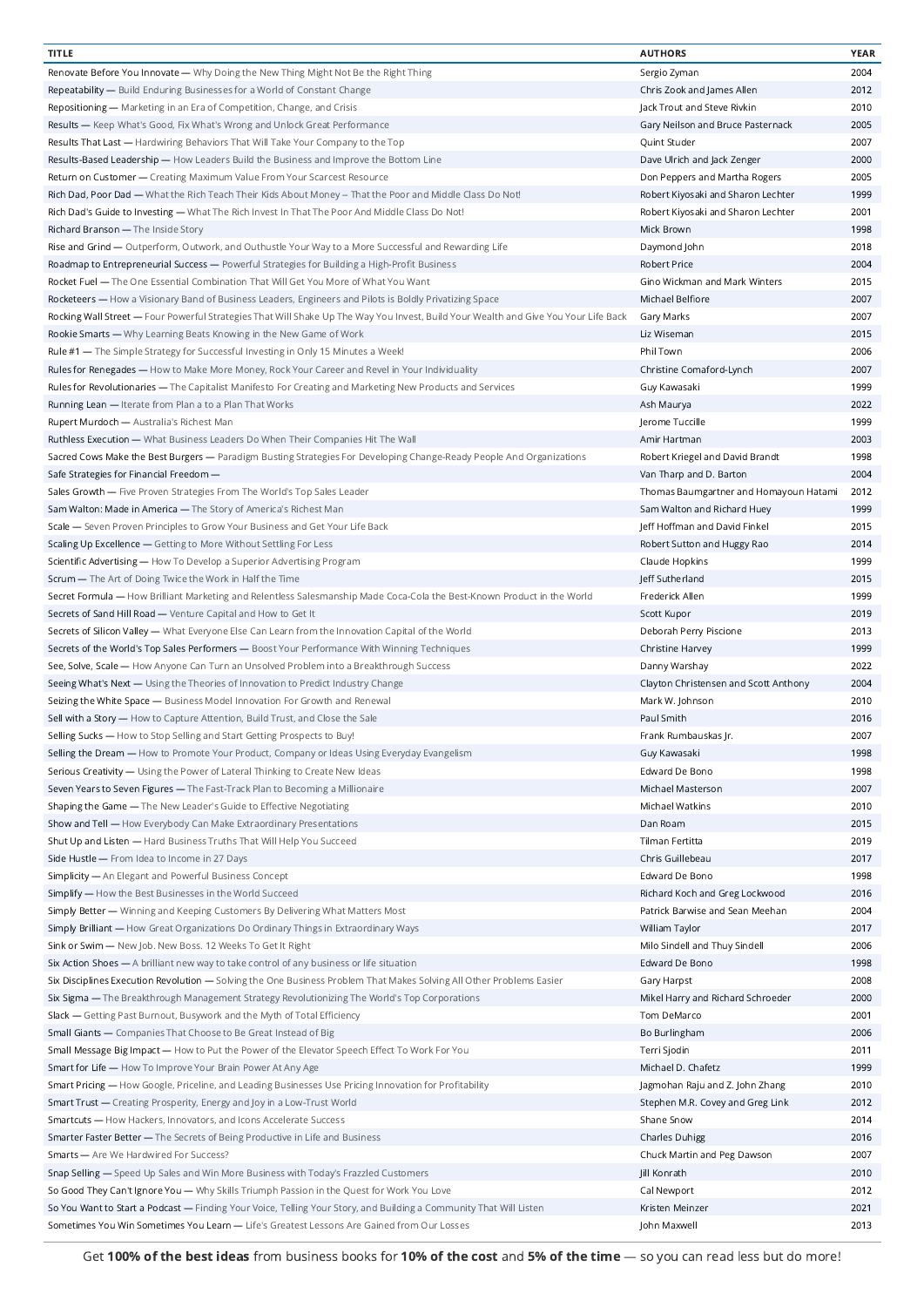| <b>TITLE</b>                                                                                                                        | <b>AUTHORS</b>                         | YEAR |
|-------------------------------------------------------------------------------------------------------------------------------------|----------------------------------------|------|
| Renovate Before You Innovate — Why Doing the New Thing Might Not Be the Right Thing                                                 | Sergio Zyman                           | 2004 |
| Repeatability - Build Enduring Businesses for a World of Constant Change                                                            | Chris Zook and James Allen             | 2012 |
|                                                                                                                                     |                                        |      |
| Repositioning - Marketing in an Era of Competition, Change, and Crisis                                                              | Jack Trout and Steve Rivkin            | 2010 |
| Results — Keep What's Good, Fix What's Wrong and Unlock Great Performance                                                           | Gary Neilson and Bruce Pasternack      | 2005 |
| Results That Last — Hardwiring Behaviors That Will Take Your Company to the Top                                                     | Quint Studer                           | 2007 |
| Results-Based Leadership — How Leaders Build the Business and Improve the Bottom Line                                               | Dave Ulrich and Jack Zenger            | 2000 |
|                                                                                                                                     |                                        |      |
| Return on Customer - Creating Maximum Value From Your Scarcest Resource                                                             | Don Peppers and Martha Rogers          | 2005 |
| Rich Dad, Poor Dad — What the Rich Teach Their Kids About Money -- That the Poor and Middle Class Do Not!                           | Robert Kiyosaki and Sharon Lechter     | 1999 |
| Rich Dad's Guide to Investing - What The Rich Invest In That The Poor And Middle Class Do Not!                                      | Robert Kiyosaki and Sharon Lechter     | 2001 |
| Richard Branson - The Inside Story                                                                                                  | Mick Brown                             | 1998 |
|                                                                                                                                     |                                        |      |
| Rise and Grind — Outperform, Outwork, and Outhustle Your Way to a More Successful and Rewarding Life                                | Daymond John                           | 2018 |
| Roadmap to Entrepreneurial Success - Powerful Strategies for Building a High-Profit Business                                        | <b>Robert Price</b>                    | 2004 |
| Rocket Fuel — The One Essential Combination That Will Get You More of What You Want                                                 | Gino Wickman and Mark Winters          | 2015 |
| Rocketeers — How a Visionary Band of Business Leaders, Engineers and Pilots is Boldly Privatizing Space                             | Michael Belfiore                       | 2007 |
|                                                                                                                                     |                                        |      |
| Rocking Wall Street - Four Powerful Strategies That Will Shake Up The Way You Invest, Build Your Wealth and Give You Your Life Back | Gary Marks                             | 2007 |
| Rookie Smarts - Why Learning Beats Knowing in the New Game of Work                                                                  | Liz Wiseman                            | 2015 |
| Rule #1 - The Simple Strategy for Successful Investing in Only 15 Minutes a Week!                                                   | Phil Town                              | 2006 |
| Rules for Renegades — How to Make More Money, Rock Your Career and Revel in Your Individuality                                      | Christine Comaford-Lynch               | 2007 |
|                                                                                                                                     |                                        |      |
| Rules for Revolutionaries - The Capitalist Manifesto For Creating and Marketing New Products and Services                           | Guy Kawasaki                           | 1999 |
| Running Lean - Iterate from Plan a to a Plan That Works                                                                             | Ash Maurya                             | 2022 |
| Rupert Murdoch - Australia's Richest Man                                                                                            | Jerome Tuccille                        | 1999 |
|                                                                                                                                     | Amir Hartman                           | 2003 |
| Ruthless Execution - What Business Leaders Do When Their Companies Hit The Wall                                                     |                                        |      |
| Sacred Cows Make the Best Burgers - Paradigm Busting Strategies For Developing Change-Ready People And Organizations                | Robert Kriegel and David Brandt        | 1998 |
| Safe Strategies for Financial Freedom -                                                                                             | Van Tharp and D. Barton                | 2004 |
| Sales Growth - Five Proven Strategies From The World's Top Sales Leader                                                             | Thomas Baumgartner and Homayoun Hatami | 2012 |
|                                                                                                                                     |                                        | 1999 |
| Sam Walton: Made in America - The Story of America's Richest Man                                                                    | Sam Walton and Richard Huey            |      |
| Scale - Seven Proven Principles to Grow Your Business and Get Your Life Back                                                        | Jeff Hoffman and David Finkel          | 2015 |
| Scaling Up Excellence - Getting to More Without Settling For Less                                                                   | Robert Sutton and Huggy Rao            | 2014 |
| Scientific Advertising - How To Develop a Superior Advertising Program                                                              | Claude Hopkins                         | 1999 |
|                                                                                                                                     |                                        | 2015 |
| Scrum - The Art of Doing Twice the Work in Half the Time                                                                            | Jeff Sutherland                        |      |
| Secret Formula - How Brilliant Marketing and Relentless Salesmanship Made Coca-Cola the Best-Known Product in the World             | Frederick Allen                        | 1999 |
| Secrets of Sand Hill Road - Venture Capital and How to Get It                                                                       | Scott Kupor                            | 2019 |
| Secrets of Silicon Valley - What Everyone Else Can Learn from the Innovation Capital of the World                                   | Deborah Perry Piscione                 | 2013 |
| Secrets of the World's Top Sales Performers - Boost Your Performance With Winning Techniques                                        | Christine Harvey                       | 1999 |
|                                                                                                                                     |                                        |      |
| See, Solve, Scale - How Anyone Can Turn an Unsolved Problem into a Breakthrough Success                                             | Danny Warshay                          | 2022 |
| Seeing What's Next - Using the Theories of Innovation to Predict Industry Change                                                    | Clayton Christensen and Scott Anthony  | 2004 |
| Seizing the White Space — Business Model Innovation For Growth and Renewal                                                          | Mark W. Johnson                        | 2010 |
|                                                                                                                                     |                                        |      |
| Sell with a Story - How to Capture Attention, Build Trust, and Close the Sale                                                       | Paul Smith                             | 2016 |
| Selling Sucks - How to Stop Selling and Start Getting Prospects to Buy!                                                             | Frank Rumbauskas Jr.                   | 2007 |
| Selling the Dream - How to Promote Your Product, Company or Ideas Using Everyday Evangelism                                         | Guy Kawasaki                           | 1998 |
| Serious Creativity - Using the Power of Lateral Thinking to Create New Ideas                                                        | Edward De Bono                         | 1998 |
|                                                                                                                                     |                                        |      |
| Seven Years to Seven Figures - The Fast-Track Plan to Becoming a Millionaire                                                        | Michael Masterson                      | 2007 |
| Shaping the Game - The New Leader's Guide to Effective Negotiating                                                                  | Michael Watkins                        | 2010 |
| Show and Tell - How Everybody Can Make Extraordinary Presentations                                                                  | Dan Roam                               | 2015 |
| Shut Up and Listen - Hard Business Truths That Will Help You Succeed                                                                | Tilman Fertitta                        | 2019 |
|                                                                                                                                     |                                        |      |
| Side Hustle - From Idea to Income in 27 Days                                                                                        | Chris Guillebeau                       | 2017 |
| Simplicity - An Elegant and Powerful Business Concept                                                                               | Edward De Bono                         | 1998 |
| Simplify - How the Best Businesses in the World Succeed                                                                             | Richard Koch and Greg Lockwood         | 2016 |
| Simply Better - Winning and Keeping Customers By Delivering What Matters Most                                                       | Patrick Barwise and Sean Meehan        | 2004 |
|                                                                                                                                     |                                        |      |
| Simply Brilliant - How Great Organizations Do Ordinary Things in Extraordinary Ways                                                 | William Taylor                         | 2017 |
| Sink or Swim - New Job. New Boss. 12 Weeks To Get It Right                                                                          | Milo Sindell and Thuy Sindell          | 2006 |
| Six Action Shoes - A brilliant new way to take control of any business or life situation                                            | Edward De Bono                         | 1998 |
| Six Disciplines Execution Revolution - Solving the One Business Problem That Makes Solving All Other Problems Easier                | Gary Harpst                            | 2008 |
|                                                                                                                                     |                                        |      |
| Six Sigma - The Breakthrough Management Strategy Revolutionizing The World's Top Corporations                                       | Mikel Harry and Richard Schroeder      | 2000 |
| Slack - Getting Past Burnout, Busywork and the Myth of Total Efficiency                                                             | Tom DeMarco                            | 2001 |
| Small Giants - Companies That Choose to Be Great Instead of Big                                                                     | Bo Burlingham                          | 2006 |
| Small Message Big Impact — How to Put the Power of the Elevator Speech Effect To Work For You                                       | Terri Sjodin                           | 2011 |
|                                                                                                                                     |                                        |      |
| Smart for Life - How To Improve Your Brain Power At Any Age                                                                         | Michael D. Chafetz                     | 1999 |
| Smart Pricing - How Google, Priceline, and Leading Businesses Use Pricing Innovation for Profitability                              | Jagmohan Raju and Z. John Zhang        | 2010 |
| Smart Trust - Creating Prosperity, Energy and Joy in a Low-Trust World                                                              | Stephen M.R. Covey and Greg Link       | 2012 |
| Smartcuts - How Hackers, Innovators, and Icons Accelerate Success                                                                   | Shane Snow                             | 2014 |
|                                                                                                                                     |                                        |      |
| Smarter Faster Better - The Secrets of Being Productive in Life and Business                                                        | <b>Charles Duhigg</b>                  | 2016 |
| Smarts - Are We Hardwired For Success?                                                                                              | Chuck Martin and Peg Dawson            | 2007 |
| Snap Selling - Speed Up Sales and Win More Business with Today's Frazzled Customers                                                 | Jill Konrath                           | 2010 |
| So Good They Can't Ignore You — Why Skills Triumph Passion in the Quest for Work You Love                                           | Cal Newport                            | 2012 |
|                                                                                                                                     |                                        |      |
| So You Want to Start a Podcast — Finding Your Voice, Telling Your Story, and Building a Community That Will Listen                  | Kristen Meinzer                        | 2021 |
| Sometimes You Win Sometimes You Learn - Life's Greatest Lessons Are Gained from Our Losses                                          | John Maxwell                           | 2013 |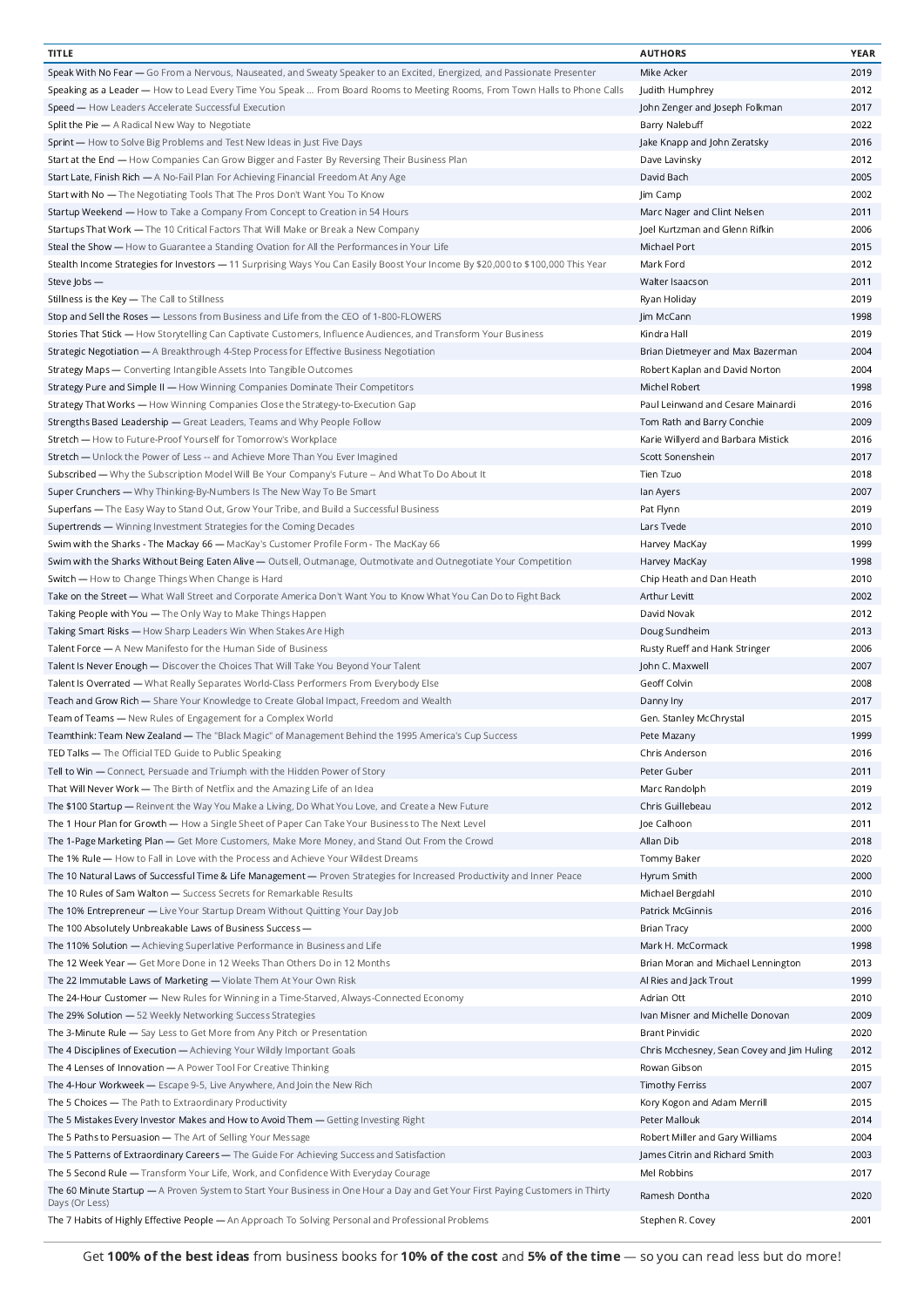| <b>TITLE</b>                                                                                                                     | <b>AUTHORS</b>                             | YEAR |
|----------------------------------------------------------------------------------------------------------------------------------|--------------------------------------------|------|
| Speak With No Fear — Go From a Nervous, Nauseated, and Sweaty Speaker to an Excited, Energized, and Passionate Presenter         | Mike Acker                                 | 2019 |
| Speaking as a Leader — How to Lead Every Time You Speak  From Board Rooms to Meeting Rooms, From Town Halls to Phone Calls       | Judith Humphrey                            | 2012 |
| Speed - How Leaders Accelerate Successful Execution                                                                              | John Zenger and Joseph Folkman             | 2017 |
| Split the Pie - A Radical New Way to Negotiate                                                                                   | Barry Nalebuff                             | 2022 |
|                                                                                                                                  |                                            |      |
| Sprint — How to Solve Big Problems and Test New Ideas in Just Five Days                                                          | Jake Knapp and John Zeratsky               | 2016 |
| Start at the End - How Companies Can Grow Bigger and Faster By Reversing Their Business Plan                                     | Dave Lavinsky                              | 2012 |
| Start Late, Finish Rich - A No-Fail Plan For Achieving Financial Freedom At Any Age                                              | David Bach                                 | 2005 |
| Start with No - The Negotiating Tools That The Pros Don't Want You To Know                                                       | Jim Camp                                   | 2002 |
| Startup Weekend - How to Take a Company From Concept to Creation in 54 Hours                                                     | Marc Nager and Clint Nelsen                | 2011 |
| Startups That Work - The 10 Critical Factors That Will Make or Break a New Company                                               | Joel Kurtzman and Glenn Rifkin             | 2006 |
| Steal the Show - How to Guarantee a Standing Ovation for All the Performances in Your Life                                       | Michael Port                               | 2015 |
| Stealth Income Strategies for Investors - 11 Surprising Ways You Can Easily Boost Your Income By \$20,000 to \$100,000 This Year | Mark Ford                                  | 2012 |
|                                                                                                                                  |                                            | 2011 |
| Steve Jobs -                                                                                                                     | Walter Isaacson                            |      |
| Stillness is the Key - The Call to Stillness                                                                                     | Ryan Holiday                               | 2019 |
| Stop and Sell the Roses - Lessons from Business and Life from the CEO of 1-800-FLOWERS                                           | Jim McCann                                 | 1998 |
| Stories That Stick - How Storytelling Can Captivate Customers, Influence Audiences, and Transform Your Business                  | Kindra Hall                                | 2019 |
| Strategic Negotiation - A Breakthrough 4-Step Process for Effective Business Negotiation                                         | Brian Dietmeyer and Max Bazerman           | 2004 |
| Strategy Maps - Converting Intangible Assets Into Tangible Outcomes                                                              | Robert Kaplan and David Norton             | 2004 |
| Strategy Pure and Simple II - How Winning Companies Dominate Their Competitors                                                   | Michel Robert                              | 1998 |
| Strategy That Works - How Winning Companies Close the Strategy-to-Execution Gap                                                  | Paul Leinwand and Cesare Mainardi          | 2016 |
| Strengths Based Leadership - Great Leaders, Teams and Why People Follow                                                          | Tom Rath and Barry Conchie                 | 2009 |
|                                                                                                                                  |                                            |      |
| Stretch - How to Future-Proof Yourself for Tomorrow's Workplace                                                                  | Karie Willyerd and Barbara Mistick         | 2016 |
| Stretch - Unlock the Power of Less -- and Achieve More Than You Ever Imagined                                                    | Scott Sonenshein                           | 2017 |
| Subscribed - Why the Subscription Model Will Be Your Company's Future -- And What To Do About It                                 | Tien Tzuo                                  | 2018 |
| Super Crunchers - Why Thinking-By-Numbers Is The New Way To Be Smart                                                             | lan Ayers                                  | 2007 |
| Superfans - The Easy Way to Stand Out, Grow Your Tribe, and Build a Successful Business                                          | Pat Flynn                                  | 2019 |
| Supertrends - Winning Investment Strategies for the Coming Decades                                                               | Lars Tvede                                 | 2010 |
| Swim with the Sharks - The Mackay 66 — MacKay's Customer Profile Form - The MacKay 66                                            | Harvey MacKay                              | 1999 |
| Swim with the Sharks Without Being Eaten Alive - Outsell, Outmanage, Outmotivate and Outnegotiate Your Competition               | Harvey MacKay                              | 1998 |
|                                                                                                                                  |                                            |      |
| Switch - How to Change Things When Change is Hard                                                                                | Chip Heath and Dan Heath                   | 2010 |
| Take on the Street - What Wall Street and Corporate America Don't Want You to Know What You Can Do to Fight Back                 | Arthur Levitt                              | 2002 |
| Taking People with You - The Only Way to Make Things Happen                                                                      | David Novak                                | 2012 |
| Taking Smart Risks - How Sharp Leaders Win When Stakes Are High                                                                  | Doug Sundheim                              | 2013 |
| Talent Force - A New Manifesto for the Human Side of Business                                                                    | Rusty Rueff and Hank Stringer              | 2006 |
| Talent Is Never Enough - Discover the Choices That Will Take You Beyond Your Talent                                              | John C. Maxwell                            | 2007 |
| Talent Is Overrated - What Really Separates World-Class Performers From Everybody Else                                           | Geoff Colvin                               | 2008 |
| Teach and Grow Rich - Share Your Knowledge to Create Global Impact, Freedom and Wealth                                           | Danny Iny                                  | 2017 |
|                                                                                                                                  |                                            | 2015 |
| Team of Teams - New Rules of Engagement for a Complex World                                                                      | Gen. Stanley McChrystal                    |      |
| Teamthink: Team New Zealand — The "Black Magic" of Management Behind the 1995 America's Cup Success                              | Pete Mazany                                | 1999 |
| TED Talks - The Official TED Guide to Public Speaking                                                                            | Chris Anderson                             | 2016 |
| Tell to Win - Connect, Persuade and Triumph with the Hidden Power of Story                                                       | Peter Guber                                | 2011 |
| That Will Never Work - The Birth of Netflix and the Amazing Life of an Idea                                                      | Marc Randolph                              | 2019 |
| The \$100 Startup — Reinvent the Way You Make a Living, Do What You Love, and Create a New Future                                | Chris Guillebeau                           | 2012 |
| The 1 Hour Plan for Growth - How a Single Sheet of Paper Can Take Your Business to The Next Level                                | Joe Calhoon                                | 2011 |
| The 1-Page Marketing Plan - Get More Customers, Make More Money, and Stand Out From the Crowd                                    | Allan Dib                                  | 2018 |
| The 1% Rule - How to Fall in Love with the Process and Achieve Your Wildest Dreams                                               | Tommy Baker                                | 2020 |
|                                                                                                                                  |                                            | 2000 |
| The 10 Natural Laws of Successful Time & Life Management - Proven Strategies for Increased Productivity and Inner Peace          | Hyrum Smith                                |      |
| The 10 Rules of Sam Walton - Success Secrets for Remarkable Results                                                              | Michael Bergdahl                           | 2010 |
| The 10% Entrepreneur - Live Your Startup Dream Without Quitting Your Day Job                                                     | Patrick McGinnis                           | 2016 |
| The 100 Absolutely Unbreakable Laws of Business Success -                                                                        | <b>Brian Tracy</b>                         | 2000 |
| The 110% Solution - Achieving Superlative Performance in Business and Life                                                       | Mark H. McCormack                          | 1998 |
| The 12 Week Year - Get More Done in 12 Weeks Than Others Do in 12 Months                                                         | Brian Moran and Michael Lennington         | 2013 |
| The 22 Immutable Laws of Marketing — Violate Them At Your Own Risk                                                               | Al Ries and Jack Trout                     | 1999 |
| The 24-Hour Customer - New Rules for Winning in a Time-Starved, Always-Connected Economy                                         | Adrian Ott                                 | 2010 |
|                                                                                                                                  |                                            | 2009 |
| The 29% Solution - 52 Weekly Networking Success Strategies                                                                       | Ivan Misner and Michelle Donovan           |      |
| The 3-Minute Rule - Say Less to Get More from Any Pitch or Presentation                                                          | <b>Brant Pinvidic</b>                      | 2020 |
| The 4 Disciplines of Execution - Achieving Your Wildly Important Goals                                                           | Chris Mcchesney, Sean Covey and Jim Huling | 2012 |
| The 4 Lenses of Innovation - A Power Tool For Creative Thinking                                                                  | Rowan Gibson                               | 2015 |
| The 4-Hour Workweek - Escape 9-5, Live Anywhere, And Join the New Rich                                                           | <b>Timothy Ferriss</b>                     | 2007 |
| The 5 Choices - The Path to Extraordinary Productivity                                                                           | Kory Kogon and Adam Merrill                | 2015 |
| The 5 Mistakes Every Investor Makes and How to Avoid Them — Getting Investing Right                                              | Peter Mallouk                              | 2014 |
| The 5 Paths to Persuasion - The Art of Selling Your Message                                                                      | Robert Miller and Gary Williams            | 2004 |
| The 5 Patterns of Extraordinary Careers - The Guide For Achieving Success and Satisfaction                                       | James Citrin and Richard Smith             | 2003 |
|                                                                                                                                  |                                            |      |
| The 5 Second Rule — Transform Your Life, Work, and Confidence With Everyday Courage                                              | Mel Robbins                                | 2017 |
| The 60 Minute Startup - A Proven System to Start Your Business in One Hour a Day and Get Your First Paying Customers in Thirty   | Ramesh Dontha                              | 2020 |
| Days (Or Less)                                                                                                                   |                                            |      |
| The 7 Habits of Highly Effective People - An Approach To Solving Personal and Professional Problems                              | Stephen R. Covey                           | 2001 |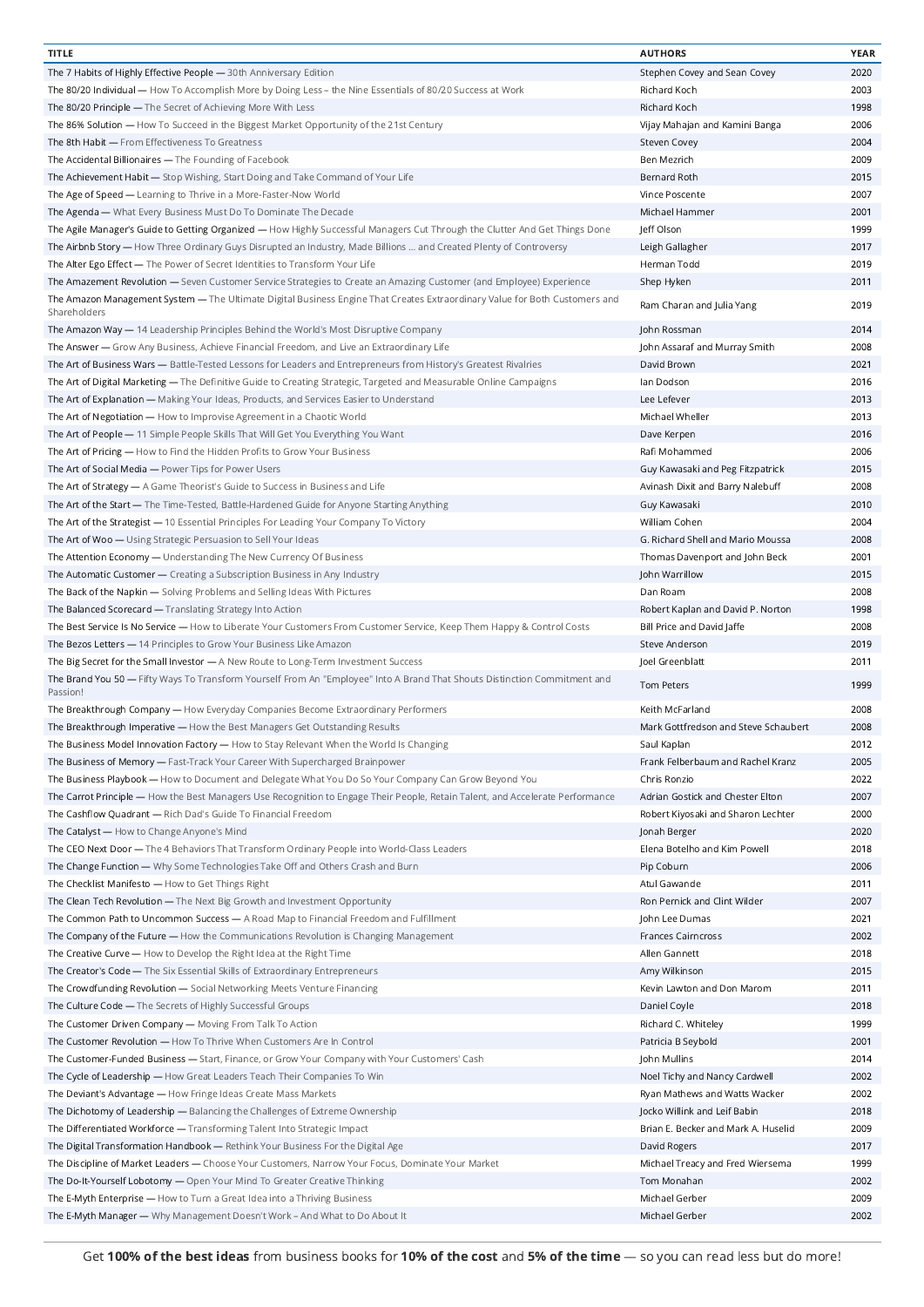| <b>TITLE</b>                                                                                                                                | <b>AUTHORS</b>                       | YEAR |
|---------------------------------------------------------------------------------------------------------------------------------------------|--------------------------------------|------|
| The 7 Habits of Highly Effective People - 30th Anniversary Edition                                                                          | Stephen Covey and Sean Covey         | 2020 |
| The 80/20 Individual — How To Accomplish More by Doing Less – the Nine Essentials of 80/20 Success at Work                                  | Richard Koch                         | 2003 |
| The 80/20 Principle - The Secret of Achieving More With Less                                                                                | Richard Koch                         | 1998 |
|                                                                                                                                             |                                      | 2006 |
| The 86% Solution — How To Succeed in the Biggest Market Opportunity of the 21st Century                                                     | Vijay Mahajan and Kamini Banga       |      |
| The 8th Habit - From Effectiveness To Greatness                                                                                             | Steven Covey                         | 2004 |
| The Accidental Billionaires - The Founding of Facebook                                                                                      | Ben Mezrich                          | 2009 |
| The Achievement Habit - Stop Wishing, Start Doing and Take Command of Your Life                                                             | Bernard Roth                         | 2015 |
| The Age of Speed - Learning to Thrive in a More-Faster-Now World                                                                            | Vince Poscente                       | 2007 |
| The Agenda - What Every Business Must Do To Dominate The Decade                                                                             | Michael Hammer                       | 2001 |
| The Agile Manager's Guide to Getting Organized — How Highly Successful Managers Cut Through the Clutter And Get Things Done                 | Jeff Olson                           | 1999 |
| The Airbnb Story — How Three Ordinary Guys Disrupted an Industry, Made Billions  and Created Plenty of Controversy                          | Leigh Gallagher                      | 2017 |
| The Alter Ego Effect - The Power of Secret Identities to Transform Your Life                                                                | Herman Todd                          | 2019 |
|                                                                                                                                             |                                      |      |
| The Amazement Revolution - Seven Customer Service Strategies to Create an Amazing Customer (and Employee) Experience                        | Shep Hyken                           | 2011 |
| The Amazon Management System - The Ultimate Digital Business Engine That Creates Extraordinary Value for Both Customers and<br>Shareholders | Ram Charan and Julia Yang            | 2019 |
| The Amazon Way - 14 Leadership Principles Behind the World's Most Disruptive Company                                                        | John Rossman                         | 2014 |
| The Answer - Grow Any Business, Achieve Financial Freedom, and Live an Extraordinary Life                                                   | John Assaraf and Murray Smith        | 2008 |
| The Art of Business Wars - Battle-Tested Lessons for Leaders and Entrepreneurs from History's Greatest Rivalries                            | David Brown                          | 2021 |
| The Art of Digital Marketing - The Definitive Guide to Creating Strategic, Targeted and Measurable Online Campaigns                         | lan Dodson                           | 2016 |
| The Art of Explanation - Making Your Ideas, Products, and Services Easier to Understand                                                     | Lee Lefever                          | 2013 |
| The Art of Negotiation - How to Improvise Agreement in a Chaotic World                                                                      | Michael Wheller                      | 2013 |
|                                                                                                                                             |                                      |      |
| The Art of People - 11 Simple People Skills That Will Get You Everything You Want                                                           | Dave Kerpen                          | 2016 |
| The Art of Pricing - How to Find the Hidden Profits to Grow Your Business                                                                   | Rafi Mohammed                        | 2006 |
| The Art of Social Media - Power Tips for Power Users                                                                                        | Guy Kawasaki and Peg Fitzpatrick     | 2015 |
| The Art of Strategy $-$ A Game Theorist's Guide to Success in Business and Life                                                             | Avinash Dixit and Barry Nalebuff     | 2008 |
| The Art of the Start — The Time-Tested, Battle-Hardened Guide for Anyone Starting Anything                                                  | Guy Kawasaki                         | 2010 |
| The Art of the Strategist - 10 Essential Principles For Leading Your Company To Victory                                                     | William Cohen                        | 2004 |
|                                                                                                                                             | G. Richard Shell and Mario Moussa    | 2008 |
| The Art of Woo - Using Strategic Persuasion to Sell Your Ideas                                                                              |                                      |      |
| The Attention Economy - Understanding The New Currency Of Business                                                                          | Thomas Davenport and John Beck       | 2001 |
| The Automatic Customer - Creating a Subscription Business in Any Industry                                                                   | John Warrillow                       | 2015 |
| The Back of the Napkin - Solving Problems and Selling Ideas With Pictures                                                                   | Dan Roam                             | 2008 |
| The Balanced Scorecard - Translating Strategy Into Action                                                                                   | Robert Kaplan and David P. Norton    | 1998 |
| The Best Service Is No Service - How to Liberate Your Customers From Customer Service, Keep Them Happy & Control Costs                      | Bill Price and David Jaffe           | 2008 |
| The Bezos Letters - 14 Principles to Grow Your Business Like Amazon                                                                         | Steve Anderson                       | 2019 |
|                                                                                                                                             |                                      |      |
| The Big Secret for the Small Investor - A New Route to Long-Term Investment Success                                                         | Joel Greenblatt                      | 2011 |
| The Brand You 50 - Fifty Ways To Transform Yourself From An "Employee" Into A Brand That Shouts Distinction Commitment and<br>Passion!      | Tom Peters                           | 1999 |
| The Breakthrough Company - How Everyday Companies Become Extraordinary Performers                                                           | Keith McFarland                      | 2008 |
| The Breakthrough Imperative - How the Best Managers Get Outstanding Results                                                                 | Mark Gottfredson and Steve Schaubert | 2008 |
| The Business Model Innovation Factory - How to Stay Relevant When the World Is Changing                                                     | Saul Kaplan                          | 2012 |
| The Business of Memory - Fast-Track Your Career With Supercharged Brainpower                                                                | Frank Felberbaum and Rachel Kranz    | 2005 |
| The Business Playbook - How to Document and Delegate What You Do So Your Company Can Grow Beyond You                                        | Chris Ronzio                         | 2022 |
|                                                                                                                                             |                                      |      |
| The Carrot Principle — How the Best Managers Use Recognition to Engage Their People, Retain Talent, and Accelerate Performance              | Adrian Gostick and Chester Elton     | 2007 |
| The Cashflow Quadrant - Rich Dad's Guide To Financial Freedom                                                                               | Robert Kiyosaki and Sharon Lechter   | 2000 |
| The Catalyst - How to Change Anyone's Mind                                                                                                  | Jonah Berger                         | 2020 |
| The CEO Next Door - The 4 Behaviors That Transform Ordinary People into World-Class Leaders                                                 | Elena Botelho and Kim Powell         | 2018 |
| The Change Function - Why Some Technologies Take Off and Others Crash and Burn                                                              | Pip Coburn                           | 2006 |
| The Checklist Manifesto - How to Get Things Right                                                                                           | Atul Gawande                         | 2011 |
| The Clean Tech Revolution - The Next Big Growth and Investment Opportunity                                                                  | Ron Pernick and Clint Wilder         | 2007 |
|                                                                                                                                             |                                      | 2021 |
| The Common Path to Uncommon Success - A Road Map to Financial Freedom and Fulfillment                                                       | John Lee Dumas                       |      |
| The Company of the Future - How the Communications Revolution is Changing Management                                                        | <b>Frances Cairncross</b>            | 2002 |
| The Creative Curve - How to Develop the Right Idea at the Right Time                                                                        | Allen Gannett                        | 2018 |
| The Creator's Code - The Six Essential Skills of Extraordinary Entrepreneurs                                                                | Amy Wilkinson                        | 2015 |
| The Crowdfunding Revolution - Social Networking Meets Venture Financing                                                                     | Kevin Lawton and Don Marom           | 2011 |
| The Culture Code - The Secrets of Highly Successful Groups                                                                                  | Daniel Coyle                         | 2018 |
| The Customer Driven Company - Moving From Talk To Action                                                                                    | Richard C. Whiteley                  | 1999 |
|                                                                                                                                             |                                      |      |
| The Customer Revolution - How To Thrive When Customers Are In Control                                                                       | Patricia B Seybold                   | 2001 |
| The Customer-Funded Business - Start, Finance, or Grow Your Company with Your Customers' Cash                                               | John Mullins                         | 2014 |
| The Cycle of Leadership — How Great Leaders Teach Their Companies To Win                                                                    | Noel Tichy and Nancy Cardwell        | 2002 |
| The Deviant's Advantage - How Fringe Ideas Create Mass Markets                                                                              | Ryan Mathews and Watts Wacker        | 2002 |
| The Dichotomy of Leadership - Balancing the Challenges of Extreme Ownership                                                                 | Jocko Willink and Leif Babin         | 2018 |
| The Differentiated Workforce - Transforming Talent Into Strategic Impact                                                                    | Brian E. Becker and Mark A. Huselid  | 2009 |
| The Digital Transformation Handbook - Rethink Your Business For the Digital Age                                                             | David Rogers                         | 2017 |
|                                                                                                                                             |                                      |      |
| The Discipline of Market Leaders - Choose Your Customers, Narrow Your Focus, Dominate Your Market                                           | Michael Treacy and Fred Wiersema     | 1999 |
| The Do-It-Yourself Lobotomy - Open Your Mind To Greater Creative Thinking                                                                   | Tom Monahan                          | 2002 |
| The E-Myth Enterprise - How to Turn a Great Idea into a Thriving Business                                                                   | Michael Gerber                       | 2009 |
| The E-Myth Manager - Why Management Doesn't Work - And What to Do About It                                                                  | Michael Gerber                       | 2002 |
|                                                                                                                                             |                                      |      |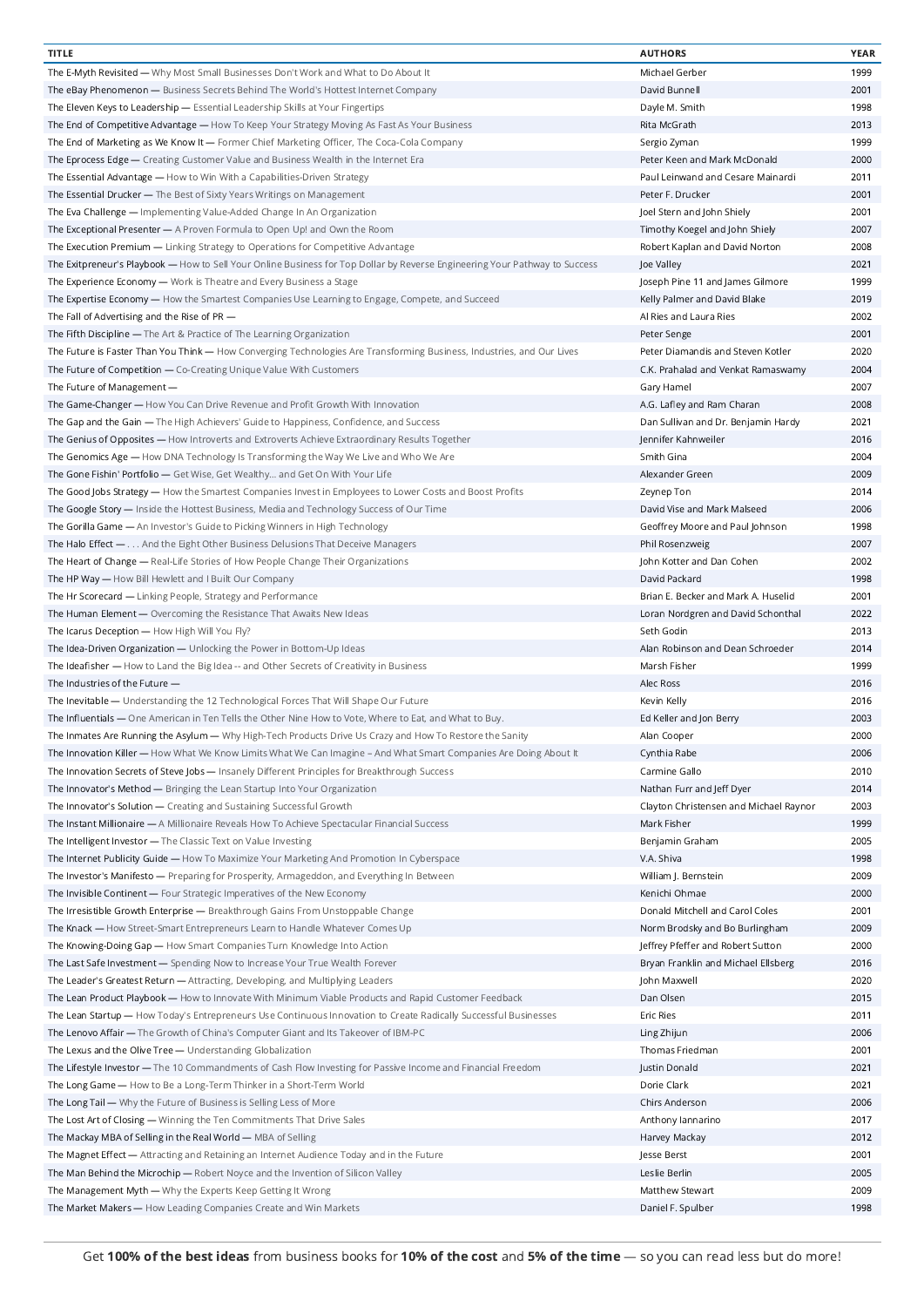| <b>TITLE</b>                                                                                                                | <b>AUTHORS</b>                         | <b>YEAR</b> |
|-----------------------------------------------------------------------------------------------------------------------------|----------------------------------------|-------------|
| The E-Myth Revisited — Why Most Small Businesses Don't Work and What to Do About It                                         | Michael Gerber                         | 1999        |
| The eBay Phenomenon - Business Secrets Behind The World's Hottest Internet Company                                          | David Bunnell                          | 2001        |
| The Eleven Keys to Leadership - Essential Leadership Skills at Your Fingertips                                              | Dayle M. Smith                         | 1998        |
|                                                                                                                             |                                        |             |
| The End of Competitive Advantage — How To Keep Your Strategy Moving As Fast As Your Business                                | Rita McGrath                           | 2013        |
| The End of Marketing as We Know It — Former Chief Marketing Officer, The Coca-Cola Company                                  | Sergio Zyman                           | 1999        |
| The Eprocess Edge — Creating Customer Value and Business Wealth in the Internet Era                                         | Peter Keen and Mark McDonald           | 2000        |
| The Essential Advantage - How to Win With a Capabilities-Driven Strategy                                                    | Paul Leinwand and Cesare Mainardi      | 2011        |
| The Essential Drucker - The Best of Sixty Years Writings on Management                                                      | Peter F. Drucker                       | 2001        |
| The Eva Challenge - Implementing Value-Added Change In An Organization                                                      | Joel Stern and John Shiely             | 2001        |
| The Exceptional Presenter - A Proven Formula to Open Up! and Own the Room                                                   | Timothy Koegel and John Shiely         | 2007        |
| The Execution Premium - Linking Strategy to Operations for Competitive Advantage                                            | Robert Kaplan and David Norton         | 2008        |
|                                                                                                                             |                                        |             |
| The Exitpreneur's Playbook - How to Sell Your Online Business for Top Dollar by Reverse Engineering Your Pathway to Success | Joe Valley                             | 2021        |
| The Experience Economy - Work is Theatre and Every Business a Stage                                                         | Joseph Pine 11 and James Gilmore       | 1999        |
| The Expertise Economy - How the Smartest Companies Use Learning to Engage, Compete, and Succeed                             | Kelly Palmer and David Blake           | 2019        |
| The Fall of Advertising and the Rise of PR -                                                                                | Al Ries and Laura Ries                 | 2002        |
| The Fifth Discipline - The Art & Practice of The Learning Organization                                                      | Peter Senge                            | 2001        |
| The Future is Faster Than You Think - How Converging Technologies Are Transforming Business, Industries, and Our Lives      | Peter Diamandis and Steven Kotler      | 2020        |
| The Future of Competition - Co-Creating Unique Value With Customers                                                         | C.K. Prahalad and Venkat Ramaswamy     | 2004        |
| The Future of Management -                                                                                                  | Gary Hamel                             | 2007        |
|                                                                                                                             |                                        |             |
| The Game-Changer - How You Can Drive Revenue and Profit Growth With Innovation                                              | A.G. Lafley and Ram Charan             | 2008        |
| The Gap and the Gain - The High Achievers' Guide to Happiness, Confidence, and Success                                      | Dan Sullivan and Dr. Benjamin Hardy    | 2021        |
| The Genius of Opposites - How Introverts and Extroverts Achieve Extraordinary Results Together                              | Jennifer Kahnweiler                    | 2016        |
| The Genomics Age — How DNA Technology Is Transforming the Way We Live and Who We Are                                        | Smith Gina                             | 2004        |
| The Gone Fishin' Portfolio - Get Wise, Get Wealthy and Get On With Your Life                                                | Alexander Green                        | 2009        |
| The Good Jobs Strategy - How the Smartest Companies Invest in Employees to Lower Costs and Boost Profits                    | Zeynep Ton                             | 2014        |
| The Google Story - Inside the Hottest Business, Media and Technology Success of Our Time                                    | David Vise and Mark Malseed            | 2006        |
|                                                                                                                             |                                        | 1998        |
| The Gorilla Game - An Investor's Guide to Picking Winners in High Technology                                                | Geoffrey Moore and Paul Johnson        |             |
| The Halo Effect - And the Eight Other Business Delusions That Deceive Managers                                              | Phil Rosenzweig                        | 2007        |
| The Heart of Change - Real-Life Stories of How People Change Their Organizations                                            | John Kotter and Dan Cohen              | 2002        |
| The HP Way - How Bill Hewlett and I Built Our Company                                                                       | David Packard                          | 1998        |
| The Hr Scorecard - Linking People, Strategy and Performance                                                                 | Brian E. Becker and Mark A. Huselid    | 2001        |
| The Human Element - Overcoming the Resistance That Awaits New Ideas                                                         | Loran Nordgren and David Schonthal     | 2022        |
| The Icarus Deception - How High Will You Fly?                                                                               | Seth Godin                             | 2013        |
| The Idea-Driven Organization - Unlocking the Power in Bottom-Up Ideas                                                       | Alan Robinson and Dean Schroeder       | 2014        |
|                                                                                                                             |                                        |             |
| The Ideafisher - How to Land the Big Idea -- and Other Secrets of Creativity in Business                                    | Marsh Fisher                           | 1999        |
| The Industries of the Future -                                                                                              | Alec Ross                              | 2016        |
| The Inevitable - Understanding the 12 Technological Forces That Will Shape Our Future                                       | Kevin Kelly                            | 2016        |
| The Influentials - One American in Ten Tells the Other Nine How to Vote, Where to Eat, and What to Buy.                     | Ed Keller and Jon Berry                | 2003        |
| The Inmates Are Running the Asylum - Why High-Tech Products Drive Us Crazy and How To Restore the Sanity                    | Alan Cooper                            | 2000        |
| The Innovation Killer - How What We Know Limits What We Can Imagine - And What Smart Companies Are Doing About It           | Cynthia Rabe                           | 2006        |
| The Innovation Secrets of Steve Jobs - Insanely Different Principles for Breakthrough Success                               | Carmine Gallo                          | 2010        |
| The Innovator's Method - Bringing the Lean Startup Into Your Organization                                                   | Nathan Furr and Jeff Dyer              | 2014        |
|                                                                                                                             |                                        |             |
| The Innovator's Solution - Creating and Sustaining Successful Growth                                                        | Clayton Christensen and Michael Raynor | 2003        |
| The Instant Millionaire - A Millionaire Reveals How To Achieve Spectacular Financial Success                                | Mark Fisher                            | 1999        |
| The Intelligent Investor - The Classic Text on Value Investing                                                              | Benjamin Graham                        | 2005        |
| The Internet Publicity Guide - How To Maximize Your Marketing And Promotion In Cyberspace                                   | V.A. Shiva                             | 1998        |
| The Investor's Manifesto - Preparing for Prosperity, Armageddon, and Everything In Between                                  | William J. Bernstein                   | 2009        |
| The Invisible Continent - Four Strategic Imperatives of the New Economy                                                     | Kenichi Ohmae                          | 2000        |
| The Irresistible Growth Enterprise - Breakthrough Gains From Unstoppable Change                                             | Donald Mitchell and Carol Coles        | 2001        |
| The Knack - How Street-Smart Entrepreneurs Learn to Handle Whatever Comes Up                                                | Norm Brodsky and Bo Burlingham         | 2009        |
|                                                                                                                             |                                        |             |
| The Knowing-Doing Gap - How Smart Companies Turn Knowledge Into Action                                                      | Jeffrey Pfeffer and Robert Sutton      | 2000        |
| The Last Safe Investment - Spending Now to Increase Your True Wealth Forever                                                | Bryan Franklin and Michael Ellsberg    | 2016        |
| The Leader's Greatest Return - Attracting, Developing, and Multiplying Leaders                                              | John Maxwell                           | 2020        |
| The Lean Product Playbook - How to Innovate With Minimum Viable Products and Rapid Customer Feedback                        | Dan Olsen                              | 2015        |
| The Lean Startup - How Today's Entrepreneurs Use Continuous Innovation to Create Radically Successful Businesses            | <b>Eric Ries</b>                       | 2011        |
| The Lenovo Affair - The Growth of China's Computer Giant and Its Takeover of IBM-PC                                         | Ling Zhijun                            | 2006        |
| The Lexus and the Olive Tree - Understanding Globalization                                                                  | Thomas Friedman                        | 2001        |
| The Lifestyle Investor - The 10 Commandments of Cash Flow Investing for Passive Income and Financial Freedom                | Justin Donald                          | 2021        |
|                                                                                                                             |                                        |             |
| The Long Game - How to Be a Long-Term Thinker in a Short-Term World                                                         | Dorie Clark                            | 2021        |
| The Long Tail - Why the Future of Business is Selling Less of More                                                          | Chirs Anderson                         | 2006        |
| The Lost Art of Closing - Winning the Ten Commitments That Drive Sales                                                      | Anthony Iannarino                      | 2017        |
| The Mackay MBA of Selling in the Real World - MBA of Selling                                                                | Harvey Mackay                          | 2012        |
| The Magnet Effect - Attracting and Retaining an Internet Audience Today and in the Future                                   | Jesse Berst                            | 2001        |
| The Man Behind the Microchip - Robert Noyce and the Invention of Silicon Valley                                             | Leslie Berlin                          | 2005        |
| The Management Myth - Why the Experts Keep Getting It Wrong                                                                 | Matthew Stewart                        | 2009        |
|                                                                                                                             |                                        | 1998        |
| The Market Makers - How Leading Companies Create and Win Markets                                                            | Daniel F. Spulber                      |             |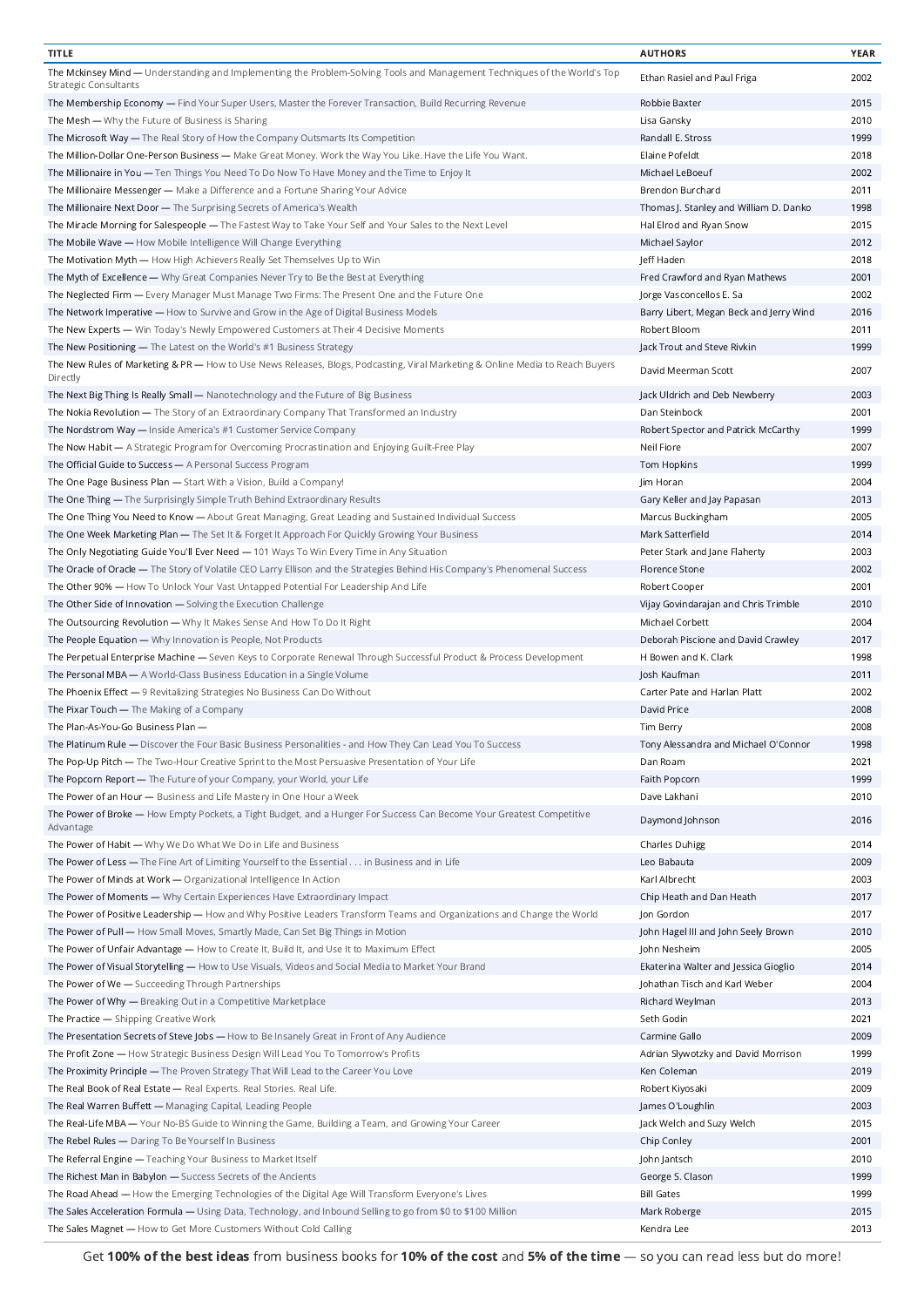| <b>TITLE</b>                                                                                                                                                      | <b>AUTHORS</b>                          | <b>YEAR</b>  |
|-------------------------------------------------------------------------------------------------------------------------------------------------------------------|-----------------------------------------|--------------|
| The Mckinsey Mind - Understanding and Implementing the Problem-Solving Tools and Management Techniques of the World's Top<br><b>Strategic Consultants</b>         | Ethan Rasiel and Paul Friga             | 2002         |
| The Membership Economy - Find Your Super Users, Master the Forever Transaction, Build Recurring Revenue                                                           | Robbie Baxter                           | 2015         |
| The Mesh - Why the Future of Business is Sharing                                                                                                                  | Lisa Gansky                             | 2010         |
| The Microsoft Way — The Real Story of How the Company Outsmarts Its Competition                                                                                   | Randall E. Stross                       | 1999         |
| The Million-Dollar One-Person Business — Make Great Money. Work the Way You Like. Have the Life You Want.                                                         | Elaine Pofeldt                          | 2018         |
| The Millionaire in You — Ten Things You Need To Do Now To Have Money and the Time to Enjoy It                                                                     | Michael LeBoeuf                         | 2002         |
| The Millionaire Messenger - Make a Difference and a Fortune Sharing Your Advice                                                                                   | Brendon Burchard                        | 2011         |
| The Millionaire Next Door - The Surprising Secrets of America's Wealth                                                                                            | Thomas J. Stanley and William D. Danko  | 1998         |
| The Miracle Morning for Salespeople - The Fastest Way to Take Your Self and Your Sales to the Next Level                                                          | Hal Elrod and Ryan Snow                 | 2015         |
| The Mobile Wave - How Mobile Intelligence Will Change Everything                                                                                                  | Michael Saylor                          | 2012         |
| The Motivation Myth - How High Achievers Really Set Themselves Up to Win                                                                                          | Jeff Haden                              | 2018         |
| The Myth of Excellence — Why Great Companies Never Try to Be the Best at Everything                                                                               | Fred Crawford and Ryan Mathews          | 2001         |
| The Neglected Firm - Every Manager Must Manage Two Firms: The Present One and the Future One                                                                      | Jorge Vasconcellos E. Sa                | 2002         |
| The Network Imperative - How to Survive and Grow in the Age of Digital Business Models                                                                            | Barry Libert, Megan Beck and Jerry Wind | 2016         |
| The New Experts - Win Today's Newly Empowered Customers at Their 4 Decisive Moments                                                                               | Robert Bloom                            | 2011         |
| The New Positioning — The Latest on the World's #1 Business Strategy                                                                                              | Jack Trout and Steve Rivkin             | 1999         |
| The New Rules of Marketing & PR — How to Use News Releases, Blogs, Podcasting, Viral Marketing & Online Media to Reach Buyers<br>Directly                         | David Meerman Scott                     | 2007         |
| The Next Big Thing Is Really Small - Nanotechnology and the Future of Big Business                                                                                | Jack Uldrich and Deb Newberry           | 2003         |
| The Nokia Revolution - The Story of an Extraordinary Company That Transformed an Industry                                                                         | Dan Steinbock                           | 2001         |
| The Nordstrom Way - Inside America's #1 Customer Service Company                                                                                                  | Robert Spector and Patrick McCarthy     | 1999         |
| The Now Habit - A Strategic Program for Overcoming Procrastination and Enjoying Guilt-Free Play                                                                   | Neil Fiore                              | 2007         |
| The Official Guide to Success - A Personal Success Program                                                                                                        | Tom Hopkins                             | 1999         |
| The One Page Business Plan - Start With a Vision, Build a Company!                                                                                                | Jim Horan                               | 2004         |
| The One Thing — The Surprisingly Simple Truth Behind Extraordinary Results                                                                                        | Gary Keller and Jay Papasan             | 2013         |
| The One Thing You Need to Know - About Great Managing, Great Leading and Sustained Individual Success                                                             | Marcus Buckingham                       | 2005         |
| The One Week Marketing Plan - The Set It & Forget It Approach For Quickly Growing Your Business                                                                   | Mark Satterfield                        | 2014         |
| The Only Negotiating Guide You'll Ever Need - 101 Ways To Win Every Time in Any Situation                                                                         | Peter Stark and Jane Flaherty           | 2003         |
| The Oracle of Oracle - The Story of Volatile CEO Larry Ellison and the Strategies Behind His Company's Phenomenal Success                                         | Florence Stone                          | 2002         |
| The Other 90% - How To Unlock Your Vast Untapped Potential For Leadership And Life                                                                                | Robert Cooper                           | 2001         |
| The Other Side of Innovation - Solving the Execution Challenge                                                                                                    | Vijay Govindarajan and Chris Trimble    | 2010         |
| The Outsourcing Revolution - Why It Makes Sense And How To Do It Right                                                                                            | Michael Corbett                         | 2004         |
| The People Equation — Why Innovation is People, Not Products                                                                                                      | Deborah Piscione and David Crawley      | 2017         |
| The Perpetual Enterprise Machine - Seven Keys to Corporate Renewal Through Successful Product & Process Development                                               | H Bowen and K. Clark                    | 1998         |
| The Personal MBA — A World-Class Business Education in a Single Volume                                                                                            | Josh Kaufman                            | 2011         |
| The Phoenix Effect - 9 Revitalizing Strategies No Business Can Do Without                                                                                         | Carter Pate and Harlan Platt            | 2002         |
| The Pixar Touch — The Making of a Company                                                                                                                         | David Price                             | 2008         |
| The Plan-As-You-Go Business Plan -                                                                                                                                | Tim Berry                               | 2008         |
| The Platinum Rule - Discover the Four Basic Business Personalities - and How They Can Lead You To Success                                                         | Tony Alessandra and Michael O'Connor    | 1998         |
| The Pop-Up Pitch - The Two-Hour Creative Sprint to the Most Persuasive Presentation of Your Life                                                                  | Dan Roam                                | 2021         |
| The Popcorn Report - The Future of your Company, your World, your Life                                                                                            | Faith Popcorn                           | 1999         |
| The Power of an Hour - Business and Life Mastery in One Hour a Week                                                                                               | Dave Lakhani                            | 2010         |
| The Power of Broke — How Empty Pockets, a Tight Budget, and a Hunger For Success Can Become Your Greatest Competitive                                             | Daymond Johnson                         | 2016         |
| Advantage                                                                                                                                                         |                                         |              |
| The Power of Habit - Why We Do What We Do in Life and Business                                                                                                    | Charles Duhigg                          | 2014         |
| The Power of Less — The Fine Art of Limiting Yourself to the Essential in Business and in Life                                                                    | Leo Babauta                             | 2009         |
| The Power of Minds at Work - Organizational Intelligence In Action                                                                                                | Karl Albrecht                           | 2003         |
| The Power of Moments - Why Certain Experiences Have Extraordinary Impact                                                                                          | Chip Heath and Dan Heath                | 2017         |
| The Power of Positive Leadership - How and Why Positive Leaders Transform Teams and Organizations and Change the World                                            | Jon Gordon                              | 2017         |
| The Power of Pull — How Small Moves, Smartly Made, Can Set Big Things in Motion                                                                                   | John Hagel III and John Seely Brown     | 2010         |
| The Power of Unfair Advantage - How to Create It, Build It, and Use It to Maximum Effect                                                                          | John Nesheim                            | 2005         |
| The Power of Visual Storytelling — How to Use Visuals, Videos and Social Media to Market Your Brand                                                               | Ekaterina Walter and Jessica Gioglio    | 2014         |
| The Power of We - Succeeding Through Partnerships                                                                                                                 | Johathan Tisch and Karl Weber           | 2004         |
| The Power of Why - Breaking Out in a Competitive Marketplace                                                                                                      | Richard Weylman                         | 2013         |
| The Practice - Shipping Creative Work                                                                                                                             | Seth Godin                              | 2021         |
| The Presentation Secrets of Steve Jobs - How to Be Insanely Great in Front of Any Audience                                                                        | Carmine Gallo                           | 2009         |
| The Profit Zone - How Strategic Business Design Will Lead You To Tomorrow's Profits                                                                               | Adrian Slywotzky and David Morrison     | 1999         |
| The Proximity Principle — The Proven Strategy That Will Lead to the Career You Love                                                                               | Ken Coleman                             | 2019         |
| The Real Book of Real Estate - Real Experts. Real Stories. Real Life.                                                                                             | Robert Kiyosaki                         | 2009         |
| The Real Warren Buffett - Managing Capital, Leading People                                                                                                        | James O'Loughlin                        | 2003         |
| The Real-Life MBA — Your No-BS Guide to Winning the Game, Building a Team, and Growing Your Career                                                                | Jack Welch and Suzy Welch               | 2015         |
| The Rebel Rules - Daring To Be Yourself In Business                                                                                                               | Chip Conley                             | 2001         |
| The Referral Engine - Teaching Your Business to Market Itself                                                                                                     | John Jantsch                            | 2010         |
| The Richest Man in Babylon - Success Secrets of the Ancients<br>The Road Ahead — How the Emerging Technologies of the Digital Age Will Transform Everyone's Lives | George S. Clason<br><b>Bill Gates</b>   | 1999<br>1999 |
| The Sales Acceleration Formula — Using Data, Technology, and Inbound Selling to go from \$0 to \$100 Million                                                      | Mark Roberge                            | 2015         |
| The Sales Magnet - How to Get More Customers Without Cold Calling                                                                                                 | Kendra Lee                              | 2013         |
|                                                                                                                                                                   |                                         |              |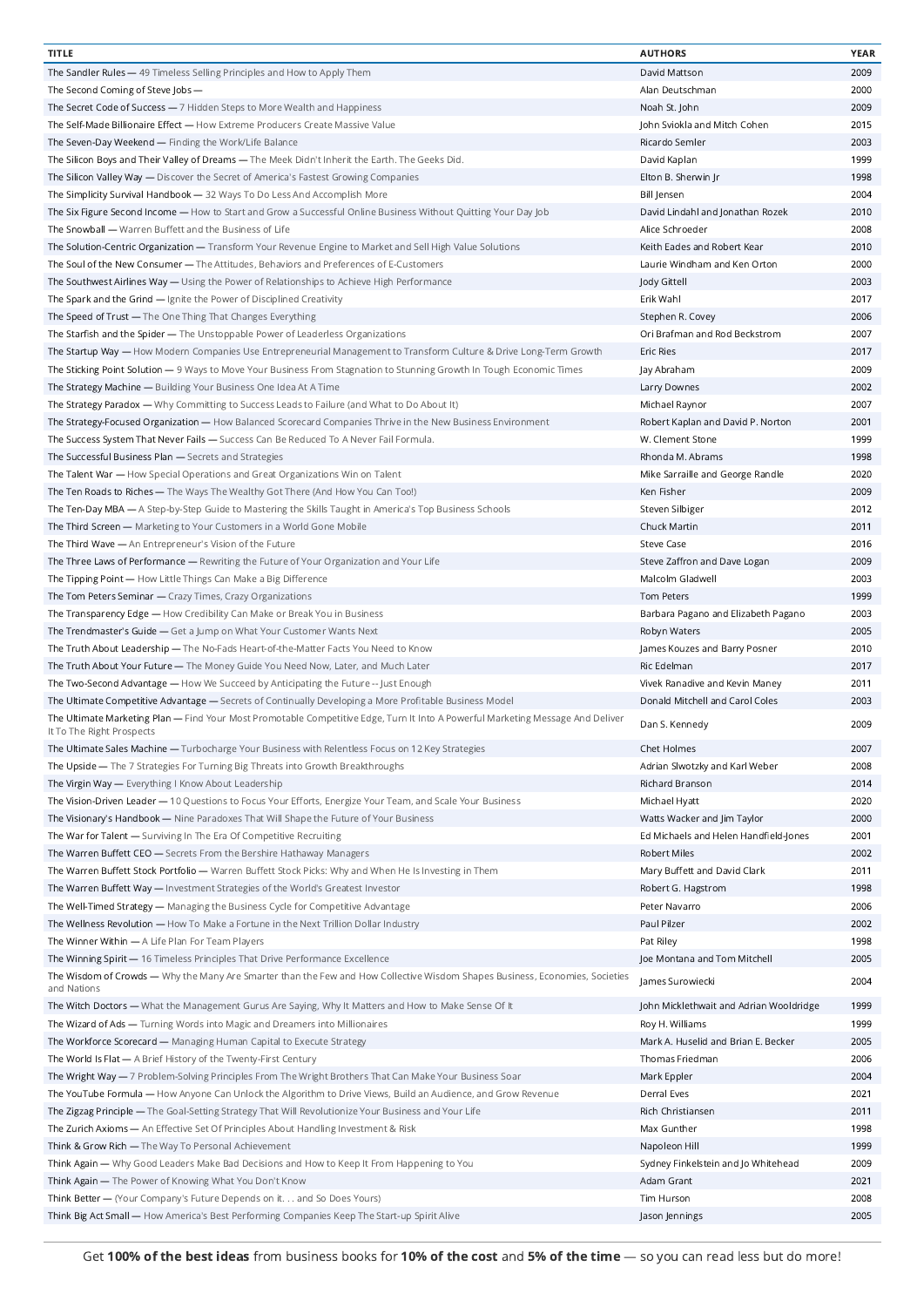| <b>TITLE</b>                                                                                                                                                 | <b>AUTHORS</b>                          | YEAR |
|--------------------------------------------------------------------------------------------------------------------------------------------------------------|-----------------------------------------|------|
| The Sandler Rules - 49 Timeless Selling Principles and How to Apply Them                                                                                     | David Mattson                           | 2009 |
| The Second Coming of Steve Jobs -                                                                                                                            | Alan Deutschman                         | 2000 |
| The Secret Code of Success - 7 Hidden Steps to More Wealth and Happiness                                                                                     | Noah St. John                           | 2009 |
| The Self-Made Billionaire Effect - How Extreme Producers Create Massive Value                                                                                | John Sviokla and Mitch Cohen            | 2015 |
| The Seven-Day Weekend - Finding the Work/Life Balance                                                                                                        | Ricardo Semler                          | 2003 |
| The Silicon Boys and Their Valley of Dreams — The Meek Didn't Inherit the Earth. The Geeks Did.                                                              | David Kaplan                            | 1999 |
| The Silicon Valley Way — Discover the Secret of America's Fastest Growing Companies                                                                          | Elton B. Sherwin Jr                     | 1998 |
|                                                                                                                                                              |                                         | 2004 |
| The Simplicity Survival Handbook - 32 Ways To Do Less And Accomplish More                                                                                    | Bill Jensen                             |      |
| The Six Figure Second Income - How to Start and Grow a Successful Online Business Without Quitting Your Day Job                                              | David Lindahl and Jonathan Rozek        | 2010 |
| The Snowball - Warren Buffett and the Business of Life                                                                                                       | Alice Schroeder                         | 2008 |
| The Solution-Centric Organization — Transform Your Revenue Engine to Market and Sell High Value Solutions                                                    | Keith Eades and Robert Kear             | 2010 |
| The Soul of the New Consumer - The Attitudes, Behaviors and Preferences of E-Customers                                                                       | Laurie Windham and Ken Orton            | 2000 |
| The Southwest Airlines Way — Using the Power of Relationships to Achieve High Performance                                                                    | Jody Gittell                            | 2003 |
| The Spark and the Grind - Ignite the Power of Disciplined Creativity                                                                                         | Erik Wahl                               | 2017 |
| The Speed of Trust - The One Thing That Changes Everything                                                                                                   | Stephen R. Covey                        | 2006 |
| The Starfish and the Spider - The Unstoppable Power of Leaderless Organizations                                                                              | Ori Brafman and Rod Beckstrom           | 2007 |
| The Startup Way - How Modern Companies Use Entrepreneurial Management to Transform Culture & Drive Long-Term Growth                                          | <b>Eric Ries</b>                        | 2017 |
| The Sticking Point Solution - 9 Ways to Move Your Business From Stagnation to Stunning Growth In Tough Economic Times                                        | Jay Abraham                             | 2009 |
| The Strategy Machine - Building Your Business One Idea At A Time                                                                                             | Larry Downes                            | 2002 |
| The Strategy Paradox - Why Committing to Success Leads to Failure (and What to Do About It)                                                                  | Michael Raynor                          | 2007 |
| The Strategy-Focused Organization - How Balanced Scorecard Companies Thrive in the New Business Environment                                                  | Robert Kaplan and David P. Norton       | 2001 |
| The Success System That Never Fails - Success Can Be Reduced To A Never Fail Formula.                                                                        | W. Clement Stone                        | 1999 |
|                                                                                                                                                              | Rhonda M. Abrams                        | 1998 |
| The Successful Business Plan - Secrets and Strategies                                                                                                        |                                         |      |
| The Talent War - How Special Operations and Great Organizations Win on Talent                                                                                | Mike Sarraille and George Randle        | 2020 |
| The Ten Roads to Riches - The Ways The Wealthy Got There (And How You Can Too!)                                                                              | Ken Fisher                              | 2009 |
| The Ten-Day MBA - A Step-by-Step Guide to Mastering the Skills Taught in America's Top Business Schools                                                      | Steven Silbiger                         | 2012 |
| The Third Screen - Marketing to Your Customers in a World Gone Mobile                                                                                        | Chuck Martin                            | 2011 |
| The Third Wave - An Entrepreneur's Vision of the Future                                                                                                      | <b>Steve Case</b>                       | 2016 |
| The Three Laws of Performance - Rewriting the Future of Your Organization and Your Life                                                                      | Steve Zaffron and Dave Logan            | 2009 |
| The Tipping Point - How Little Things Can Make a Big Difference                                                                                              | Malcolm Gladwell                        | 2003 |
| The Tom Peters Seminar - Crazy Times, Crazy Organizations                                                                                                    | <b>Tom Peters</b>                       | 1999 |
| The Transparency Edge - How Credibility Can Make or Break You in Business                                                                                    | Barbara Pagano and Elizabeth Pagano     | 2003 |
| The Trendmaster's Guide - Get a Jump on What Your Customer Wants Next                                                                                        | Robyn Waters                            | 2005 |
| The Truth About Leadership - The No-Fads Heart-of-the-Matter Facts You Need to Know                                                                          | James Kouzes and Barry Posner           | 2010 |
| The Truth About Your Future - The Money Guide You Need Now, Later, and Much Later                                                                            | Ric Edelman                             | 2017 |
|                                                                                                                                                              | Vivek Ranadive and Kevin Maney          |      |
| The Two-Second Advantage - How We Succeed by Anticipating the Future -- Just Enough                                                                          |                                         | 2011 |
| The Ultimate Competitive Advantage - Secrets of Continually Developing a More Profitable Business Model                                                      | Donald Mitchell and Carol Coles         | 2003 |
| The Ultimate Marketing Plan - Find Your Most Promotable Competitive Edge, Turn It Into A Powerful Marketing Message And Deliver<br>It To The Right Prospects | Dan S. Kennedy                          | 2009 |
| The Ultimate Sales Machine - Turbocharge Your Business with Relentless Focus on 12 Key Strategies                                                            | Chet Holmes                             | 2007 |
| The Upside - The 7 Strategies For Turning Big Threats into Growth Breakthroughs                                                                              | Adrian Slwotzky and Karl Weber          | 2008 |
| The Virgin Way - Everything I Know About Leadership                                                                                                          | Richard Branson                         | 2014 |
| The Vision-Driven Leader - 10 Questions to Focus Your Efforts, Energize Your Team, and Scale Your Business                                                   | Michael Hyatt                           | 2020 |
| The Visionary's Handbook - Nine Paradoxes That Will Shape the Future of Your Business                                                                        | Watts Wacker and Jim Taylor             | 2000 |
| The War for Talent - Surviving In The Era Of Competitive Recruiting                                                                                          | Ed Michaels and Helen Handfield-Jones   | 2001 |
| The Warren Buffett CEO - Secrets From the Bershire Hathaway Managers                                                                                         | Robert Miles                            | 2002 |
| The Warren Buffett Stock Portfolio - Warren Buffett Stock Picks: Why and When He Is Investing in Them                                                        | Mary Buffett and David Clark            | 2011 |
|                                                                                                                                                              |                                         |      |
| The Warren Buffett Way - Investment Strategies of the World's Greatest Investor                                                                              | Robert G. Hagstrom                      | 1998 |
| The Well-Timed Strategy - Managing the Business Cycle for Competitive Advantage                                                                              | Peter Navarro                           | 2006 |
| The Wellness Revolution - How To Make a Fortune in the Next Trillion Dollar Industry                                                                         | Paul Pilzer                             | 2002 |
| The Winner Within - A Life Plan For Team Players                                                                                                             | Pat Riley                               | 1998 |
| The Winning Spirit - 16 Timeless Principles That Drive Performance Excellence                                                                                | Joe Montana and Tom Mitchell            | 2005 |
| The Wisdom of Crowds - Why the Many Are Smarter than the Few and How Collective Wisdom Shapes Business, Economies, Societies<br>and Nations                  | James Surowiecki                        | 2004 |
| The Witch Doctors - What the Management Gurus Are Saying, Why It Matters and How to Make Sense Of It                                                         | John Micklethwait and Adrian Wooldridge | 1999 |
| The Wizard of Ads - Turning Words into Magic and Dreamers into Millionaires                                                                                  | Roy H. Williams                         | 1999 |
| The Workforce Scorecard - Managing Human Capital to Execute Strategy                                                                                         | Mark A. Huselid and Brian E. Becker     | 2005 |
| The World Is Flat - A Brief History of the Twenty-First Century                                                                                              | Thomas Friedman                         | 2006 |
| The Wright Way - 7 Problem-Solving Principles From The Wright Brothers That Can Make Your Business Soar                                                      | Mark Eppler                             | 2004 |
|                                                                                                                                                              |                                         | 2021 |
| The YouTube Formula — How Anyone Can Unlock the Algorithm to Drive Views, Build an Audience, and Grow Revenue                                                | Derral Eves                             |      |
| The Zigzag Principle — The Goal-Setting Strategy That Will Revolutionize Your Business and Your Life                                                         | Rich Christiansen                       | 2011 |
| The Zurich Axioms - An Effective Set Of Principles About Handling Investment & Risk                                                                          | Max Gunther                             | 1998 |
| Think & Grow Rich - The Way To Personal Achievement                                                                                                          | Napoleon Hill                           | 1999 |
| Think Again - Why Good Leaders Make Bad Decisions and How to Keep It From Happening to You                                                                   | Sydney Finkelstein and Jo Whitehead     | 2009 |
| Think Again - The Power of Knowing What You Don't Know                                                                                                       | Adam Grant                              | 2021 |
| Think Better - (Your Company's Future Depends on it. and So Does Yours)                                                                                      | Tim Hurson                              | 2008 |
| Think Big Act Small - How America's Best Performing Companies Keep The Start-up Spirit Alive                                                                 | Jason Jennings                          | 2005 |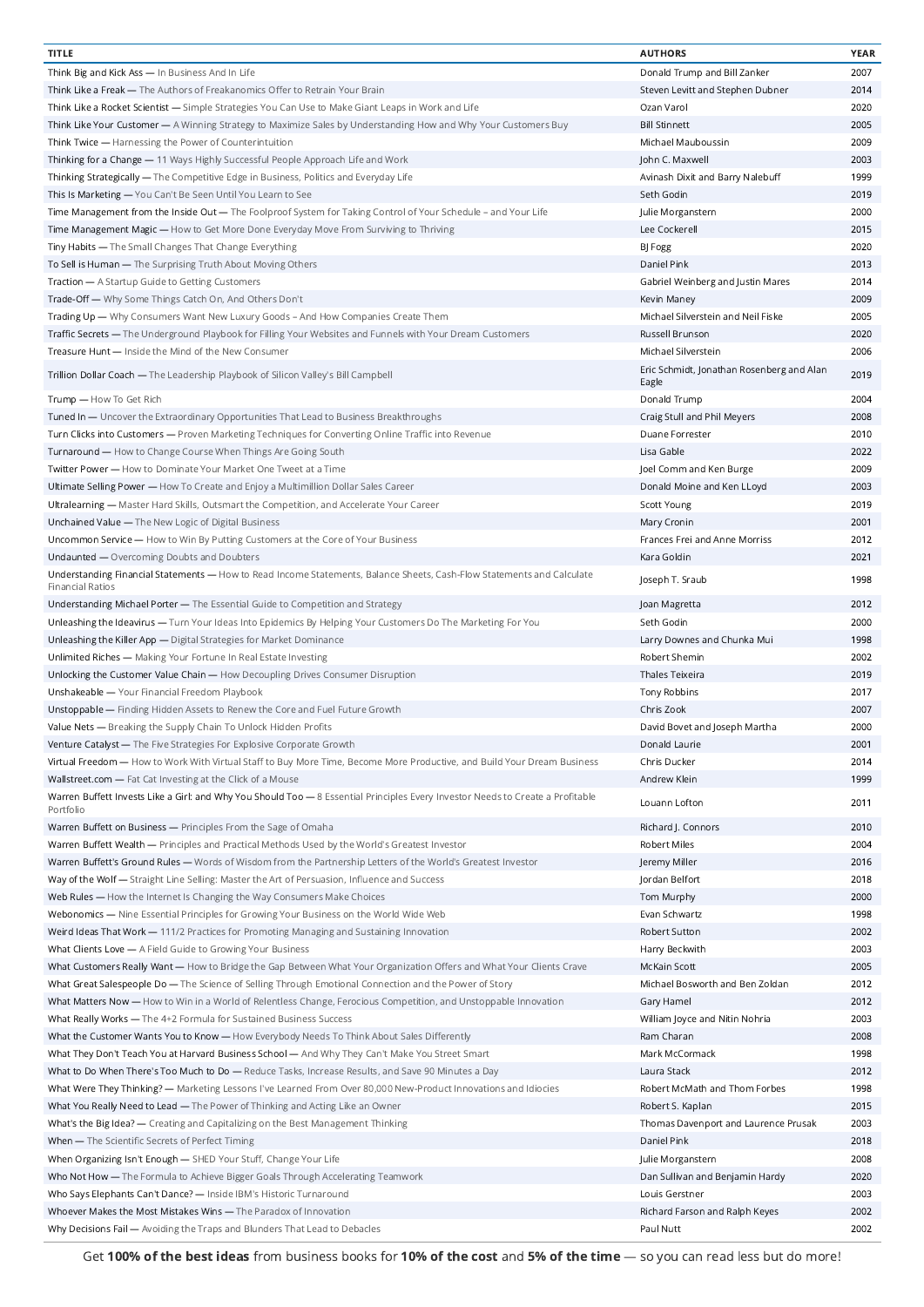| <b>TITLE</b>                                                                                                                                      | <b>AUTHORS</b>                            | YEAR |
|---------------------------------------------------------------------------------------------------------------------------------------------------|-------------------------------------------|------|
| Think Big and Kick Ass - In Business And In Life                                                                                                  | Donald Trump and Bill Zanker              | 2007 |
| Think Like a Freak — The Authors of Freakanomics Offer to Retrain Your Brain                                                                      | Steven Levitt and Stephen Dubner          | 2014 |
| Think Like a Rocket Scientist — Simple Strategies You Can Use to Make Giant Leaps in Work and Life                                                | Ozan Varol                                | 2020 |
| Think Like Your Customer — A Winning Strategy to Maximize Sales by Understanding How and Why Your Customers Buy                                   | <b>Bill Stinnett</b>                      | 2005 |
| Think Twice - Harnessing the Power of Counterintuition                                                                                            | Michael Mauboussin                        | 2009 |
| Thinking for a Change — 11 Ways Highly Successful People Approach Life and Work                                                                   | John C. Maxwell                           | 2003 |
| Thinking Strategically — The Competitive Edge in Business, Politics and Everyday Life                                                             | Avinash Dixit and Barry Nalebuff          | 1999 |
|                                                                                                                                                   |                                           |      |
| This Is Marketing - You Can't Be Seen Until You Learn to See                                                                                      | Seth Godin                                | 2019 |
| Time Management from the Inside Out — The Foolproof System for Taking Control of Your Schedule - and Your Life                                    | Julie Morganstern                         | 2000 |
| Time Management Magic — How to Get More Done Everyday Move From Surviving to Thriving                                                             | Lee Cockerell                             | 2015 |
| Tiny Habits - The Small Changes That Change Everything                                                                                            | BJ Fogg                                   | 2020 |
| To Sell is Human - The Surprising Truth About Moving Others                                                                                       | Daniel Pink                               | 2013 |
| Traction - A Startup Guide to Getting Customers                                                                                                   | Gabriel Weinberg and Justin Mares         | 2014 |
| Trade-Off - Why Some Things Catch On, And Others Don't                                                                                            | Kevin Maney                               | 2009 |
| Trading Up — Why Consumers Want New Luxury Goods - And How Companies Create Them                                                                  | Michael Silverstein and Neil Fiske        | 2005 |
| Traffic Secrets - The Underground Playbook for Filling Your Websites and Funnels with Your Dream Customers                                        | Russell Brunson                           | 2020 |
| Treasure Hunt - Inside the Mind of the New Consumer                                                                                               | Michael Silverstein                       | 2006 |
|                                                                                                                                                   | Eric Schmidt, Jonathan Rosenberg and Alan |      |
| Trillion Dollar Coach - The Leadership Playbook of Silicon Valley's Bill Campbell                                                                 | Eagle                                     | 2019 |
| Trump - How To Get Rich                                                                                                                           | Donald Trump                              | 2004 |
| Tuned In - Uncover the Extraordinary Opportunities That Lead to Business Breakthroughs                                                            | Craig Stull and Phil Meyers               | 2008 |
| Turn Clicks into Customers - Proven Marketing Techniques for Converting Online Traffic into Revenue                                               | Duane Forrester                           | 2010 |
| Turnaround - How to Change Course When Things Are Going South                                                                                     | Lisa Gable                                | 2022 |
| Twitter Power - How to Dominate Your Market One Tweet at a Time                                                                                   | Joel Comm and Ken Burge                   | 2009 |
| Ultimate Selling Power - How To Create and Enjoy a Multimillion Dollar Sales Career                                                               | Donald Moine and Ken LLoyd                | 2003 |
|                                                                                                                                                   |                                           |      |
| Ultralearning - Master Hard Skills, Outsmart the Competition, and Accelerate Your Career                                                          | Scott Young                               | 2019 |
| Unchained Value - The New Logic of Digital Business                                                                                               | Mary Cronin                               | 2001 |
| Uncommon Service - How to Win By Putting Customers at the Core of Your Business                                                                   | Frances Frei and Anne Morriss             | 2012 |
| Undaunted - Overcoming Doubts and Doubters                                                                                                        | Kara Goldin                               | 2021 |
| Understanding Financial Statements - How to Read Income Statements, Balance Sheets, Cash-Flow Statements and Calculate<br><b>Financial Ratios</b> | Joseph T. Sraub                           | 1998 |
| Understanding Michael Porter - The Essential Guide to Competition and Strategy                                                                    | Joan Magretta                             | 2012 |
| Unleashing the Ideavirus - Turn Your Ideas Into Epidemics By Helping Your Customers Do The Marketing For You                                      | Seth Godin                                | 2000 |
| Unleashing the Killer App — Digital Strategies for Market Dominance                                                                               | Larry Downes and Chunka Mui               | 1998 |
| Unlimited Riches - Making Your Fortune In Real Estate Investing                                                                                   | Robert Shemin                             | 2002 |
| Unlocking the Customer Value Chain - How Decoupling Drives Consumer Disruption                                                                    | Thales Teixeira                           | 2019 |
| Unshakeable - Your Financial Freedom Playbook                                                                                                     | Tony Robbins                              | 2017 |
| Unstoppable — Finding Hidden Assets to Renew the Core and Fuel Future Growth                                                                      | Chris Zook                                | 2007 |
|                                                                                                                                                   |                                           |      |
| Value Nets - Breaking the Supply Chain To Unlock Hidden Profits                                                                                   | David Bovet and Joseph Martha             | 2000 |
| Venture Catalyst - The Five Strategies For Explosive Corporate Growth                                                                             | Donald Laurie                             | 2001 |
| Virtual Freedom - How to Work With Virtual Staff to Buy More Time, Become More Productive, and Build Your Dream Business                          | Chris Ducker                              | 2014 |
| Wallstreet.com - Fat Cat Investing at the Click of a Mouse                                                                                        | Andrew Klein                              | 1999 |
| Warren Buffett Invests Like a Girl: and Why You Should Too - 8 Essential Principles Every Investor Needs to Create a Profitable<br>Portfolio      | Louann Lofton                             | 2011 |
| Warren Buffett on Business - Principles From the Sage of Omaha                                                                                    | Richard J. Connors                        | 2010 |
| Warren Buffett Wealth - Principles and Practical Methods Used by the World's Greatest Investor                                                    | Robert Miles                              | 2004 |
| Warren Buffett's Ground Rules - Words of Wisdom from the Partnership Letters of the World's Greatest Investor                                     | Jeremy Miller                             | 2016 |
| Way of the Wolf - Straight Line Selling: Master the Art of Persuasion, Influence and Success                                                      | Jordan Belfort                            | 2018 |
| Web Rules — How the Internet Is Changing the Way Consumers Make Choices                                                                           | Tom Murphy                                | 2000 |
| Webonomics - Nine Essential Principles for Growing Your Business on the World Wide Web                                                            | Evan Schwartz                             | 1998 |
| Weird Ideas That Work - 111/2 Practices for Promoting Managing and Sustaining Innovation                                                          | Robert Sutton                             | 2002 |
| What Clients Love - A Field Guide to Growing Your Business                                                                                        | Harry Beckwith                            | 2003 |
|                                                                                                                                                   |                                           |      |
| What Customers Really Want - How to Bridge the Gap Between What Your Organization Offers and What Your Clients Crave                              | McKain Scott                              | 2005 |
| What Great Salespeople Do — The Science of Selling Through Emotional Connection and the Power of Story                                            | Michael Bosworth and Ben Zoldan           | 2012 |
| What Matters Now - How to Win in a World of Relentless Change, Ferocious Competition, and Unstoppable Innovation                                  | Gary Hamel                                | 2012 |
| What Really Works - The 4+2 Formula for Sustained Business Success                                                                                | William Joyce and Nitin Nohria            | 2003 |
| What the Customer Wants You to Know - How Everybody Needs To Think About Sales Differently                                                        | Ram Charan                                | 2008 |
| What They Don't Teach You at Harvard Business School - And Why They Can't Make You Street Smart                                                   | Mark McCormack                            | 1998 |
| What to Do When There's Too Much to Do - Reduce Tasks, Increase Results, and Save 90 Minutes a Day                                                | Laura Stack                               | 2012 |
| What Were They Thinking? — Marketing Lessons I've Learned From Over 80,000 New-Product Innovations and Idiocies                                   | Robert McMath and Thom Forbes             | 1998 |
| What You Really Need to Lead — The Power of Thinking and Acting Like an Owner                                                                     | Robert S. Kaplan                          | 2015 |
| What's the Big Idea? — Creating and Capitalizing on the Best Management Thinking                                                                  | Thomas Davenport and Laurence Prusak      | 2003 |
| When - The Scientific Secrets of Perfect Timing                                                                                                   | Daniel Pink                               | 2018 |
| When Organizing Isn't Enough - SHED Your Stuff, Change Your Life                                                                                  | Julie Morganstern                         | 2008 |
| Who Not How - The Formula to Achieve Bigger Goals Through Accelerating Teamwork                                                                   | Dan Sullivan and Benjamin Hardy           | 2020 |
|                                                                                                                                                   |                                           |      |
| Who Says Elephants Can't Dance? - Inside IBM's Historic Turnaround                                                                                | Louis Gerstner                            | 2003 |
| Whoever Makes the Most Mistakes Wins - The Paradox of Innovation                                                                                  | Richard Farson and Ralph Keyes            | 2002 |
| Why Decisions Fail - Avoiding the Traps and Blunders That Lead to Debacles                                                                        | Paul Nutt                                 | 2002 |